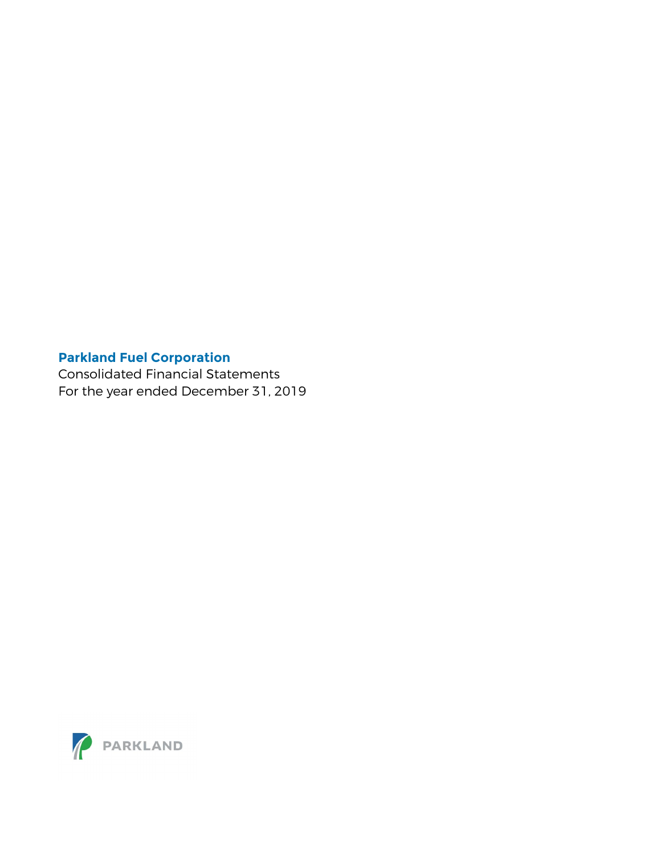Consolidated Financial Statements For the year ended December 31, 2019

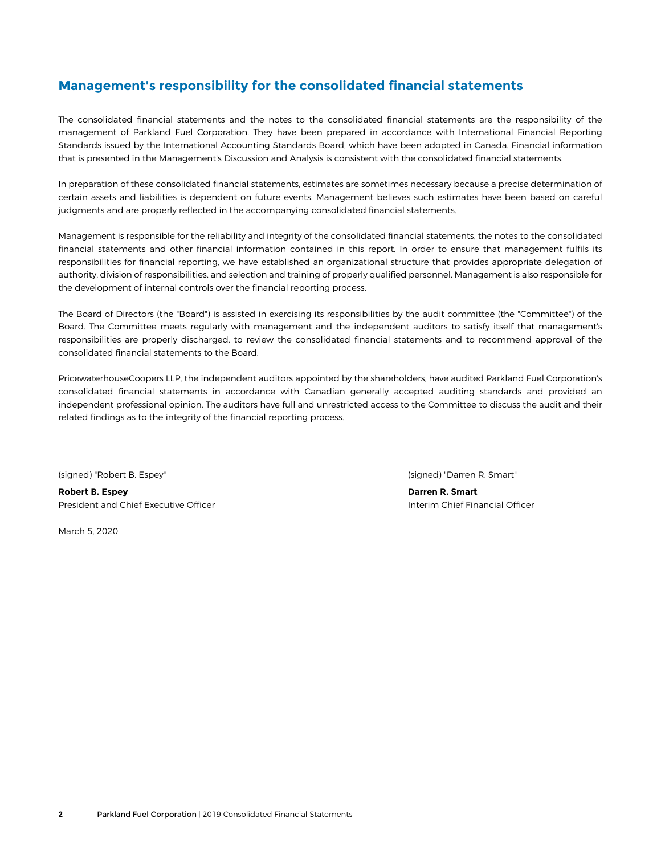# **Management's responsibility for the consolidated financial statements**

The consolidated financial statements and the notes to the consolidated financial statements are the responsibility of the management of Parkland Fuel Corporation. They have been prepared in accordance with International Financial Reporting Standards issued by the International Accounting Standards Board, which have been adopted in Canada. Financial information that is presented in the Management's Discussion and Analysis is consistent with the consolidated financial statements.

In preparation of these consolidated financial statements, estimates are sometimes necessary because a precise determination of certain assets and liabilities is dependent on future events. Management believes such estimates have been based on careful judgments and are properly reflected in the accompanying consolidated financial statements.

Management is responsible for the reliability and integrity of the consolidated financial statements, the notes to the consolidated financial statements and other financial information contained in this report. In order to ensure that management fulfils its responsibilities for financial reporting, we have established an organizational structure that provides appropriate delegation of authority, division of responsibilities, and selection and training of properly qualified personnel. Management is also responsible for the development of internal controls over the financial reporting process.

The Board of Directors (the "Board") is assisted in exercising its responsibilities by the audit committee (the "Committee") of the Board. The Committee meets regularly with management and the independent auditors to satisfy itself that management's responsibilities are properly discharged, to review the consolidated financial statements and to recommend approval of the consolidated financial statements to the Board.

PricewaterhouseCoopers LLP, the independent auditors appointed by the shareholders, have audited Parkland Fuel Corporation's consolidated financial statements in accordance with Canadian generally accepted auditing standards and provided an independent professional opinion. The auditors have full and unrestricted access to the Committee to discuss the audit and their related findings as to the integrity of the financial reporting process.

(signed) "Robert B. Espey" (signed) "Darren R. Smart"

**Robert B. Espey Community Community Community Community Community Community Community Community Community Community Community Community Community Community Community Community Community Community Community Community Commu** President and Chief Executive Officer **Interim Chief Financial Officer** Interim Chief Financial Officer

March 5, 2020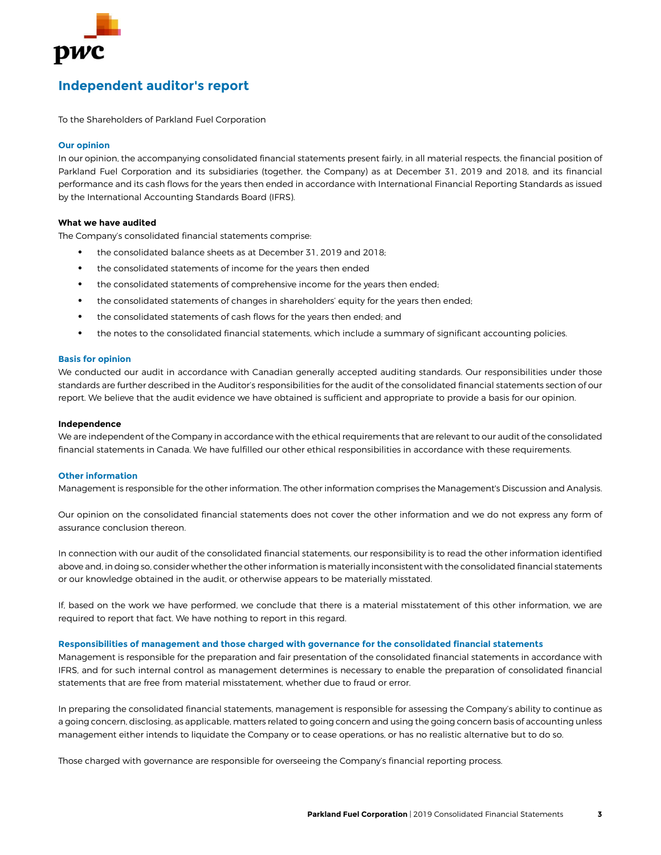

# **Independent auditor's report**

To the Shareholders of Parkland Fuel Corporation

#### **Our opinion**

In our opinion, the accompanying consolidated financial statements present fairly, in all material respects, the financial position of Parkland Fuel Corporation and its subsidiaries (together, the Company) as at December 31, 2019 and 2018, and its financial performance and its cash flows for the years then ended in accordance with International Financial Reporting Standards as issued by the International Accounting Standards Board (IFRS).

#### **What we have audited**

The Company's consolidated financial statements comprise:

- the consolidated balance sheets as at December 31, 2019 and 2018;
- the consolidated statements of income for the years then ended
- the consolidated statements of comprehensive income for the years then ended;
- the consolidated statements of changes in shareholders' equity for the years then ended;
- the consolidated statements of cash flows for the years then ended; and
- the notes to the consolidated financial statements, which include a summary of significant accounting policies.

#### **Basis for opinion**

We conducted our audit in accordance with Canadian generally accepted auditing standards. Our responsibilities under those standards are further described in the Auditor's responsibilities for the audit of the consolidated financial statements section of our report. We believe that the audit evidence we have obtained is sufficient and appropriate to provide a basis for our opinion.

#### **Independence**

We are independent of the Company in accordance with the ethical requirements that are relevant to our audit of the consolidated financial statements in Canada. We have fulfilled our other ethical responsibilities in accordance with these requirements.

#### **Other information**

Management is responsible for the other information. The other information comprises the Management's Discussion and Analysis.

Our opinion on the consolidated financial statements does not cover the other information and we do not express any form of assurance conclusion thereon.

In connection with our audit of the consolidated financial statements, our responsibility is to read the other information identified above and, in doing so, consider whether the other information is materially inconsistent with the consolidated financial statements or our knowledge obtained in the audit, or otherwise appears to be materially misstated.

If, based on the work we have performed, we conclude that there is a material misstatement of this other information, we are required to report that fact. We have nothing to report in this regard.

#### **Responsibilities of management and those charged with governance for the consolidated financial statements**

Management is responsible for the preparation and fair presentation of the consolidated financial statements in accordance with IFRS, and for such internal control as management determines is necessary to enable the preparation of consolidated financial statements that are free from material misstatement, whether due to fraud or error.

In preparing the consolidated financial statements, management is responsible for assessing the Company's ability to continue as a going concern, disclosing, as applicable, matters related to going concern and using the going concern basis of accounting unless management either intends to liquidate the Company or to cease operations, or has no realistic alternative but to do so.

Those charged with governance are responsible for overseeing the Company's financial reporting process.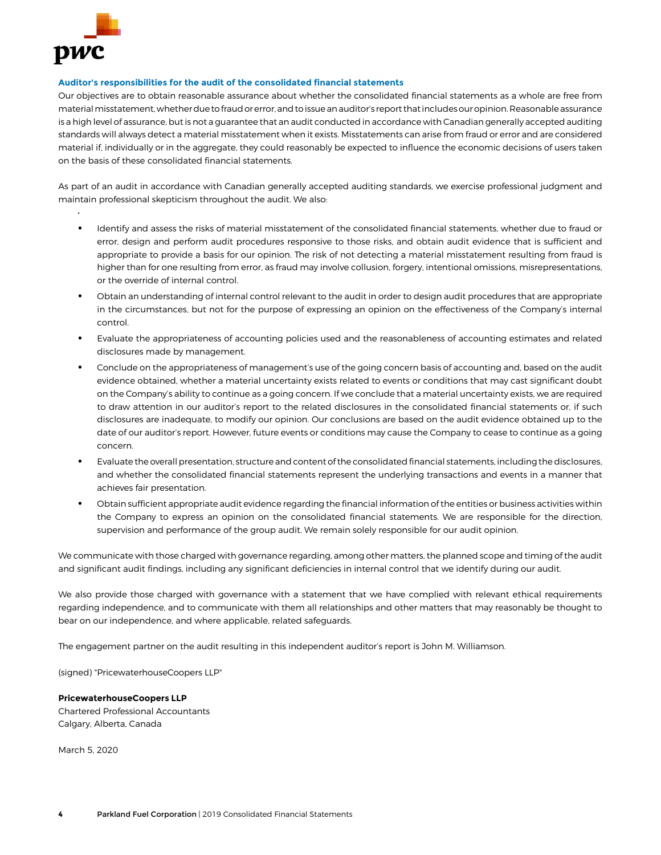

•

#### **Auditor's responsibilities for the audit of the consolidated financial statements**

Our objectives are to obtain reasonable assurance about whether the consolidated financial statements as a whole are free from material misstatement, whether due to fraud or error, and to issue an auditor's report that includes our opinion. Reasonable assurance is a high level of assurance, but is not a guarantee that an audit conducted in accordance with Canadian generally accepted auditing standards will always detect a material misstatement when it exists. Misstatements can arise from fraud or error and are considered material if, individually or in the aggregate, they could reasonably be expected to influence the economic decisions of users taken on the basis of these consolidated financial statements.

As part of an audit in accordance with Canadian generally accepted auditing standards, we exercise professional judgment and maintain professional skepticism throughout the audit. We also:

- Identify and assess the risks of material misstatement of the consolidated financial statements, whether due to fraud or error, design and perform audit procedures responsive to those risks, and obtain audit evidence that is sufficient and appropriate to provide a basis for our opinion. The risk of not detecting a material misstatement resulting from fraud is higher than for one resulting from error, as fraud may involve collusion, forgery, intentional omissions, misrepresentations, or the override of internal control.
- Obtain an understanding of internal control relevant to the audit in order to design audit procedures that are appropriate in the circumstances, but not for the purpose of expressing an opinion on the effectiveness of the Company's internal control.
- Evaluate the appropriateness of accounting policies used and the reasonableness of accounting estimates and related disclosures made by management.
- Conclude on the appropriateness of management's use of the going concern basis of accounting and, based on the audit evidence obtained, whether a material uncertainty exists related to events or conditions that may cast significant doubt on the Company's ability to continue as a going concern. If we conclude that a material uncertainty exists, we are required to draw attention in our auditor's report to the related disclosures in the consolidated financial statements or, if such disclosures are inadequate, to modify our opinion. Our conclusions are based on the audit evidence obtained up to the date of our auditor's report. However, future events or conditions may cause the Company to cease to continue as a going concern.
- Evaluate the overall presentation, structure and content of the consolidated financial statements, including the disclosures, and whether the consolidated financial statements represent the underlying transactions and events in a manner that achieves fair presentation.
- Obtain sufficient appropriate audit evidence regarding the financial information of the entities or business activities within the Company to express an opinion on the consolidated financial statements. We are responsible for the direction, supervision and performance of the group audit. We remain solely responsible for our audit opinion.

We communicate with those charged with governance regarding, among other matters, the planned scope and timing of the audit and significant audit findings, including any significant deficiencies in internal control that we identify during our audit.

We also provide those charged with governance with a statement that we have complied with relevant ethical requirements regarding independence, and to communicate with them all relationships and other matters that may reasonably be thought to bear on our independence, and where applicable, related safeguards.

The engagement partner on the audit resulting in this independent auditor's report is John M. Williamson.

(signed) "PricewaterhouseCoopers LLP"

### **PricewaterhouseCoopers LLP**

Chartered Professional Accountants Calgary, Alberta, Canada

March 5, 2020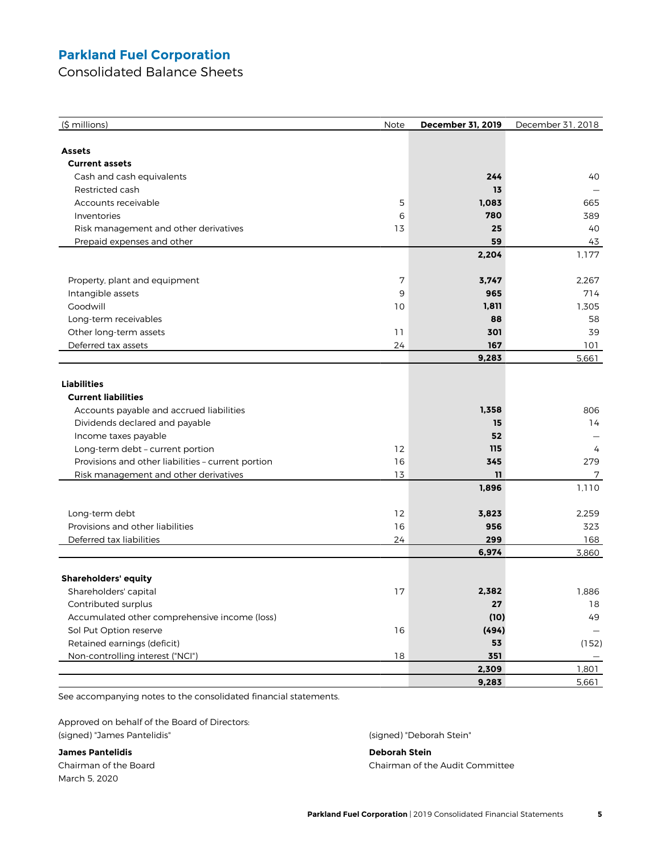Consolidated Balance Sheets

| (\$ millions)                                                              | <b>Note</b>       | December 31, 2019 | December 31, 2018 |
|----------------------------------------------------------------------------|-------------------|-------------------|-------------------|
|                                                                            |                   |                   |                   |
| <b>Assets</b>                                                              |                   |                   |                   |
| <b>Current assets</b>                                                      |                   |                   |                   |
| Cash and cash equivalents                                                  |                   | 244               | 40                |
| Restricted cash                                                            |                   | 13                |                   |
| Accounts receivable                                                        | 5                 | 1,083             | 665               |
| Inventories                                                                | 6                 | 780               | 389               |
| Risk management and other derivatives                                      | 13                | 25                | 40                |
| Prepaid expenses and other                                                 |                   | 59                | 43                |
|                                                                            |                   | 2,204             | 1,177             |
|                                                                            |                   |                   |                   |
| Property, plant and equipment                                              | 7                 | 3,747             | 2,267             |
| Intangible assets                                                          | 9                 | 965               | 714               |
| Goodwill                                                                   | 10                | 1,811             | 1,305             |
| Long-term receivables                                                      |                   | 88                | 58                |
| Other long-term assets                                                     | 11                | 301               | 39                |
| Deferred tax assets                                                        | 24                | 167               | 101               |
|                                                                            |                   | 9,283             | 5,661             |
| <b>Liabilities</b>                                                         |                   |                   |                   |
| <b>Current liabilities</b>                                                 |                   |                   |                   |
|                                                                            |                   | 1,358             | 806               |
| Accounts payable and accrued liabilities<br>Dividends declared and payable |                   | 15                | 14                |
| Income taxes payable                                                       |                   | 52                |                   |
| Long-term debt - current portion                                           | $12 \overline{ }$ | 115               | 4                 |
| Provisions and other liabilities - current portion                         | 16                | 345               | 279               |
| Risk management and other derivatives                                      | 13                | 11                | 7                 |
|                                                                            |                   | 1,896             | 1,110             |
|                                                                            |                   |                   |                   |
| Long-term debt                                                             | 12                | 3,823             | 2,259             |
| Provisions and other liabilities                                           | 16                | 956               | 323               |
| Deferred tax liabilities                                                   | 24                | 299               | 168               |
|                                                                            |                   | 6,974             | 3,860             |
|                                                                            |                   |                   |                   |
| Shareholders' equity                                                       |                   |                   |                   |
| Shareholders' capital                                                      | 17                | 2,382             | 1,886             |
| Contributed surplus                                                        |                   | 27                | 18                |
| Accumulated other comprehensive income (loss)                              |                   | (10)              | 49                |
| Sol Put Option reserve                                                     | 16                | (494)             |                   |
| Retained earnings (deficit)                                                |                   | 53                | (152)             |
| Non-controlling interest ("NCI")                                           | 18                | 351               |                   |
|                                                                            |                   | 2,309             | 1,801             |
|                                                                            |                   | 9,283             | 5,661             |

See accompanying notes to the consolidated financial statements.

Approved on behalf of the Board of Directors: (signed) "James Pantelidis" (signed) "Deborah Stein"

#### **James Pantelidis Deborah Stein**

Chairman of the Board Chairman of the Audit Committee

March 5, 2020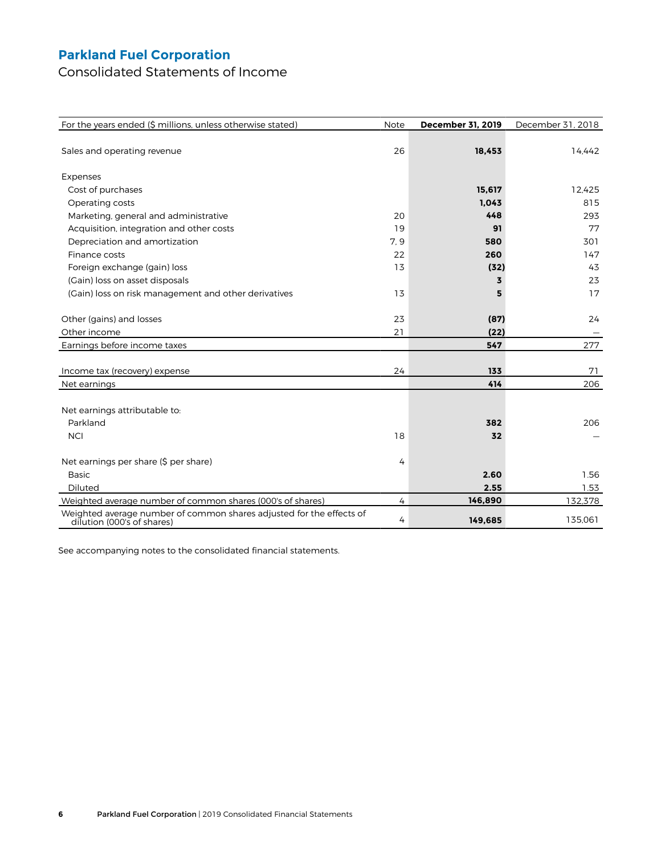Consolidated Statements of Income

| For the years ended (\$ millions, unless otherwise stated)                                         | Note | December 31, 2019 | December 31, 2018 |
|----------------------------------------------------------------------------------------------------|------|-------------------|-------------------|
|                                                                                                    |      |                   |                   |
| Sales and operating revenue                                                                        | 26   | 18,453            | 14,442            |
| Expenses                                                                                           |      |                   |                   |
| Cost of purchases                                                                                  |      | 15,617            | 12,425            |
| Operating costs                                                                                    |      | 1,043             | 815               |
| Marketing, general and administrative                                                              | 20   | 448               | 293               |
| Acquisition, integration and other costs                                                           | 19   | 91                | 77                |
| Depreciation and amortization                                                                      | 7.9  | 580               | 301               |
| Finance costs                                                                                      | 22   | 260               | 147               |
| Foreign exchange (gain) loss                                                                       | 13   | (32)              | 43                |
| (Gain) loss on asset disposals                                                                     |      | 3                 | 23                |
| (Gain) loss on risk management and other derivatives                                               | 13   | 5                 | 17                |
|                                                                                                    |      |                   |                   |
| Other (gains) and losses                                                                           | 23   | (87)              | 24                |
| Other income                                                                                       | 21   | (22)              |                   |
| Earnings before income taxes                                                                       |      | 547               | 277               |
|                                                                                                    |      |                   |                   |
| Income tax (recovery) expense                                                                      | 24   | 133               | 71                |
| Net earnings                                                                                       |      | 414               | 206               |
|                                                                                                    |      |                   |                   |
| Net earnings attributable to:                                                                      |      |                   |                   |
| Parkland                                                                                           |      | 382               | 206               |
| <b>NCI</b>                                                                                         | 18   | 32                |                   |
| Net earnings per share (\$ per share)                                                              | 4    |                   |                   |
| <b>Basic</b>                                                                                       |      | 2.60              | 1.56              |
| Diluted                                                                                            |      | 2.55              | 1.53              |
| Weighted average number of common shares (000's of shares)                                         | 4    | 146,890           | 132,378           |
| Weighted average number of common shares adjusted for the effects of<br>dilution (000's of shares) | 4    | 149,685           | 135,061           |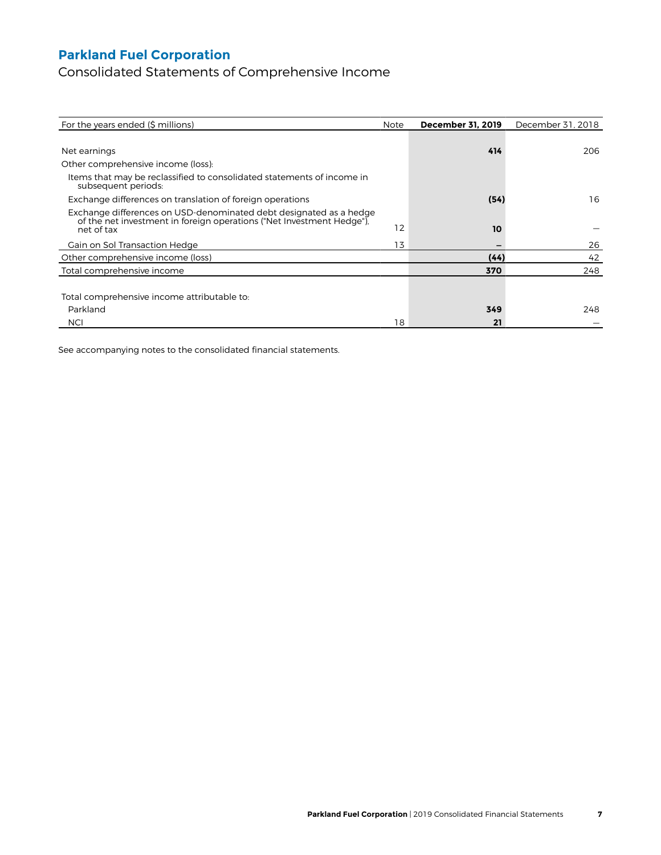Consolidated Statements of Comprehensive Income

| For the years ended (\$ millions)                                                                                                                         | <b>Note</b> | December 31, 2019 | December 31, 2018 |
|-----------------------------------------------------------------------------------------------------------------------------------------------------------|-------------|-------------------|-------------------|
|                                                                                                                                                           |             |                   |                   |
| Net earnings                                                                                                                                              |             | 414               | 206               |
| Other comprehensive income (loss):                                                                                                                        |             |                   |                   |
| Items that may be reclassified to consolidated statements of income in<br>subsequent periods:                                                             |             |                   |                   |
| Exchange differences on translation of foreign operations                                                                                                 |             | (54)              | 16                |
| Exchange differences on USD-denominated debt designated as a hedge<br>of the net investment in foreign operations ("Net Investment Hedge").<br>net of tax | 12          | 10                |                   |
| Gain on Sol Transaction Hedge                                                                                                                             | 13          |                   | 26                |
| Other comprehensive income (loss)                                                                                                                         |             | (44)              | 42                |
| Total comprehensive income                                                                                                                                |             | 370               | 248               |
|                                                                                                                                                           |             |                   |                   |
| Total comprehensive income attributable to:                                                                                                               |             |                   |                   |
| Parkland                                                                                                                                                  |             | 349               | 248               |
| <b>NCI</b>                                                                                                                                                | 18          | 21                |                   |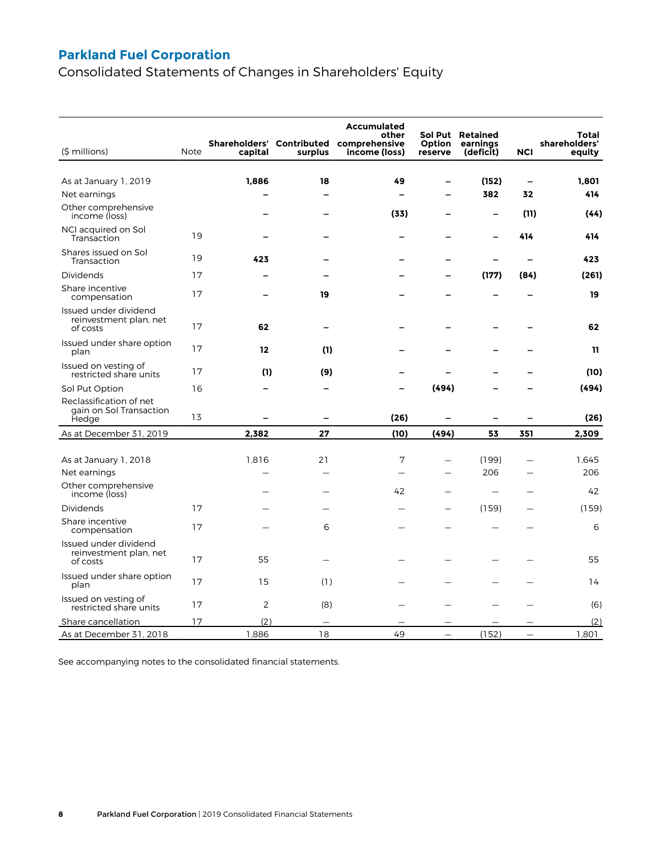Consolidated Statements of Changes in Shareholders' Equity

|                                                             |             |                                             |         | Accumulated<br>other           |                          | Sol Put Retained         |                          | Total                   |
|-------------------------------------------------------------|-------------|---------------------------------------------|---------|--------------------------------|--------------------------|--------------------------|--------------------------|-------------------------|
| (\$ millions)                                               | <b>Note</b> | <b>Shareholders' Contributed</b><br>capital | surplus | comprehensive<br>income (loss) | Option<br>reserve        | earnings<br>(deficit)    | <b>NCI</b>               | shareholders'<br>equity |
|                                                             |             |                                             |         |                                |                          |                          |                          |                         |
| As at January 1, 2019                                       |             | 1.886                                       | 18      | 49                             | -                        | (152)                    | $\overline{\phantom{0}}$ | 1.801                   |
| Net earnings                                                |             |                                             |         |                                |                          | 382                      | 32                       | 414                     |
| Other comprehensive<br>income (loss)                        |             |                                             |         | (33)                           | -                        | $\overline{\phantom{0}}$ | (11)                     | (44)                    |
| NCI acquired on Sol<br>Transaction                          | 19          |                                             |         | -                              |                          |                          | 414                      | 414                     |
| Shares issued on Sol<br>Transaction                         | 19          | 423                                         |         | $\overline{\phantom{0}}$       | $\overline{\phantom{0}}$ |                          | $\overline{\phantom{0}}$ | 423                     |
| <b>Dividends</b>                                            | 17          |                                             |         |                                |                          | (177)                    | (84)                     | (261)                   |
| Share incentive<br>compensation                             | 17          |                                             | 19      |                                |                          |                          |                          | 19                      |
| Issued under dividend<br>reinvestment plan, net<br>of costs | 17          | 62                                          | -       |                                |                          |                          |                          | 62                      |
| Issued under share option<br>plan                           | 17          | 12                                          | (1)     |                                |                          |                          |                          | 11                      |
| Issued on vesting of<br>restricted share units              | 17          | (1)                                         | (9)     |                                |                          |                          |                          | (10)                    |
| Sol Put Option                                              | 16          |                                             |         |                                | (494)                    |                          |                          | (494)                   |
| Reclassification of net<br>gain on Sol Transaction<br>Hedge | 13          |                                             | -       | (26)                           |                          |                          | ۳                        | (26)                    |
| As at December 31, 2019                                     |             | 2,382                                       | 27      | (10)                           | (494)                    | 53                       | 351                      | 2,309                   |
|                                                             |             |                                             |         |                                |                          |                          |                          |                         |
| As at January 1, 2018                                       |             | 1,816                                       | 21      | 7                              | $\overline{\phantom{0}}$ | (199)                    |                          | 1,645                   |
| Net earnings                                                |             |                                             |         | $\overline{\phantom{0}}$       | $\overline{\phantom{0}}$ | 206                      |                          | 206                     |
| Other comprehensive<br>income (loss)                        |             |                                             |         | 42                             | $\overline{\phantom{0}}$ |                          |                          | 42                      |
| Dividends                                                   | 17          |                                             |         |                                | $\overline{\phantom{0}}$ | (159)                    |                          | (159)                   |
| Share incentive<br>compensation                             | 17          |                                             | 6       |                                | —                        |                          |                          | 6                       |
| Issued under dividend<br>reinvestment plan, net<br>of costs | 17          | 55                                          |         |                                |                          |                          |                          | 55                      |
| Issued under share option<br>plan                           | 17          | 15                                          | (1)     |                                |                          |                          |                          | 14                      |
| Issued on vesting of<br>restricted share units              | 17          | 2                                           | (8)     |                                |                          |                          |                          | (6)                     |
| Share cancellation                                          | 17          | (2)                                         |         |                                |                          |                          |                          | (2)                     |
| As at December 31, 2018                                     |             | 1,886                                       | 18      | 49                             | $\overline{\phantom{0}}$ | (152)                    |                          | 1,801                   |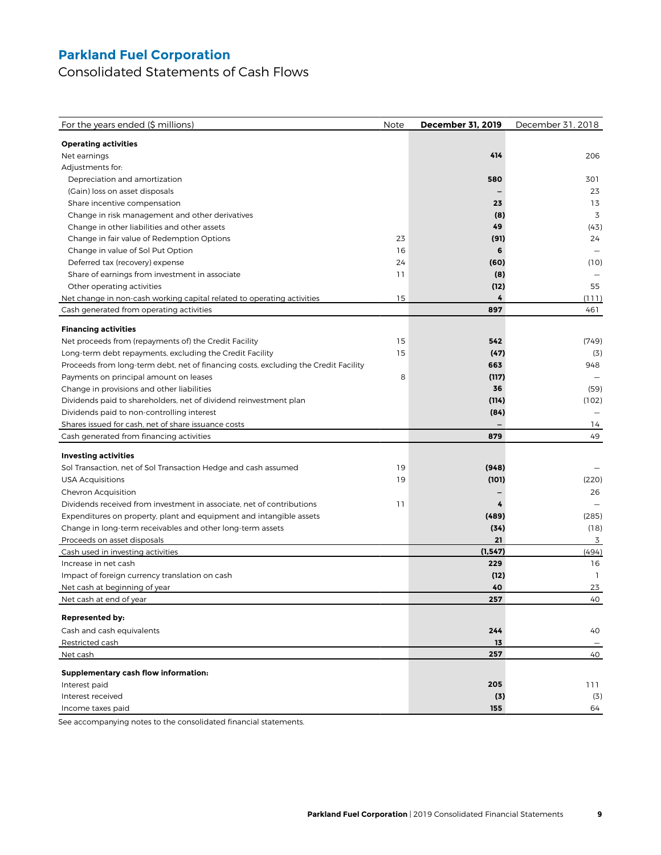Consolidated Statements of Cash Flows

| For the years ended (\$ millions)                                                   | <b>Note</b> | December 31, 2019 | December 31, 2018        |
|-------------------------------------------------------------------------------------|-------------|-------------------|--------------------------|
| <b>Operating activities</b>                                                         |             |                   |                          |
| Net earnings                                                                        |             | 414               | 206                      |
| Adjustments for:                                                                    |             |                   |                          |
| Depreciation and amortization                                                       |             | 580               | 301                      |
| (Gain) loss on asset disposals                                                      |             |                   | 23                       |
| Share incentive compensation                                                        |             | 23                | 13                       |
| Change in risk management and other derivatives                                     |             | (8)               | 3                        |
| Change in other liabilities and other assets                                        |             | 49                | (43)                     |
| Change in fair value of Redemption Options                                          | 23          | (91)              | 24                       |
| Change in value of Sol Put Option                                                   | 16          | 6                 |                          |
| Deferred tax (recovery) expense                                                     | 24          | (60)              | (10)                     |
| Share of earnings from investment in associate                                      | 11          | (8)               |                          |
| Other operating activities                                                          |             | (12)              | 55                       |
| Net change in non-cash working capital related to operating activities              | 15          | 4                 | (111)                    |
| Cash generated from operating activities                                            |             | 897               | 461                      |
| <b>Financing activities</b>                                                         |             |                   |                          |
| Net proceeds from (repayments of) the Credit Facility                               | 15          | 542               | (749)                    |
| Long-term debt repayments, excluding the Credit Facility                            | 15          | (47)              | (3)                      |
| Proceeds from long-term debt, net of financing costs, excluding the Credit Facility |             | 663               | 948                      |
| Payments on principal amount on leases                                              | 8           | (117)             |                          |
| Change in provisions and other liabilities                                          |             | 36                | (59)                     |
| Dividends paid to shareholders, net of dividend reinvestment plan                   |             | (114)             | (102)                    |
| Dividends paid to non-controlling interest                                          |             | (84)              |                          |
| Shares issued for cash, net of share issuance costs                                 |             |                   | 14                       |
| Cash generated from financing activities                                            |             | 879               | 49                       |
|                                                                                     |             |                   |                          |
| <b>Investing activities</b>                                                         |             |                   |                          |
| Sol Transaction, net of Sol Transaction Hedge and cash assumed                      | 19          | (948)             |                          |
| <b>USA Acquisitions</b>                                                             | 19          | (101)             | (220)                    |
| Chevron Acquisition                                                                 |             |                   | 26                       |
| Dividends received from investment in associate, net of contributions               | 11          | 4                 |                          |
| Expenditures on property, plant and equipment and intangible assets                 |             | (489)             | (285)                    |
| Change in long-term receivables and other long-term assets                          |             | (34)              | (18)                     |
| Proceeds on asset disposals                                                         |             | 21                | 3                        |
| Cash used in investing activities                                                   |             | (1, 547)          | (494)                    |
| Increase in net cash                                                                |             | 229               | 16                       |
| Impact of foreign currency translation on cash                                      |             | (12)              | 1                        |
| Net cash at beginning of year                                                       |             | 40                | 23                       |
| Net cash at end of year                                                             |             | 257               | 40                       |
| Represented by:                                                                     |             |                   |                          |
| Cash and cash equivalents                                                           |             | 244               | 40                       |
| Restricted cash                                                                     |             | 13                | $\overline{\phantom{m}}$ |
| Net cash                                                                            |             | 257               | 40                       |
| Supplementary cash flow information:                                                |             |                   |                          |
| Interest paid                                                                       |             | 205               | 111                      |
| Interest received                                                                   |             | (3)               | (3)                      |
| Income taxes paid                                                                   |             | 155               | 64                       |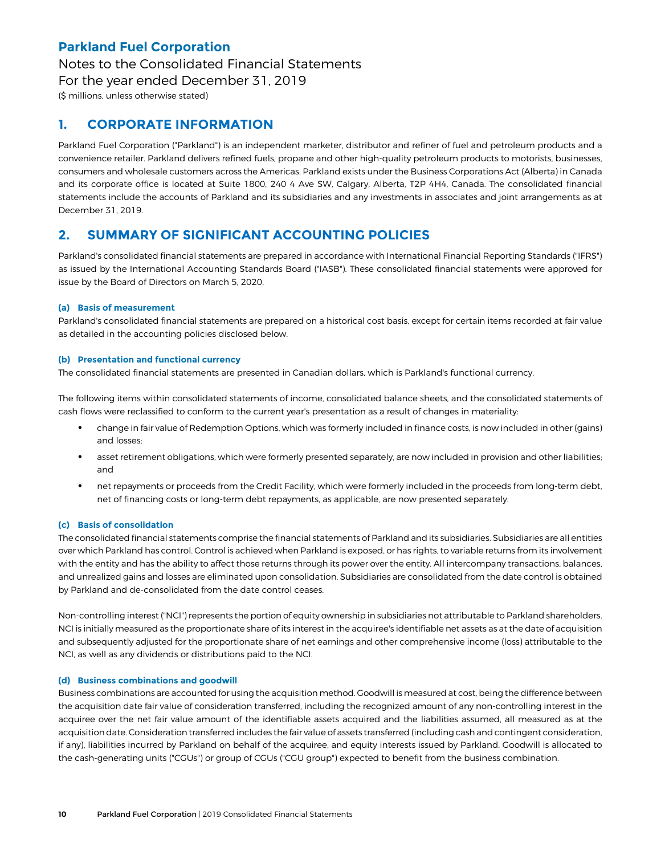Notes to the Consolidated Financial Statements For the year ended December 31, 2019 (\$ millions, unless otherwise stated)

# **1. CORPORATE INFORMATION**

Parkland Fuel Corporation ("Parkland") is an independent marketer, distributor and refiner of fuel and petroleum products and a convenience retailer. Parkland delivers refined fuels, propane and other high-quality petroleum products to motorists, businesses, consumers and wholesale customers across the Americas. Parkland exists under the Business Corporations Act (Alberta) in Canada and its corporate office is located at Suite 1800, 240 4 Ave SW, Calgary, Alberta, T2P 4H4, Canada. The consolidated financial statements include the accounts of Parkland and its subsidiaries and any investments in associates and joint arrangements as at December 31, 2019.

# **2. SUMMARY OF SIGNIFICANT ACCOUNTING POLICIES**

Parkland's consolidated financial statements are prepared in accordance with International Financial Reporting Standards ("IFRS") as issued by the International Accounting Standards Board ("IASB"). These consolidated financial statements were approved for issue by the Board of Directors on March 5, 2020.

### **(a) Basis of measurement**

Parkland's consolidated financial statements are prepared on a historical cost basis, except for certain items recorded at fair value as detailed in the accounting policies disclosed below.

### **(b) Presentation and functional currency**

The consolidated financial statements are presented in Canadian dollars, which is Parkland's functional currency.

The following items within consolidated statements of income, consolidated balance sheets, and the consolidated statements of cash flows were reclassified to conform to the current year's presentation as a result of changes in materiality:

- change in fair value of Redemption Options, which was formerly included in finance costs, is now included in other (gains) and losses;
- asset retirement obligations, which were formerly presented separately, are now included in provision and other liabilities; and
- net repayments or proceeds from the Credit Facility, which were formerly included in the proceeds from long-term debt, net of financing costs or long-term debt repayments, as applicable, are now presented separately.

### **(c) Basis of consolidation**

The consolidated financial statements comprise the financial statements of Parkland and its subsidiaries. Subsidiaries are all entities over which Parkland has control. Control is achieved when Parkland is exposed, or has rights, to variable returns from its involvement with the entity and has the ability to affect those returns through its power over the entity. All intercompany transactions, balances, and unrealized gains and losses are eliminated upon consolidation. Subsidiaries are consolidated from the date control is obtained by Parkland and de-consolidated from the date control ceases.

Non-controlling interest ("NCI") represents the portion of equity ownership in subsidiaries not attributable to Parkland shareholders. NCI is initially measured as the proportionate share of its interest in the acquiree's identifiable net assets as at the date of acquisition and subsequently adjusted for the proportionate share of net earnings and other comprehensive income (loss) attributable to the NCI, as well as any dividends or distributions paid to the NCI.

### **(d) Business combinations and goodwill**

Business combinations are accounted for using the acquisition method. Goodwill is measured at cost, being the difference between the acquisition date fair value of consideration transferred, including the recognized amount of any non-controlling interest in the acquiree over the net fair value amount of the identifiable assets acquired and the liabilities assumed, all measured as at the acquisition date. Consideration transferred includes the fair value of assets transferred (including cash and contingent consideration, if any), liabilities incurred by Parkland on behalf of the acquiree, and equity interests issued by Parkland. Goodwill is allocated to the cash-generating units ("CGUs") or group of CGUs ("CGU group") expected to benefit from the business combination.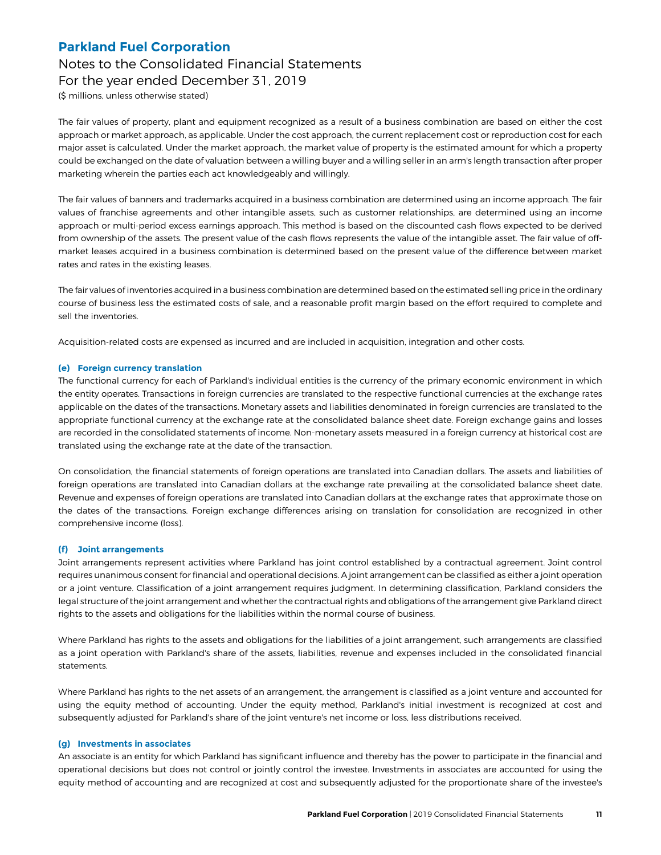### Notes to the Consolidated Financial Statements

For the year ended December 31, 2019

(\$ millions, unless otherwise stated)

The fair values of property, plant and equipment recognized as a result of a business combination are based on either the cost approach or market approach, as applicable. Under the cost approach, the current replacement cost or reproduction cost for each major asset is calculated. Under the market approach, the market value of property is the estimated amount for which a property could be exchanged on the date of valuation between a willing buyer and a willing seller in an arm's length transaction after proper marketing wherein the parties each act knowledgeably and willingly.

The fair values of banners and trademarks acquired in a business combination are determined using an income approach. The fair values of franchise agreements and other intangible assets, such as customer relationships, are determined using an income approach or multi-period excess earnings approach. This method is based on the discounted cash flows expected to be derived from ownership of the assets. The present value of the cash flows represents the value of the intangible asset. The fair value of offmarket leases acquired in a business combination is determined based on the present value of the difference between market rates and rates in the existing leases.

The fair values of inventories acquired in a business combination are determined based on the estimated selling price in the ordinary course of business less the estimated costs of sale, and a reasonable profit margin based on the effort required to complete and sell the inventories.

Acquisition-related costs are expensed as incurred and are included in acquisition, integration and other costs.

#### **(e) Foreign currency translation**

The functional currency for each of Parkland's individual entities is the currency of the primary economic environment in which the entity operates. Transactions in foreign currencies are translated to the respective functional currencies at the exchange rates applicable on the dates of the transactions. Monetary assets and liabilities denominated in foreign currencies are translated to the appropriate functional currency at the exchange rate at the consolidated balance sheet date. Foreign exchange gains and losses are recorded in the consolidated statements of income. Non-monetary assets measured in a foreign currency at historical cost are translated using the exchange rate at the date of the transaction.

On consolidation, the financial statements of foreign operations are translated into Canadian dollars. The assets and liabilities of foreign operations are translated into Canadian dollars at the exchange rate prevailing at the consolidated balance sheet date. Revenue and expenses of foreign operations are translated into Canadian dollars at the exchange rates that approximate those on the dates of the transactions. Foreign exchange differences arising on translation for consolidation are recognized in other comprehensive income (loss).

### **(f) Joint arrangements**

Joint arrangements represent activities where Parkland has joint control established by a contractual agreement. Joint control requires unanimous consent for financial and operational decisions. A joint arrangement can be classified as either a joint operation or a joint venture. Classification of a joint arrangement requires judgment. In determining classification, Parkland considers the legal structure of the joint arrangement and whether the contractual rights and obligations of the arrangement give Parkland direct rights to the assets and obligations for the liabilities within the normal course of business.

Where Parkland has rights to the assets and obligations for the liabilities of a joint arrangement, such arrangements are classified as a joint operation with Parkland's share of the assets, liabilities, revenue and expenses included in the consolidated financial statements.

Where Parkland has rights to the net assets of an arrangement, the arrangement is classified as a joint venture and accounted for using the equity method of accounting. Under the equity method, Parkland's initial investment is recognized at cost and subsequently adjusted for Parkland's share of the joint venture's net income or loss, less distributions received.

#### **(g) Investments in associates**

An associate is an entity for which Parkland has significant influence and thereby has the power to participate in the financial and operational decisions but does not control or jointly control the investee. Investments in associates are accounted for using the equity method of accounting and are recognized at cost and subsequently adjusted for the proportionate share of the investee's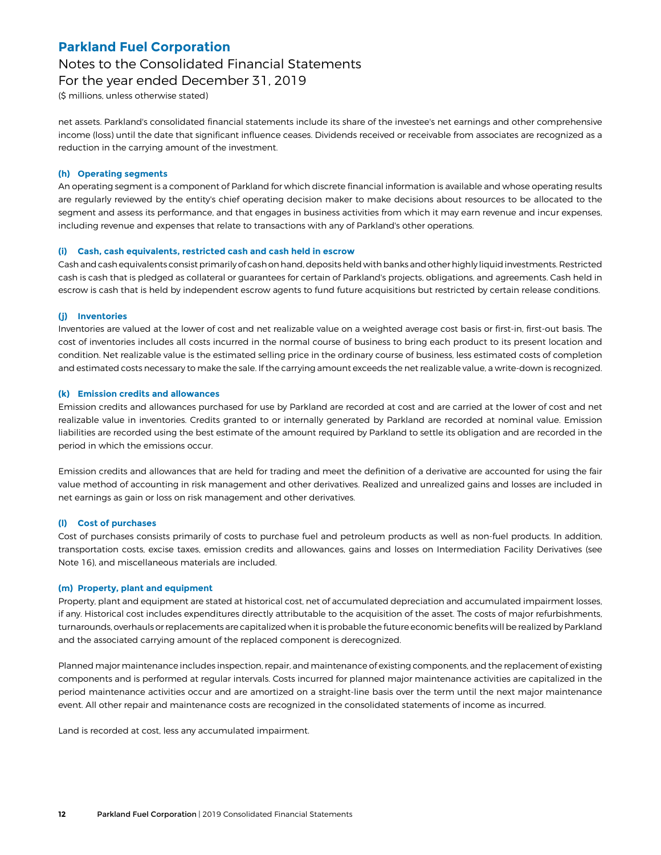### Notes to the Consolidated Financial Statements

For the year ended December 31, 2019

(\$ millions, unless otherwise stated)

net assets. Parkland's consolidated financial statements include its share of the investee's net earnings and other comprehensive income (loss) until the date that significant influence ceases. Dividends received or receivable from associates are recognized as a reduction in the carrying amount of the investment.

#### **(h) Operating segments**

An operating segment is a component of Parkland for which discrete financial information is available and whose operating results are regularly reviewed by the entity's chief operating decision maker to make decisions about resources to be allocated to the segment and assess its performance, and that engages in business activities from which it may earn revenue and incur expenses, including revenue and expenses that relate to transactions with any of Parkland's other operations.

#### **(i) Cash, cash equivalents, restricted cash and cash held in escrow**

Cash and cash equivalents consist primarily of cash on hand, deposits held with banks and other highly liquid investments. Restricted cash is cash that is pledged as collateral or guarantees for certain of Parkland's projects, obligations, and agreements. Cash held in escrow is cash that is held by independent escrow agents to fund future acquisitions but restricted by certain release conditions.

#### **(j) Inventories**

Inventories are valued at the lower of cost and net realizable value on a weighted average cost basis or first-in, first-out basis. The cost of inventories includes all costs incurred in the normal course of business to bring each product to its present location and condition. Net realizable value is the estimated selling price in the ordinary course of business, less estimated costs of completion and estimated costs necessary to make the sale. If the carrying amount exceeds the net realizable value, a write-down is recognized.

#### **(k) Emission credits and allowances**

Emission credits and allowances purchased for use by Parkland are recorded at cost and are carried at the lower of cost and net realizable value in inventories. Credits granted to or internally generated by Parkland are recorded at nominal value. Emission liabilities are recorded using the best estimate of the amount required by Parkland to settle its obligation and are recorded in the period in which the emissions occur.

Emission credits and allowances that are held for trading and meet the definition of a derivative are accounted for using the fair value method of accounting in risk management and other derivatives. Realized and unrealized gains and losses are included in net earnings as gain or loss on risk management and other derivatives.

#### **(l) Cost of purchases**

Cost of purchases consists primarily of costs to purchase fuel and petroleum products as well as non-fuel products. In addition, transportation costs, excise taxes, emission credits and allowances, gains and losses on Intermediation Facility Derivatives (see Note 16), and miscellaneous materials are included.

### **(m) Property, plant and equipment**

Property, plant and equipment are stated at historical cost, net of accumulated depreciation and accumulated impairment losses, if any. Historical cost includes expenditures directly attributable to the acquisition of the asset. The costs of major refurbishments, turnarounds, overhauls or replacements are capitalized when it is probable the future economic benefits will be realized by Parkland and the associated carrying amount of the replaced component is derecognized.

Planned major maintenance includes inspection, repair, and maintenance of existing components, and the replacement of existing components and is performed at regular intervals. Costs incurred for planned major maintenance activities are capitalized in the period maintenance activities occur and are amortized on a straight-line basis over the term until the next major maintenance event. All other repair and maintenance costs are recognized in the consolidated statements of income as incurred.

Land is recorded at cost, less any accumulated impairment.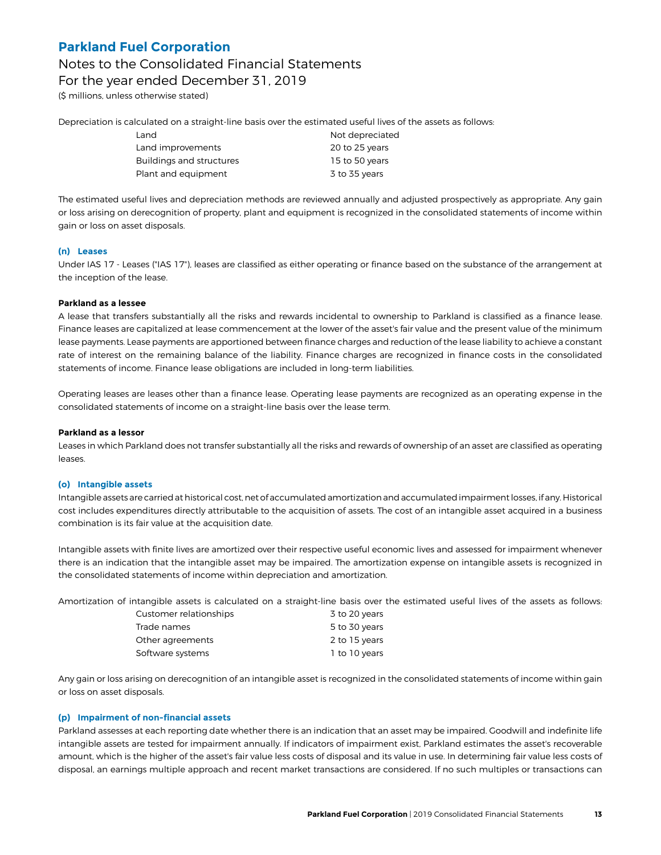### Notes to the Consolidated Financial Statements

For the year ended December 31, 2019

(\$ millions, unless otherwise stated)

Depreciation is calculated on a straight-line basis over the estimated useful lives of the assets as follows:

| Land                            | Not depreciated |
|---------------------------------|-----------------|
| Land improvements               | 20 to 25 years  |
| <b>Buildings and structures</b> | 15 to 50 years  |
| Plant and equipment             | 3 to 35 years   |

The estimated useful lives and depreciation methods are reviewed annually and adjusted prospectively as appropriate. Any gain or loss arising on derecognition of property, plant and equipment is recognized in the consolidated statements of income within gain or loss on asset disposals.

### **(n) Leases**

Under IAS 17 - Leases ("IAS 17"), leases are classified as either operating or finance based on the substance of the arrangement at the inception of the lease.

#### **Parkland as a lessee**

A lease that transfers substantially all the risks and rewards incidental to ownership to Parkland is classified as a finance lease. Finance leases are capitalized at lease commencement at the lower of the asset's fair value and the present value of the minimum lease payments. Lease payments are apportioned between finance charges and reduction of the lease liability to achieve a constant rate of interest on the remaining balance of the liability. Finance charges are recognized in finance costs in the consolidated statements of income. Finance lease obligations are included in long-term liabilities.

Operating leases are leases other than a finance lease. Operating lease payments are recognized as an operating expense in the consolidated statements of income on a straight-line basis over the lease term.

#### **Parkland as a lessor**

Leases in which Parkland does not transfer substantially all the risks and rewards of ownership of an asset are classified as operating leases.

#### **(o) Intangible assets**

Intangible assets are carried at historical cost, net of accumulated amortization and accumulated impairment losses, if any. Historical cost includes expenditures directly attributable to the acquisition of assets. The cost of an intangible asset acquired in a business combination is its fair value at the acquisition date.

Intangible assets with finite lives are amortized over their respective useful economic lives and assessed for impairment whenever there is an indication that the intangible asset may be impaired. The amortization expense on intangible assets is recognized in the consolidated statements of income within depreciation and amortization.

Amortization of intangible assets is calculated on a straight-line basis over the estimated useful lives of the assets as follows:

| Customer relationships | 3 to 20 years |
|------------------------|---------------|
| Trade names            | 5 to 30 years |
| Other agreements       | 2 to 15 years |
| Software systems       | 1 to 10 years |

Any gain or loss arising on derecognition of an intangible asset is recognized in the consolidated statements of income within gain or loss on asset disposals.

### **(p) Impairment of non-financial assets**

Parkland assesses at each reporting date whether there is an indication that an asset may be impaired. Goodwill and indefinite life intangible assets are tested for impairment annually. If indicators of impairment exist, Parkland estimates the asset's recoverable amount, which is the higher of the asset's fair value less costs of disposal and its value in use. In determining fair value less costs of disposal, an earnings multiple approach and recent market transactions are considered. If no such multiples or transactions can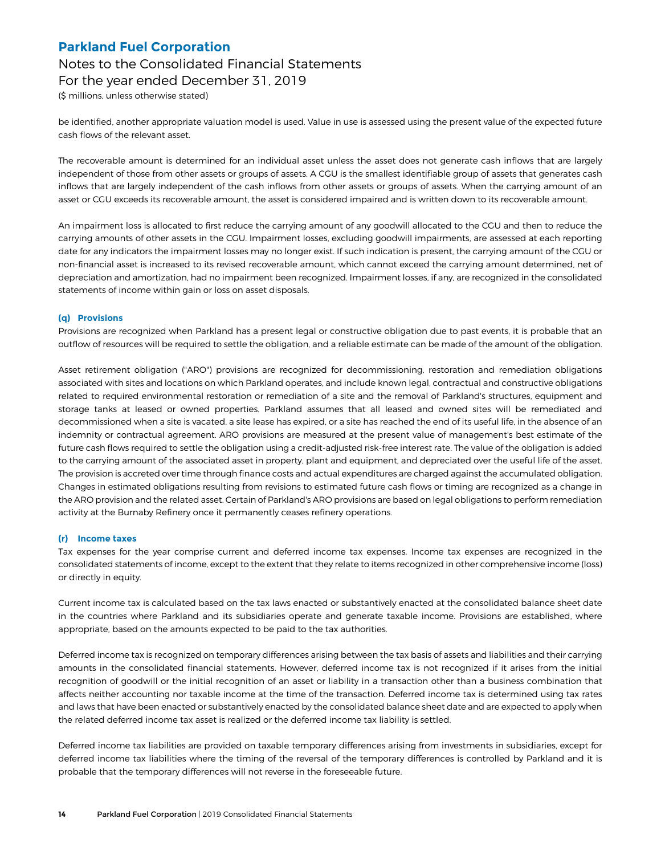# Notes to the Consolidated Financial Statements

For the year ended December 31, 2019

(\$ millions, unless otherwise stated)

be identified, another appropriate valuation model is used. Value in use is assessed using the present value of the expected future cash flows of the relevant asset.

The recoverable amount is determined for an individual asset unless the asset does not generate cash inflows that are largely independent of those from other assets or groups of assets. A CGU is the smallest identifiable group of assets that generates cash inflows that are largely independent of the cash inflows from other assets or groups of assets. When the carrying amount of an asset or CGU exceeds its recoverable amount, the asset is considered impaired and is written down to its recoverable amount.

An impairment loss is allocated to first reduce the carrying amount of any goodwill allocated to the CGU and then to reduce the carrying amounts of other assets in the CGU. Impairment losses, excluding goodwill impairments, are assessed at each reporting date for any indicators the impairment losses may no longer exist. If such indication is present, the carrying amount of the CGU or non-financial asset is increased to its revised recoverable amount, which cannot exceed the carrying amount determined, net of depreciation and amortization, had no impairment been recognized. Impairment losses, if any, are recognized in the consolidated statements of income within gain or loss on asset disposals.

### **(q) Provisions**

Provisions are recognized when Parkland has a present legal or constructive obligation due to past events, it is probable that an outflow of resources will be required to settle the obligation, and a reliable estimate can be made of the amount of the obligation.

Asset retirement obligation ("ARO") provisions are recognized for decommissioning, restoration and remediation obligations associated with sites and locations on which Parkland operates, and include known legal, contractual and constructive obligations related to required environmental restoration or remediation of a site and the removal of Parkland's structures, equipment and storage tanks at leased or owned properties. Parkland assumes that all leased and owned sites will be remediated and decommissioned when a site is vacated, a site lease has expired, or a site has reached the end of its useful life, in the absence of an indemnity or contractual agreement. ARO provisions are measured at the present value of management's best estimate of the future cash flows required to settle the obligation using a credit-adjusted risk-free interest rate. The value of the obligation is added to the carrying amount of the associated asset in property, plant and equipment, and depreciated over the useful life of the asset. The provision is accreted over time through finance costs and actual expenditures are charged against the accumulated obligation. Changes in estimated obligations resulting from revisions to estimated future cash flows or timing are recognized as a change in the ARO provision and the related asset. Certain of Parkland's ARO provisions are based on legal obligations to perform remediation activity at the Burnaby Refinery once it permanently ceases refinery operations.

#### **(r) Income taxes**

Tax expenses for the year comprise current and deferred income tax expenses. Income tax expenses are recognized in the consolidated statements of income, except to the extent that they relate to items recognized in other comprehensive income (loss) or directly in equity.

Current income tax is calculated based on the tax laws enacted or substantively enacted at the consolidated balance sheet date in the countries where Parkland and its subsidiaries operate and generate taxable income. Provisions are established, where appropriate, based on the amounts expected to be paid to the tax authorities.

Deferred income tax is recognized on temporary differences arising between the tax basis of assets and liabilities and their carrying amounts in the consolidated financial statements. However, deferred income tax is not recognized if it arises from the initial recognition of goodwill or the initial recognition of an asset or liability in a transaction other than a business combination that affects neither accounting nor taxable income at the time of the transaction. Deferred income tax is determined using tax rates and laws that have been enacted or substantively enacted by the consolidated balance sheet date and are expected to apply when the related deferred income tax asset is realized or the deferred income tax liability is settled.

Deferred income tax liabilities are provided on taxable temporary differences arising from investments in subsidiaries, except for deferred income tax liabilities where the timing of the reversal of the temporary differences is controlled by Parkland and it is probable that the temporary differences will not reverse in the foreseeable future.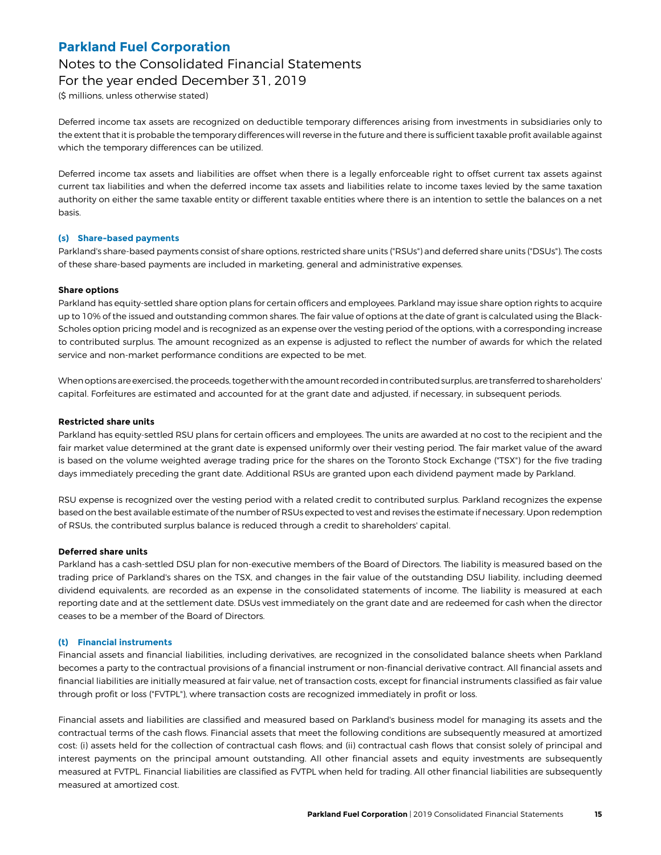### Notes to the Consolidated Financial Statements

For the year ended December 31, 2019

(\$ millions, unless otherwise stated)

Deferred income tax assets are recognized on deductible temporary differences arising from investments in subsidiaries only to the extent that it is probable the temporary differences will reverse in the future and there is sufficient taxable profit available against which the temporary differences can be utilized.

Deferred income tax assets and liabilities are offset when there is a legally enforceable right to offset current tax assets against current tax liabilities and when the deferred income tax assets and liabilities relate to income taxes levied by the same taxation authority on either the same taxable entity or different taxable entities where there is an intention to settle the balances on a net basis.

#### **(s) Share-based payments**

Parkland's share-based payments consist of share options, restricted share units ("RSUs") and deferred share units ("DSUs"). The costs of these share-based payments are included in marketing, general and administrative expenses.

#### **Share options**

Parkland has equity-settled share option plans for certain officers and employees. Parkland may issue share option rights to acquire up to 10% of the issued and outstanding common shares. The fair value of options at the date of grant is calculated using the Black-Scholes option pricing model and is recognized as an expense over the vesting period of the options, with a corresponding increase to contributed surplus. The amount recognized as an expense is adjusted to reflect the number of awards for which the related service and non-market performance conditions are expected to be met.

When options are exercised, the proceeds, together with the amount recorded in contributed surplus, are transferred to shareholders' capital. Forfeitures are estimated and accounted for at the grant date and adjusted, if necessary, in subsequent periods.

#### **Restricted share units**

Parkland has equity-settled RSU plans for certain officers and employees. The units are awarded at no cost to the recipient and the fair market value determined at the grant date is expensed uniformly over their vesting period. The fair market value of the award is based on the volume weighted average trading price for the shares on the Toronto Stock Exchange ("TSX") for the five trading days immediately preceding the grant date. Additional RSUs are granted upon each dividend payment made by Parkland.

RSU expense is recognized over the vesting period with a related credit to contributed surplus. Parkland recognizes the expense based on the best available estimate of the number of RSUs expected to vest and revises the estimate if necessary. Upon redemption of RSUs, the contributed surplus balance is reduced through a credit to shareholders' capital.

#### **Deferred share units**

Parkland has a cash-settled DSU plan for non-executive members of the Board of Directors. The liability is measured based on the trading price of Parkland's shares on the TSX, and changes in the fair value of the outstanding DSU liability, including deemed dividend equivalents, are recorded as an expense in the consolidated statements of income. The liability is measured at each reporting date and at the settlement date. DSUs vest immediately on the grant date and are redeemed for cash when the director ceases to be a member of the Board of Directors.

#### **(t) Financial instruments**

Financial assets and financial liabilities, including derivatives, are recognized in the consolidated balance sheets when Parkland becomes a party to the contractual provisions of a financial instrument or non-financial derivative contract. All financial assets and financial liabilities are initially measured at fair value, net of transaction costs, except for financial instruments classified as fair value through profit or loss ("FVTPL"), where transaction costs are recognized immediately in profit or loss.

Financial assets and liabilities are classified and measured based on Parkland's business model for managing its assets and the contractual terms of the cash flows. Financial assets that meet the following conditions are subsequently measured at amortized cost: (i) assets held for the collection of contractual cash flows; and (ii) contractual cash flows that consist solely of principal and interest payments on the principal amount outstanding. All other financial assets and equity investments are subsequently measured at FVTPL. Financial liabilities are classified as FVTPL when held for trading. All other financial liabilities are subsequently measured at amortized cost.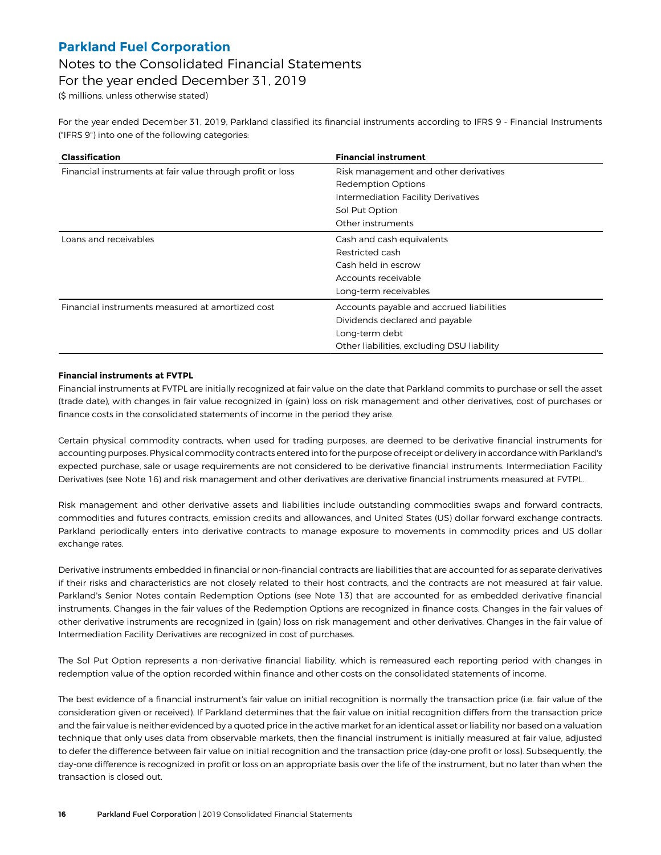### Notes to the Consolidated Financial Statements

For the year ended December 31, 2019

(\$ millions, unless otherwise stated)

For the year ended December 31, 2019, Parkland classified its financial instruments according to IFRS 9 - Financial Instruments ("IFRS 9") into one of the following categories:

| <b>Classification</b>                                      | <b>Financial instrument</b>                |
|------------------------------------------------------------|--------------------------------------------|
| Financial instruments at fair value through profit or loss | Risk management and other derivatives      |
|                                                            | <b>Redemption Options</b>                  |
|                                                            | Intermediation Facility Derivatives        |
|                                                            | Sol Put Option                             |
|                                                            | Other instruments                          |
| Loans and receivables                                      | Cash and cash equivalents                  |
|                                                            | Restricted cash                            |
|                                                            | Cash held in escrow                        |
|                                                            | Accounts receivable                        |
|                                                            | Long-term receivables                      |
| Financial instruments measured at amortized cost           | Accounts payable and accrued liabilities   |
|                                                            | Dividends declared and payable             |
|                                                            | Long-term debt                             |
|                                                            | Other liabilities, excluding DSU liability |

### **Financial instruments at FVTPL**

Financial instruments at FVTPL are initially recognized at fair value on the date that Parkland commits to purchase or sell the asset (trade date), with changes in fair value recognized in (gain) loss on risk management and other derivatives, cost of purchases or finance costs in the consolidated statements of income in the period they arise.

Certain physical commodity contracts, when used for trading purposes, are deemed to be derivative financial instruments for accounting purposes. Physical commodity contracts entered into for the purpose of receipt or delivery in accordance with Parkland's expected purchase, sale or usage requirements are not considered to be derivative financial instruments. Intermediation Facility Derivatives (see Note 16) and risk management and other derivatives are derivative financial instruments measured at FVTPL.

Risk management and other derivative assets and liabilities include outstanding commodities swaps and forward contracts, commodities and futures contracts, emission credits and allowances, and United States (US) dollar forward exchange contracts. Parkland periodically enters into derivative contracts to manage exposure to movements in commodity prices and US dollar exchange rates.

Derivative instruments embedded in financial or non-financial contracts are liabilities that are accounted for as separate derivatives if their risks and characteristics are not closely related to their host contracts, and the contracts are not measured at fair value. Parkland's Senior Notes contain Redemption Options (see Note 13) that are accounted for as embedded derivative financial instruments. Changes in the fair values of the Redemption Options are recognized in finance costs. Changes in the fair values of other derivative instruments are recognized in (gain) loss on risk management and other derivatives. Changes in the fair value of Intermediation Facility Derivatives are recognized in cost of purchases.

The Sol Put Option represents a non-derivative financial liability, which is remeasured each reporting period with changes in redemption value of the option recorded within finance and other costs on the consolidated statements of income.

The best evidence of a financial instrument's fair value on initial recognition is normally the transaction price (i.e. fair value of the consideration given or received). If Parkland determines that the fair value on initial recognition differs from the transaction price and the fair value is neither evidenced by a quoted price in the active market for an identical asset or liability nor based on a valuation technique that only uses data from observable markets, then the financial instrument is initially measured at fair value, adjusted to defer the difference between fair value on initial recognition and the transaction price (day-one profit or loss). Subsequently, the day-one difference is recognized in profit or loss on an appropriate basis over the life of the instrument, but no later than when the transaction is closed out.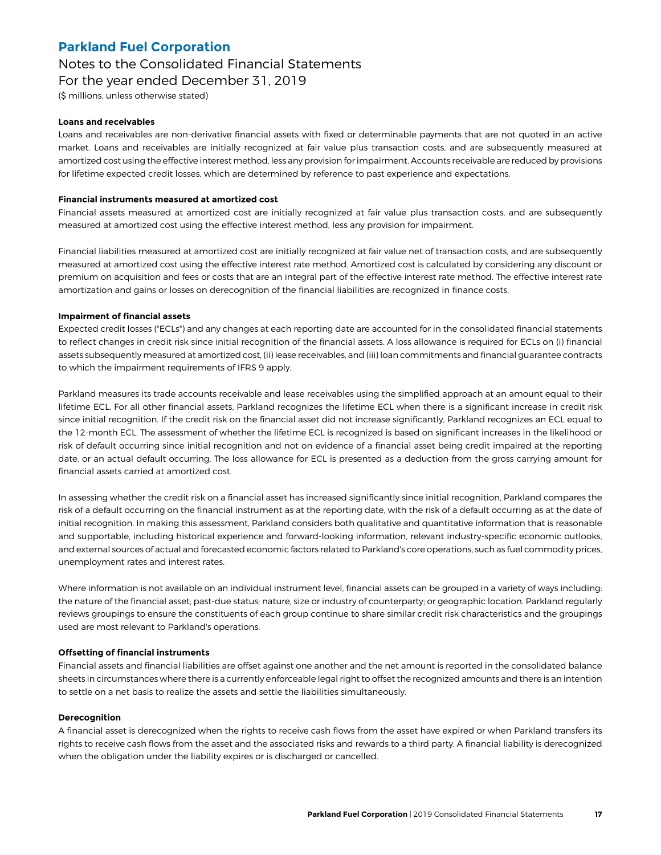### Notes to the Consolidated Financial Statements

For the year ended December 31, 2019

(\$ millions, unless otherwise stated)

#### **Loans and receivables**

Loans and receivables are non-derivative financial assets with fixed or determinable payments that are not quoted in an active market. Loans and receivables are initially recognized at fair value plus transaction costs, and are subsequently measured at amortized cost using the effective interest method, less any provision for impairment. Accounts receivable are reduced by provisions for lifetime expected credit losses, which are determined by reference to past experience and expectations.

#### **Financial instruments measured at amortized cost**

Financial assets measured at amortized cost are initially recognized at fair value plus transaction costs, and are subsequently measured at amortized cost using the effective interest method, less any provision for impairment.

Financial liabilities measured at amortized cost are initially recognized at fair value net of transaction costs, and are subsequently measured at amortized cost using the effective interest rate method. Amortized cost is calculated by considering any discount or premium on acquisition and fees or costs that are an integral part of the effective interest rate method. The effective interest rate amortization and gains or losses on derecognition of the financial liabilities are recognized in finance costs.

#### **Impairment of financial assets**

Expected credit losses ("ECLs") and any changes at each reporting date are accounted for in the consolidated financial statements to reflect changes in credit risk since initial recognition of the financial assets. A loss allowance is required for ECLs on (i) financial assets subsequently measured at amortized cost, (ii) lease receivables, and (iii) loan commitments and financial guarantee contracts to which the impairment requirements of IFRS 9 apply.

Parkland measures its trade accounts receivable and lease receivables using the simplified approach at an amount equal to their lifetime ECL. For all other financial assets, Parkland recognizes the lifetime ECL when there is a significant increase in credit risk since initial recognition. If the credit risk on the financial asset did not increase significantly, Parkland recognizes an ECL equal to the 12-month ECL. The assessment of whether the lifetime ECL is recognized is based on significant increases in the likelihood or risk of default occurring since initial recognition and not on evidence of a financial asset being credit impaired at the reporting date, or an actual default occurring. The loss allowance for ECL is presented as a deduction from the gross carrying amount for financial assets carried at amortized cost.

In assessing whether the credit risk on a financial asset has increased significantly since initial recognition, Parkland compares the risk of a default occurring on the financial instrument as at the reporting date, with the risk of a default occurring as at the date of initial recognition. In making this assessment, Parkland considers both qualitative and quantitative information that is reasonable and supportable, including historical experience and forward-looking information, relevant industry-specific economic outlooks, and external sources of actual and forecasted economic factors related to Parkland's core operations, such as fuel commodity prices, unemployment rates and interest rates.

Where information is not available on an individual instrument level, financial assets can be grouped in a variety of ways including: the nature of the financial asset; past-due status; nature, size or industry of counterparty; or geographic location. Parkland regularly reviews groupings to ensure the constituents of each group continue to share similar credit risk characteristics and the groupings used are most relevant to Parkland's operations.

#### **Offsetting of financial instruments**

Financial assets and financial liabilities are offset against one another and the net amount is reported in the consolidated balance sheets in circumstances where there is a currently enforceable legal right to offset the recognized amounts and there is an intention to settle on a net basis to realize the assets and settle the liabilities simultaneously.

#### **Derecognition**

A financial asset is derecognized when the rights to receive cash flows from the asset have expired or when Parkland transfers its rights to receive cash flows from the asset and the associated risks and rewards to a third party. A financial liability is derecognized when the obligation under the liability expires or is discharged or cancelled.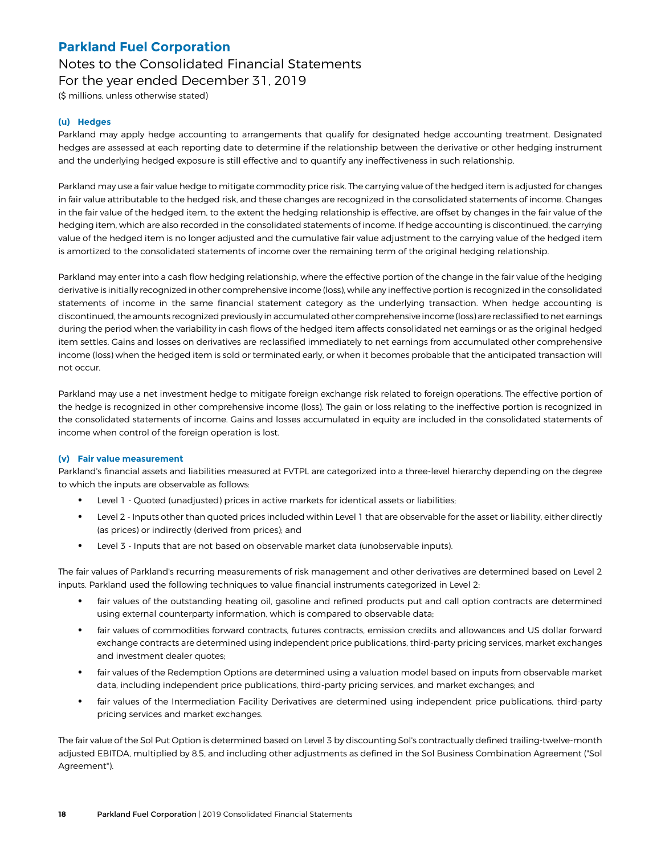### Notes to the Consolidated Financial Statements

For the year ended December 31, 2019

(\$ millions, unless otherwise stated)

### **(u) Hedges**

Parkland may apply hedge accounting to arrangements that qualify for designated hedge accounting treatment. Designated hedges are assessed at each reporting date to determine if the relationship between the derivative or other hedging instrument and the underlying hedged exposure is still effective and to quantify any ineffectiveness in such relationship.

Parkland may use a fair value hedge to mitigate commodity price risk. The carrying value of the hedged item is adjusted for changes in fair value attributable to the hedged risk, and these changes are recognized in the consolidated statements of income. Changes in the fair value of the hedged item, to the extent the hedging relationship is effective, are offset by changes in the fair value of the hedging item, which are also recorded in the consolidated statements of income. If hedge accounting is discontinued, the carrying value of the hedged item is no longer adjusted and the cumulative fair value adjustment to the carrying value of the hedged item is amortized to the consolidated statements of income over the remaining term of the original hedging relationship.

Parkland may enter into a cash flow hedging relationship, where the effective portion of the change in the fair value of the hedging derivative is initially recognized in other comprehensive income (loss), while any ineffective portion is recognized in the consolidated statements of income in the same financial statement category as the underlying transaction. When hedge accounting is discontinued, the amounts recognized previously in accumulated other comprehensive income (loss) are reclassified to net earnings during the period when the variability in cash flows of the hedged item affects consolidated net earnings or as the original hedged item settles. Gains and losses on derivatives are reclassified immediately to net earnings from accumulated other comprehensive income (loss) when the hedged item is sold or terminated early, or when it becomes probable that the anticipated transaction will not occur.

Parkland may use a net investment hedge to mitigate foreign exchange risk related to foreign operations. The effective portion of the hedge is recognized in other comprehensive income (loss). The gain or loss relating to the ineffective portion is recognized in the consolidated statements of income. Gains and losses accumulated in equity are included in the consolidated statements of income when control of the foreign operation is lost.

### **(v) Fair value measurement**

Parkland's financial assets and liabilities measured at FVTPL are categorized into a three-level hierarchy depending on the degree to which the inputs are observable as follows:

- Level 1 Quoted (unadjusted) prices in active markets for identical assets or liabilities;
- Level 2 Inputs other than quoted prices included within Level 1 that are observable for the asset or liability, either directly (as prices) or indirectly (derived from prices); and
- Level 3 Inputs that are not based on observable market data (unobservable inputs).

The fair values of Parkland's recurring measurements of risk management and other derivatives are determined based on Level 2 inputs. Parkland used the following techniques to value financial instruments categorized in Level 2:

- fair values of the outstanding heating oil, gasoline and refined products put and call option contracts are determined using external counterparty information, which is compared to observable data;
- fair values of commodities forward contracts, futures contracts, emission credits and allowances and US dollar forward exchange contracts are determined using independent price publications, third-party pricing services, market exchanges and investment dealer quotes:
- fair values of the Redemption Options are determined using a valuation model based on inputs from observable market data, including independent price publications, third-party pricing services, and market exchanges; and
- fair values of the Intermediation Facility Derivatives are determined using independent price publications, third-party pricing services and market exchanges.

The fair value of the Sol Put Option is determined based on Level 3 by discounting Sol's contractually defined trailing-twelve-month adjusted EBITDA, multiplied by 8.5, and including other adjustments as defined in the Sol Business Combination Agreement ("Sol Agreement").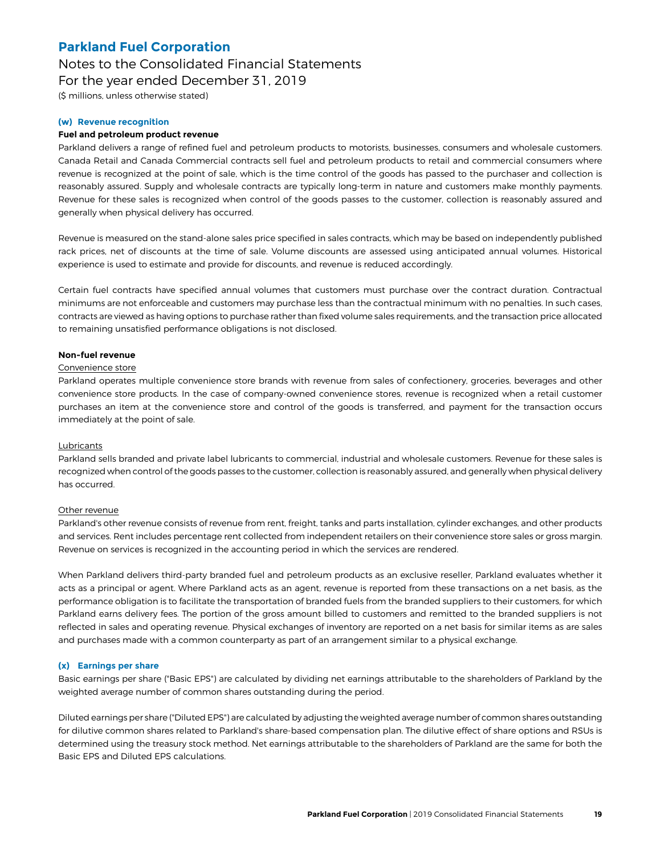# Notes to the Consolidated Financial Statements

For the year ended December 31, 2019

(\$ millions, unless otherwise stated)

#### **(w) Revenue recognition**

#### **Fuel and petroleum product revenue**

Parkland delivers a range of refined fuel and petroleum products to motorists, businesses, consumers and wholesale customers. Canada Retail and Canada Commercial contracts sell fuel and petroleum products to retail and commercial consumers where revenue is recognized at the point of sale, which is the time control of the goods has passed to the purchaser and collection is reasonably assured. Supply and wholesale contracts are typically long-term in nature and customers make monthly payments. Revenue for these sales is recognized when control of the goods passes to the customer, collection is reasonably assured and generally when physical delivery has occurred.

Revenue is measured on the stand-alone sales price specified in sales contracts, which may be based on independently published rack prices, net of discounts at the time of sale. Volume discounts are assessed using anticipated annual volumes. Historical experience is used to estimate and provide for discounts, and revenue is reduced accordingly.

Certain fuel contracts have specified annual volumes that customers must purchase over the contract duration. Contractual minimums are not enforceable and customers may purchase less than the contractual minimum with no penalties. In such cases, contracts are viewed as having options to purchase rather than fixed volume sales requirements, and the transaction price allocated to remaining unsatisfied performance obligations is not disclosed.

#### **Non-fuel revenue**

#### Convenience store

Parkland operates multiple convenience store brands with revenue from sales of confectionery, groceries, beverages and other convenience store products. In the case of company-owned convenience stores, revenue is recognized when a retail customer purchases an item at the convenience store and control of the goods is transferred, and payment for the transaction occurs immediately at the point of sale.

#### **Lubricants**

Parkland sells branded and private label lubricants to commercial, industrial and wholesale customers. Revenue for these sales is recognized when control of the goods passes to the customer, collection is reasonably assured, and generally when physical delivery has occurred.

#### Other revenue

Parkland's other revenue consists of revenue from rent, freight, tanks and parts installation, cylinder exchanges, and other products and services. Rent includes percentage rent collected from independent retailers on their convenience store sales or gross margin. Revenue on services is recognized in the accounting period in which the services are rendered.

When Parkland delivers third-party branded fuel and petroleum products as an exclusive reseller, Parkland evaluates whether it acts as a principal or agent. Where Parkland acts as an agent, revenue is reported from these transactions on a net basis, as the performance obligation is to facilitate the transportation of branded fuels from the branded suppliers to their customers, for which Parkland earns delivery fees. The portion of the gross amount billed to customers and remitted to the branded suppliers is not reflected in sales and operating revenue. Physical exchanges of inventory are reported on a net basis for similar items as are sales and purchases made with a common counterparty as part of an arrangement similar to a physical exchange.

#### **(x) Earnings per share**

Basic earnings per share ("Basic EPS") are calculated by dividing net earnings attributable to the shareholders of Parkland by the weighted average number of common shares outstanding during the period.

Diluted earnings per share ("Diluted EPS") are calculated by adjusting the weighted average number of common shares outstanding for dilutive common shares related to Parkland's share-based compensation plan. The dilutive effect of share options and RSUs is determined using the treasury stock method. Net earnings attributable to the shareholders of Parkland are the same for both the Basic EPS and Diluted EPS calculations.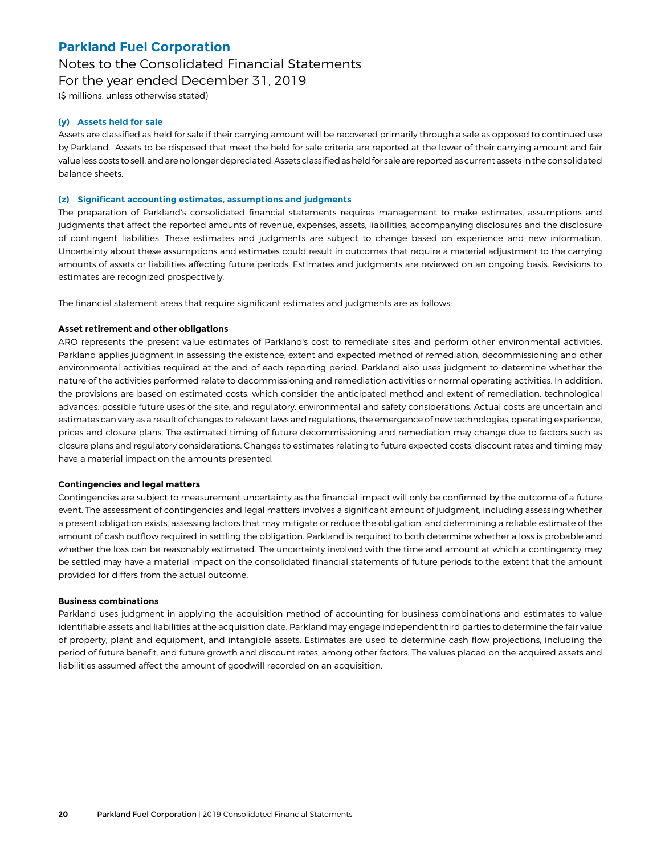### Notes to the Consolidated Financial Statements

For the year ended December 31, 2019

(\$ millions, unless otherwise stated)

### **(y) Assets held for sale**

Assets are classified as held for sale if their carrying amount will be recovered primarily through a sale as opposed to continued use by Parkland. Assets to be disposed that meet the held for sale criteria are reported at the lower of their carrying amount and fair value less costs to sell, and are no longer depreciated. Assets classified as held for sale are reported as current assets in the consolidated balance sheets.

### **(z) Significant accounting estimates, assumptions and judgments**

The preparation of Parkland's consolidated financial statements requires management to make estimates, assumptions and judgments that affect the reported amounts of revenue, expenses, assets, liabilities, accompanying disclosures and the disclosure of contingent liabilities. These estimates and judgments are subject to change based on experience and new information. Uncertainty about these assumptions and estimates could result in outcomes that require a material adjustment to the carrying amounts of assets or liabilities affecting future periods. Estimates and judgments are reviewed on an ongoing basis. Revisions to estimates are recognized prospectively.

The financial statement areas that require significant estimates and judgments are as follows:

#### **Asset retirement and other obligations**

ARO represents the present value estimates of Parkland's cost to remediate sites and perform other environmental activities. Parkland applies judgment in assessing the existence, extent and expected method of remediation, decommissioning and other environmental activities required at the end of each reporting period. Parkland also uses judgment to determine whether the nature of the activities performed relate to decommissioning and remediation activities or normal operating activities. In addition, the provisions are based on estimated costs, which consider the anticipated method and extent of remediation, technological advances, possible future uses of the site, and regulatory, environmental and safety considerations. Actual costs are uncertain and estimates can vary as a result of changes to relevant laws and regulations, the emergence of new technologies, operating experience, prices and closure plans. The estimated timing of future decommissioning and remediation may change due to factors such as closure plans and regulatory considerations. Changes to estimates relating to future expected costs, discount rates and timing may have a material impact on the amounts presented.

#### **Contingencies and legal matters**

Contingencies are subject to measurement uncertainty as the financial impact will only be confirmed by the outcome of a future event. The assessment of contingencies and legal matters involves a significant amount of judgment, including assessing whether a present obligation exists, assessing factors that may mitigate or reduce the obligation, and determining a reliable estimate of the amount of cash outflow required in settling the obligation. Parkland is required to both determine whether a loss is probable and whether the loss can be reasonably estimated. The uncertainty involved with the time and amount at which a contingency may be settled may have a material impact on the consolidated financial statements of future periods to the extent that the amount provided for differs from the actual outcome.

#### **Business combinations**

Parkland uses judgment in applying the acquisition method of accounting for business combinations and estimates to value identifiable assets and liabilities at the acquisition date. Parkland may engage independent third parties to determine the fair value of property, plant and equipment, and intangible assets. Estimates are used to determine cash flow projections, including the period of future benefit, and future growth and discount rates, among other factors. The values placed on the acquired assets and liabilities assumed affect the amount of goodwill recorded on an acquisition.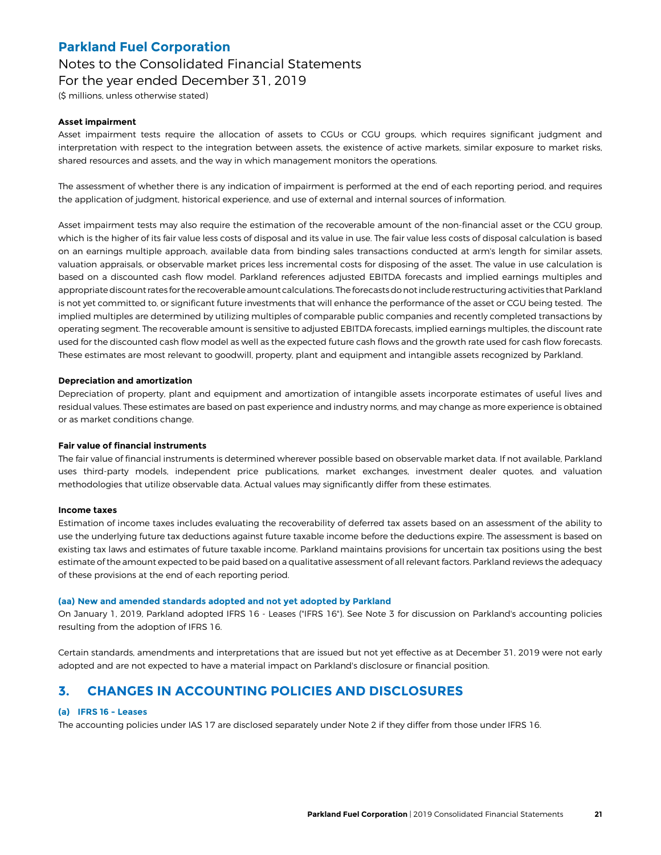### Notes to the Consolidated Financial Statements

For the year ended December 31, 2019

(\$ millions, unless otherwise stated)

#### **Asset impairment**

Asset impairment tests require the allocation of assets to CGUs or CGU groups, which requires significant judgment and interpretation with respect to the integration between assets, the existence of active markets, similar exposure to market risks, shared resources and assets, and the way in which management monitors the operations.

The assessment of whether there is any indication of impairment is performed at the end of each reporting period, and requires the application of judgment, historical experience, and use of external and internal sources of information.

Asset impairment tests may also require the estimation of the recoverable amount of the non-financial asset or the CGU group, which is the higher of its fair value less costs of disposal and its value in use. The fair value less costs of disposal calculation is based on an earnings multiple approach, available data from binding sales transactions conducted at arm's length for similar assets, valuation appraisals, or observable market prices less incremental costs for disposing of the asset. The value in use calculation is based on a discounted cash flow model. Parkland references adjusted EBITDA forecasts and implied earnings multiples and appropriate discount rates for the recoverable amount calculations. The forecasts do not include restructuring activities that Parkland is not yet committed to, or significant future investments that will enhance the performance of the asset or CGU being tested. The implied multiples are determined by utilizing multiples of comparable public companies and recently completed transactions by operating segment. The recoverable amount is sensitive to adjusted EBITDA forecasts, implied earnings multiples, the discount rate used for the discounted cash flow model as well as the expected future cash flows and the growth rate used for cash flow forecasts. These estimates are most relevant to goodwill, property, plant and equipment and intangible assets recognized by Parkland.

#### **Depreciation and amortization**

Depreciation of property, plant and equipment and amortization of intangible assets incorporate estimates of useful lives and residual values. These estimates are based on past experience and industry norms, and may change as more experience is obtained or as market conditions change.

#### **Fair value of financial instruments**

The fair value of financial instruments is determined wherever possible based on observable market data. If not available, Parkland uses third-party models, independent price publications, market exchanges, investment dealer quotes, and valuation methodologies that utilize observable data. Actual values may significantly differ from these estimates.

#### **Income taxes**

Estimation of income taxes includes evaluating the recoverability of deferred tax assets based on an assessment of the ability to use the underlying future tax deductions against future taxable income before the deductions expire. The assessment is based on existing tax laws and estimates of future taxable income. Parkland maintains provisions for uncertain tax positions using the best estimate of the amount expected to be paid based on a qualitative assessment of all relevant factors. Parkland reviews the adequacy of these provisions at the end of each reporting period.

#### **(aa) New and amended standards adopted and not yet adopted by Parkland**

On January 1, 2019, Parkland adopted IFRS 16 - Leases ("IFRS 16"). See Note 3 for discussion on Parkland's accounting policies resulting from the adoption of IFRS 16.

Certain standards, amendments and interpretations that are issued but not yet effective as at December 31, 2019 were not early adopted and are not expected to have a material impact on Parkland's disclosure or financial position.

## **3. CHANGES IN ACCOUNTING POLICIES AND DISCLOSURES**

### **(a) IFRS 16 - Leases**

The accounting policies under IAS 17 are disclosed separately under Note 2 if they differ from those under IFRS 16.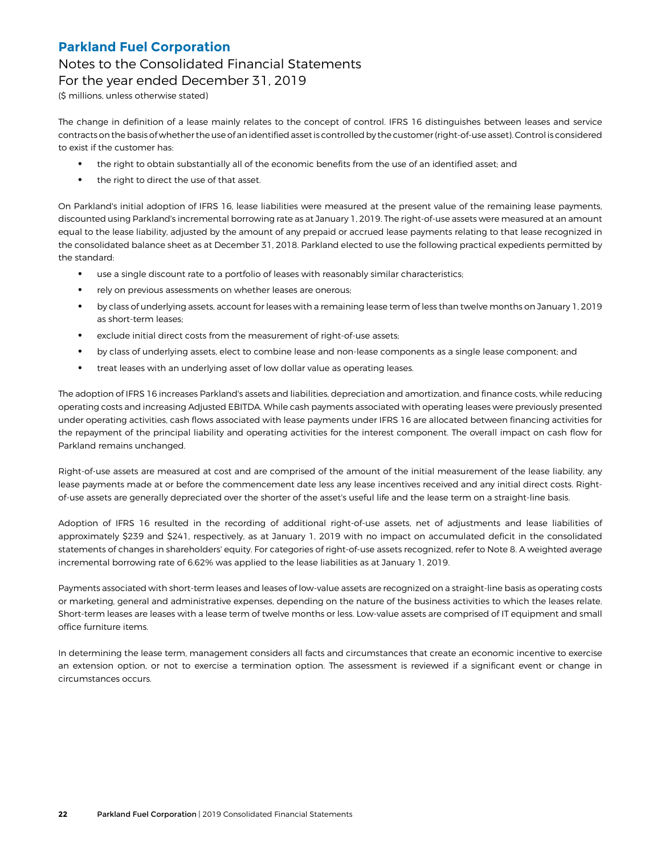### Notes to the Consolidated Financial Statements

### For the year ended December 31, 2019

(\$ millions, unless otherwise stated)

The change in definition of a lease mainly relates to the concept of control. IFRS 16 distinguishes between leases and service contracts on the basis of whether the use of an identified asset is controlled by the customer (right-of-use asset). Control is considered to exist if the customer has:

- the right to obtain substantially all of the economic benefits from the use of an identified asset; and
- the right to direct the use of that asset.

On Parkland's initial adoption of IFRS 16, lease liabilities were measured at the present value of the remaining lease payments, discounted using Parkland's incremental borrowing rate as at January 1, 2019. The right-of-use assets were measured at an amount equal to the lease liability, adjusted by the amount of any prepaid or accrued lease payments relating to that lease recognized in the consolidated balance sheet as at December 31, 2018. Parkland elected to use the following practical expedients permitted by the standard:

- use a single discount rate to a portfolio of leases with reasonably similar characteristics;
- rely on previous assessments on whether leases are onerous;
- by class of underlying assets, account for leases with a remaining lease term of less than twelve months on January 1, 2019 as short-term leases;
- exclude initial direct costs from the measurement of right-of-use assets;
- by class of underlying assets, elect to combine lease and non-lease components as a single lease component; and
- treat leases with an underlying asset of low dollar value as operating leases.

The adoption of IFRS 16 increases Parkland's assets and liabilities, depreciation and amortization, and finance costs, while reducing operating costs and increasing Adjusted EBITDA. While cash payments associated with operating leases were previously presented under operating activities, cash flows associated with lease payments under IFRS 16 are allocated between financing activities for the repayment of the principal liability and operating activities for the interest component. The overall impact on cash flow for Parkland remains unchanged.

Right-of-use assets are measured at cost and are comprised of the amount of the initial measurement of the lease liability, any lease payments made at or before the commencement date less any lease incentives received and any initial direct costs. Rightof-use assets are generally depreciated over the shorter of the asset's useful life and the lease term on a straight-line basis.

Adoption of IFRS 16 resulted in the recording of additional right-of-use assets, net of adjustments and lease liabilities of approximately \$239 and \$241, respectively, as at January 1, 2019 with no impact on accumulated deficit in the consolidated statements of changes in shareholders' equity. For categories of right-of-use assets recognized, refer to Note 8. A weighted average incremental borrowing rate of 6.62% was applied to the lease liabilities as at January 1, 2019.

Payments associated with short-term leases and leases of low-value assets are recognized on a straight-line basis as operating costs or marketing, general and administrative expenses, depending on the nature of the business activities to which the leases relate. Short-term leases are leases with a lease term of twelve months or less. Low-value assets are comprised of IT equipment and small office furniture items.

In determining the lease term, management considers all facts and circumstances that create an economic incentive to exercise an extension option, or not to exercise a termination option. The assessment is reviewed if a significant event or change in circumstances occurs.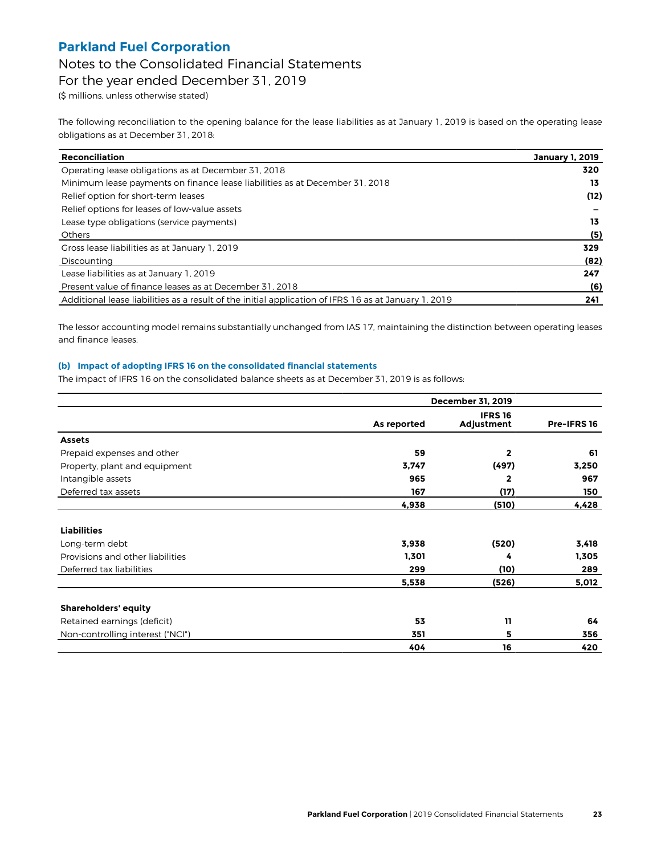### Notes to the Consolidated Financial Statements

### For the year ended December 31, 2019

(\$ millions, unless otherwise stated)

The following reconciliation to the opening balance for the lease liabilities as at January 1, 2019 is based on the operating lease obligations as at December 31, 2018:

| Reconciliation                                                                                       | <b>January 1, 2019</b> |
|------------------------------------------------------------------------------------------------------|------------------------|
| Operating lease obligations as at December 31, 2018                                                  | 320                    |
| Minimum lease payments on finance lease liabilities as at December 31, 2018                          | 13                     |
| Relief option for short-term leases                                                                  | (12)                   |
| Relief options for leases of low-value assets                                                        |                        |
| Lease type obligations (service payments)                                                            | 13                     |
| Others                                                                                               | (5)                    |
| Gross lease liabilities as at January 1, 2019                                                        | 329                    |
| Discounting                                                                                          | (82)                   |
| Lease liabilities as at January 1, 2019                                                              | 247                    |
| Present value of finance leases as at December 31, 2018                                              | (6)                    |
| Additional lease liabilities as a result of the initial application of IFRS 16 as at January 1, 2019 | 241                    |

The lessor accounting model remains substantially unchanged from IAS 17, maintaining the distinction between operating leases and finance leases.

### **(b) Impact of adopting IFRS 16 on the consolidated financial statements**

The impact of IFRS 16 on the consolidated balance sheets as at December 31, 2019 is as follows:

|                                  | December 31, 2019 |                              |             |
|----------------------------------|-------------------|------------------------------|-------------|
|                                  | As reported       | <b>IFRS 16</b><br>Adjustment | Pre-IFRS 16 |
| <b>Assets</b>                    |                   |                              |             |
| Prepaid expenses and other       | 59                | $\mathbf{2}$                 | 61          |
| Property, plant and equipment    | 3,747             | (497)                        | 3,250       |
| Intangible assets                | 965               | 2                            | 967         |
| Deferred tax assets              | 167               | (17)                         | 150         |
|                                  | 4,938             | (510)                        | 4,428       |
| <b>Liabilities</b>               |                   |                              |             |
| Long-term debt                   | 3,938             | (520)                        | 3,418       |
| Provisions and other liabilities | 1,301             | 4                            | 1,305       |
| Deferred tax liabilities         | 299               | (10)                         | 289         |
|                                  | 5,538             | (526)                        | 5,012       |
| <b>Shareholders' equity</b>      |                   |                              |             |
| Retained earnings (deficit)      | 53                | 11                           | 64          |
| Non-controlling interest ("NCI") | 351               | 5                            | 356         |
|                                  | 404               | 16                           | 420         |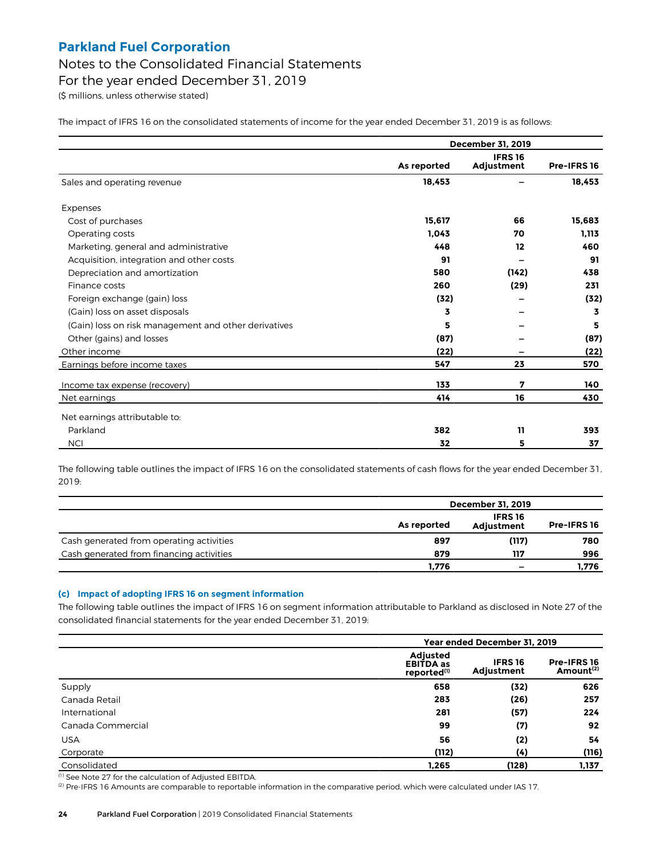## Notes to the Consolidated Financial Statements

For the year ended December 31, 2019

(\$ millions, unless otherwise stated)

The impact of IFRS 16 on the consolidated statements of income for the year ended December 31, 2019 is as follows:

|                                                      | December 31, 2019 |                              |             |  |  |
|------------------------------------------------------|-------------------|------------------------------|-------------|--|--|
|                                                      | As reported       | <b>IFRS 16</b><br>Adjustment | Pre-IFRS 16 |  |  |
| Sales and operating revenue                          | 18,453            |                              | 18,453      |  |  |
| Expenses                                             |                   |                              |             |  |  |
| Cost of purchases                                    | 15,617            | 66                           | 15,683      |  |  |
| Operating costs                                      | 1,043             | 70                           | 1,113       |  |  |
| Marketing, general and administrative                | 448               | 12                           | 460         |  |  |
| Acquisition, integration and other costs             | 91                |                              | 91          |  |  |
| Depreciation and amortization                        | 580               | (142)                        | 438         |  |  |
| Finance costs                                        | 260               | (29)                         | 231         |  |  |
| Foreign exchange (gain) loss                         | (32)              |                              | (32)        |  |  |
| (Gain) loss on asset disposals                       | 3                 |                              | 3           |  |  |
| (Gain) loss on risk management and other derivatives | 5                 |                              | 5           |  |  |
| Other (gains) and losses                             | (87)              |                              | (87)        |  |  |
| Other income                                         | (22)              |                              | (22)        |  |  |
| Earnings before income taxes                         | 547               | 23                           | 570         |  |  |
| Income tax expense (recovery)                        | 133               | 7                            | 140         |  |  |
| Net earnings                                         | 414               | 16                           | 430         |  |  |
| Net earnings attributable to:                        |                   |                              |             |  |  |
| Parkland                                             | 382               | 11                           | 393         |  |  |
| <b>NCI</b>                                           | 32                | 5                            | 37          |  |  |

The following table outlines the impact of IFRS 16 on the consolidated statements of cash flows for the year ended December 31, 2019:

|                                          |             | December 31, 2019            |                    |  |  |
|------------------------------------------|-------------|------------------------------|--------------------|--|--|
|                                          | As reported | <b>IFRS 16</b><br>Adjustment | <b>Pre-IFRS 16</b> |  |  |
| Cash generated from operating activities | 897         | (117)                        | 780                |  |  |
| Cash generated from financing activities | 879         | 117                          | 996                |  |  |
|                                          | 1.776       | -                            | 1.776              |  |  |

### **(c) Impact of adopting IFRS 16 on segment information**

The following table outlines the impact of IFRS 16 on segment information attributable to Parkland as disclosed in Note 27 of the consolidated financial statements for the year ended December 31, 2019:

|                   |                                                         | Year ended December 31, 2019 |                                      |  |  |
|-------------------|---------------------------------------------------------|------------------------------|--------------------------------------|--|--|
|                   | Adjusted<br><b>EBITDA</b> as<br>reported <sup>(1)</sup> | <b>IFRS 16</b><br>Adjustment | Pre-IFRS 16<br>Amount <sup>(2)</sup> |  |  |
| Supply            | 658                                                     | (32)                         | 626                                  |  |  |
| Canada Retail     | 283                                                     | (26)                         | 257                                  |  |  |
| International     | 281                                                     | (57)                         | 224                                  |  |  |
| Canada Commercial | 99                                                      | (7)                          | 92                                   |  |  |
| <b>USA</b>        | 56                                                      | (2)                          | 54                                   |  |  |
| Corporate         | (112)                                                   | (4)                          | (116)                                |  |  |
| Consolidated      | 1.265                                                   | (128)                        | 1,137                                |  |  |

(1) See Note 27 for the calculation of Adjusted EBITDA.

<sup>(2)</sup> Pre-IFRS 16 Amounts are comparable to reportable information in the comparative period, which were calculated under IAS 17.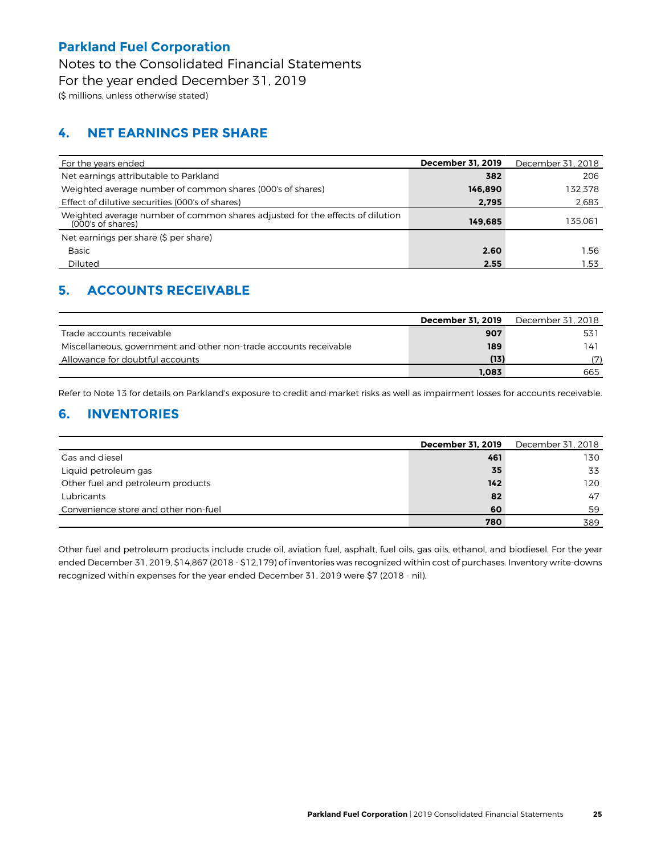Notes to the Consolidated Financial Statements For the year ended December 31, 2019 (\$ millions, unless otherwise stated)

# **4. NET EARNINGS PER SHARE**

| For the years ended                                                                                | December 31, 2019 | December 31, 2018 |
|----------------------------------------------------------------------------------------------------|-------------------|-------------------|
| Net earnings attributable to Parkland                                                              | 382               | 206               |
| Weighted average number of common shares (000's of shares)                                         | 146.890           | 132.378           |
| Effect of dilutive securities (000's of shares)                                                    | 2.795             | 2,683             |
| Weighted average number of common shares adjusted for the effects of dilution<br>(000's of shares) | 149.685           | 135.061           |
| Net earnings per share (\$ per share)                                                              |                   |                   |
| Basic                                                                                              | 2.60              | 1.56              |
| <b>Diluted</b>                                                                                     | 2.55              | 1.53              |

# **5. ACCOUNTS RECEIVABLE**

|                                                                   | December 31, 2019 | December 31, 2018 |
|-------------------------------------------------------------------|-------------------|-------------------|
| Trade accounts receivable                                         | 907               | 531               |
| Miscellaneous, government and other non-trade accounts receivable | 189               | 141               |
| Allowance for doubtful accounts                                   | (13)              |                   |
|                                                                   | 1.083             | 665               |

Refer to Note 13 for details on Parkland's exposure to credit and market risks as well as impairment losses for accounts receivable.

## **6. INVENTORIES**

|                                      | December 31, 2019 | December 31, 2018 |
|--------------------------------------|-------------------|-------------------|
| Gas and diesel                       | 461               | 130               |
| Liquid petroleum gas                 | 35                | 33                |
| Other fuel and petroleum products    | 142               | 120               |
| Lubricants                           | 82                | 47                |
| Convenience store and other non-fuel | 60                | 59                |
|                                      | 780               | 389               |

Other fuel and petroleum products include crude oil, aviation fuel, asphalt, fuel oils, gas oils, ethanol, and biodiesel. For the year ended December 31, 2019, \$14,867 (2018 - \$12,179) of inventories was recognized within cost of purchases. Inventory write-downs recognized within expenses for the year ended December 31, 2019 were \$7 (2018 - nil).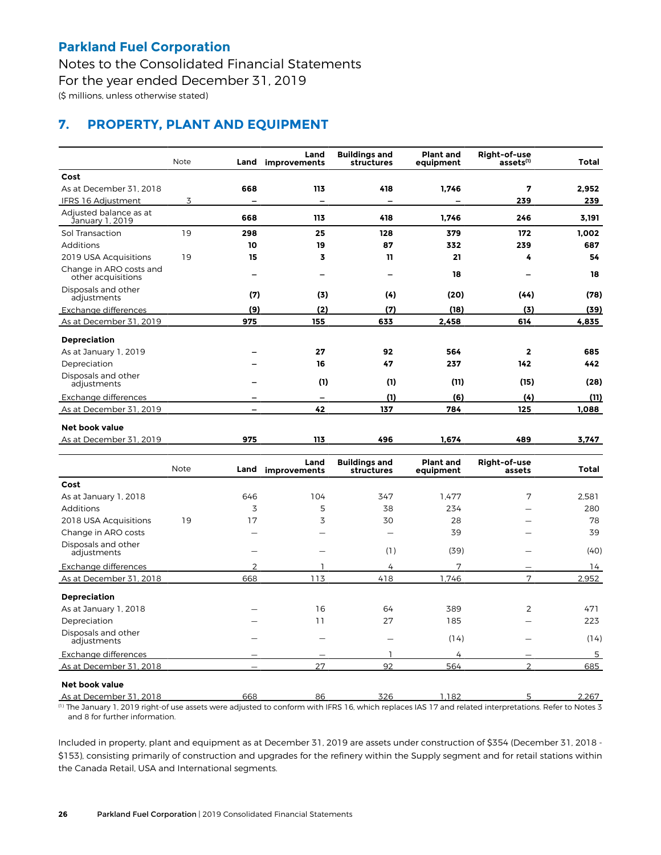Notes to the Consolidated Financial Statements For the year ended December 31, 2019 (\$ millions, unless otherwise stated)

# **7. PROPERTY, PLANT AND EQUIPMENT**

|                                               | Note | Land | Land<br>improvements | <b>Buildings and</b><br><b>structures</b> | <b>Plant and</b><br>equipment | Right-of-use<br>assets <sup>(1)</sup> | Total |
|-----------------------------------------------|------|------|----------------------|-------------------------------------------|-------------------------------|---------------------------------------|-------|
| Cost                                          |      |      |                      |                                           |                               |                                       |       |
| As at December 31, 2018                       |      | 668  | 113                  | 418                                       | 1,746                         | 7                                     | 2,952 |
| IFRS 16 Adjustment                            | 3    |      |                      |                                           |                               | 239                                   | 239   |
| Adjusted balance as at<br>January 1, 2019     |      | 668  | 113                  | 418                                       | 1.746                         | 246                                   | 3,191 |
| Sol Transaction                               | 19   | 298  | 25                   | 128                                       | 379                           | 172                                   | 1.002 |
| Additions                                     |      | 10   | 19                   | 87                                        | 332                           | 239                                   | 687   |
| 2019 USA Acquisitions                         | 19   | 15   | 3                    | 11                                        | 21                            | 4                                     | 54    |
| Change in ARO costs and<br>other acquisitions |      |      |                      |                                           | 18                            |                                       | 18    |
| Disposals and other<br>adjustments            |      | (7)  | (3)                  | (4)                                       | (20)                          | (44)                                  | (78)  |
| Exchange differences                          |      | (9)  | (2)                  | (7)                                       | (18)                          | (3)                                   | (39)  |
| As at December 31, 2019                       |      | 975  | 155                  | 633                                       | 2,458                         | 614                                   | 4,835 |
| <b>Depreciation</b>                           |      |      |                      |                                           |                               |                                       |       |
| As at January 1, 2019                         |      |      | 27                   | 92                                        | 564                           | $\overline{2}$                        | 685   |
| Depreciation                                  |      |      | 16                   | 47                                        | 237                           | 142                                   | 442   |
| Disposals and other<br>adjustments            |      |      | (1)                  | (1)                                       | (11)                          | (15)                                  | (28)  |
| Exchange differences                          |      |      |                      | (1)                                       | (6)                           | (4)                                   | (11)  |
| As at December 31, 2019                       |      |      | 42                   | 137                                       | 784                           | 125                                   | 1,088 |

|  | ¬ ∼<br>ember<br>As<br><u>.</u><br><b>DECEI</b><br>ت ∟ب ∠ | 0.75<br>. . | ---<br> | 496 | $\sim$ $\sim$ $\sim$ $\sim$<br>. .<br> | 489 | 3 747 |
|--|----------------------------------------------------------|-------------|---------|-----|----------------------------------------|-----|-------|
|--|----------------------------------------------------------|-------------|---------|-----|----------------------------------------|-----|-------|

|                                    | Note | Land | Land<br>improvements | <b>Buildings and</b><br>structures | <b>Plant and</b><br>equipment | Right-of-use<br>assets | Total |
|------------------------------------|------|------|----------------------|------------------------------------|-------------------------------|------------------------|-------|
| Cost                               |      |      |                      |                                    |                               |                        |       |
| As at January 1, 2018              |      | 646  | 104                  | 347                                | 1.477                         | 7                      | 2,581 |
| Additions                          |      | 3    | 5                    | 38                                 | 234                           |                        | 280   |
| 2018 USA Acquisitions              | 19   | 17   | 3                    | 30                                 | 28                            |                        | 78    |
| Change in ARO costs                |      |      |                      | -                                  | 39                            |                        | 39    |
| Disposals and other<br>adjustments |      |      |                      | (1)                                | (39)                          |                        | (40)  |
| Exchange differences               |      |      |                      | 4                                  | 7                             |                        | 14    |
| As at December 31, 2018            |      | 668  | 113                  | 418                                | 1,746                         | 7                      | 2,952 |
| <b>Depreciation</b>                |      |      |                      |                                    |                               |                        |       |
| As at January 1, 2018              |      |      | 16                   | 64                                 | 389                           | 2                      | 471   |
| Depreciation                       |      |      | 11                   | 27                                 | 185                           |                        | 223   |
| Disposals and other<br>adjustments |      |      |                      |                                    | (14)                          |                        | (14)  |
| Exchange differences               |      |      |                      |                                    | 4                             |                        | 5     |
| As at December 31, 2018            |      |      | 27                   | 92                                 | 564                           | $\overline{2}$         | 685   |
| <b>Net book value</b>              |      |      |                      |                                    |                               |                        |       |

As at December 31, 2018 100 1068 1068 1068 1068 1068 326 1,182 1,182 1,182 1,182 1,182 1,182 1,267 (1) The January 1, 2019 right-of use assets were adjusted to conform with IFRS 16, which replaces IAS 17 and related interpretations. Refer to Notes 3 and 8 for further information.

Included in property, plant and equipment as at December 31, 2019 are assets under construction of \$354 (December 31, 2018 - \$153), consisting primarily of construction and upgrades for the refinery within the Supply segment and for retail stations within the Canada Retail, USA and International segments.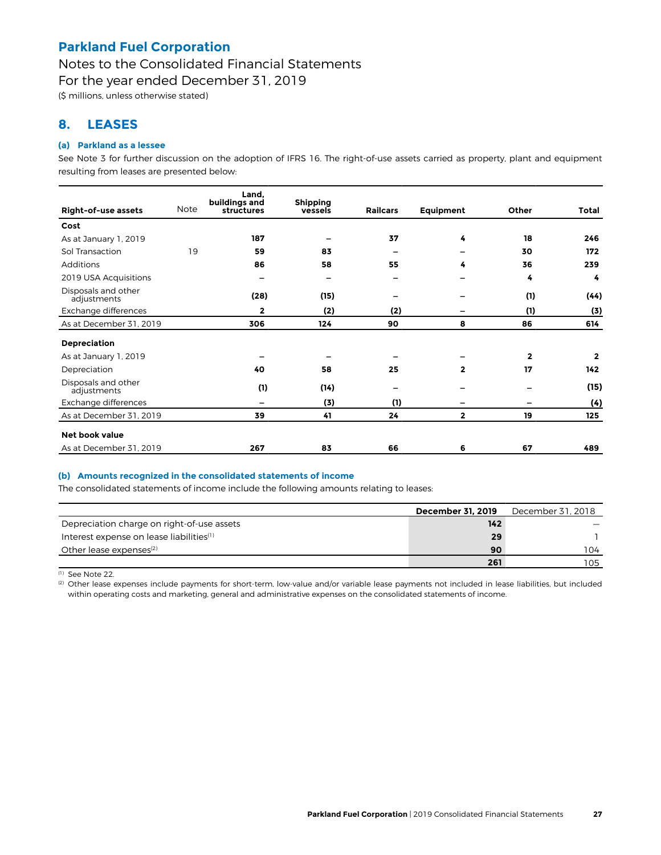### Notes to the Consolidated Financial Statements For the year ended December 31, 2019

(\$ millions, unless otherwise stated)

### **8. LEASES**

#### **(a) Parkland as a lessee**

See Note 3 for further discussion on the adoption of IFRS 16. The right-of-use assets carried as property, plant and equipment resulting from leases are presented below:

| Right-of-use assets                | Note | Land,<br>buildings and<br>structures | <b>Shipping</b><br>vessels | <b>Railcars</b> | Equipment    | Other        | Total          |
|------------------------------------|------|--------------------------------------|----------------------------|-----------------|--------------|--------------|----------------|
| Cost                               |      |                                      |                            |                 |              |              |                |
| As at January 1, 2019              |      | 187                                  |                            | 37              | 4            | 18           | 246            |
| Sol Transaction                    | 19   | 59                                   | 83                         |                 |              | 30           | 172            |
| Additions                          |      | 86                                   | 58                         | 55              | 4            | 36           | 239            |
| 2019 USA Acquisitions              |      |                                      |                            |                 |              | 4            | 4              |
| Disposals and other<br>adjustments |      | (28)                                 | (15)                       |                 |              | (1)          | (44)           |
| Exchange differences               |      | $\mathbf{2}$                         | (2)                        | (2)             |              | (1)          | (3)            |
| As at December 31, 2019            |      | 306                                  | 124                        | 90              | 8            | 86           | 614            |
| Depreciation                       |      |                                      |                            |                 |              |              |                |
| As at January 1, 2019              |      |                                      |                            |                 |              | $\mathbf{2}$ | $\overline{2}$ |
| Depreciation                       |      | 40                                   | 58                         | 25              | $\mathbf{2}$ | 17           | 142            |
| Disposals and other<br>adjustments |      | (1)                                  | (14)                       |                 |              |              | (15)           |
| Exchange differences               |      |                                      | (3)                        | (1)             |              |              | (4)            |
| As at December 31, 2019            |      | 39                                   | 41                         | 24              | $\mathbf{2}$ | 19           | 125            |
| <b>Net book value</b>              |      |                                      |                            |                 |              |              |                |
| As at December 31, 2019            |      | 267                                  | 83                         | 66              | 6            | 67           | 489            |

#### **(b) Amounts recognized in the consolidated statements of income**

The consolidated statements of income include the following amounts relating to leases:

|                                                      | December 31, 2019 | December 31, 2018 |
|------------------------------------------------------|-------------------|-------------------|
| Depreciation charge on right-of-use assets           | 142               |                   |
| Interest expense on lease liabilities <sup>(1)</sup> | 29                |                   |
| Other lease expenses <sup>(2)</sup>                  | 90                | I 04              |
|                                                      | 261               | 105               |

 $(1)$  See Note 22.

(2) Other lease expenses include payments for short-term, low-value and/or variable lease payments not included in lease liabilities, but included within operating costs and marketing, general and administrative expenses on the consolidated statements of income.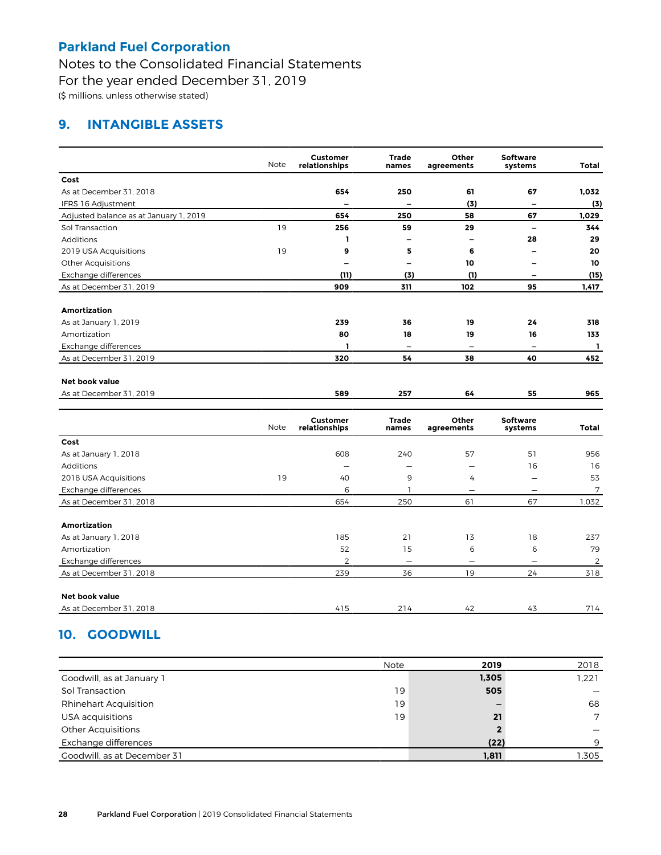Notes to the Consolidated Financial Statements For the year ended December 31, 2019 (\$ millions, unless otherwise stated)

# **9. INTANGIBLE ASSETS**

|                                           | Note | <b>Customer</b><br>relationships | <b>Trade</b><br>names    | Other<br>agreements      | Software<br>systems      | Total          |
|-------------------------------------------|------|----------------------------------|--------------------------|--------------------------|--------------------------|----------------|
| Cost                                      |      |                                  |                          |                          |                          |                |
| As at December 31, 2018                   |      | 654                              | 250                      | 61                       | 67                       | 1,032          |
| IFRS 16 Adjustment                        |      | $\overline{\phantom{0}}$         |                          | (3)                      | $\overline{\phantom{0}}$ | (3)            |
| Adjusted balance as at January 1, 2019    |      | 654                              | 250                      | 58                       | 67                       | 1,029          |
| Sol Transaction                           | 19   | 256                              | 59                       | 29                       | $\overline{\phantom{0}}$ | 344            |
| <b>Additions</b>                          |      | ı                                |                          |                          | 28                       | 29             |
| 2019 USA Acquisitions                     | 19   | 9                                | 5                        | 6                        | -                        | 20             |
| <b>Other Acquisitions</b>                 |      | $\overline{\phantom{0}}$         | $\overline{\phantom{0}}$ | 10                       |                          | 10             |
| Exchange differences                      |      | (11)                             | (3)                      | (1)                      | $\overline{\phantom{0}}$ | (15)           |
| As at December 31, 2019                   |      | 909                              | 311                      | 102                      | 95                       | 1,417          |
| Amortization                              |      |                                  |                          |                          |                          |                |
| As at January 1, 2019                     |      | 239                              | 36                       | 19                       | 24                       | 318            |
| Amortization                              |      | 80                               | 18                       | 19                       | 16                       | 133            |
| Exchange differences                      |      | ı                                | $\overline{\phantom{0}}$ | $\overline{\phantom{0}}$ | $\overline{\phantom{0}}$ | п.             |
| As at December 31, 2019                   |      | 320                              | 54                       | 38                       | 40                       | 452            |
| Net book value<br>As at December 31, 2019 |      | 589                              | 257                      | 64                       | 55                       | 965            |
|                                           | Note | <b>Customer</b><br>relationships | <b>Trade</b><br>names    | Other<br>agreements      | Software<br>systems      | Total          |
| Cost                                      |      |                                  |                          |                          |                          |                |
| As at January 1, 2018                     |      | 608                              | 240                      | 57                       | 51                       | 956            |
| Additions                                 |      | $\overline{\phantom{0}}$         | -                        |                          | 16                       | 16             |
| 2018 USA Acquisitions                     | 19   | 40                               | 9                        | 4                        | $\overline{\phantom{0}}$ | 53             |
| Exchange differences                      |      | 6                                | ı                        | $\overline{\phantom{0}}$ | $\overline{\phantom{0}}$ | 7              |
| As at December 31, 2018                   |      | 654                              | 250                      | 61                       | 67                       | 1,032          |
| Amortization                              |      |                                  |                          |                          |                          |                |
| As at January 1, 2018                     |      | 185                              | 21                       | 13                       | 18                       | 237            |
| Amortization                              |      | 52                               | 15                       | 6                        | 6                        | 79             |
| Exchange differences                      |      | $\overline{2}$                   | $\overline{\phantom{0}}$ | $\overline{\phantom{0}}$ | $\overline{\phantom{0}}$ | $\overline{2}$ |
| As at December 31, 2018                   |      | 239                              | 36                       | 19                       | 24                       | 318            |
| <b>Net book value</b>                     |      |                                  |                          |                          |                          |                |
| As at December 31, 2018                   |      | 415                              | 214                      | 42                       | 43                       | 714            |
|                                           |      |                                  |                          |                          |                          |                |

## **10. GOODWILL**

|                              | <b>Note</b> | 2019         | 2018  |
|------------------------------|-------------|--------------|-------|
| Goodwill, as at January 1    |             | 1,305        | 1,221 |
| Sol Transaction              | 19          | 505          |       |
| <b>Rhinehart Acquisition</b> | 19          |              | 68    |
| USA acquisitions             | 19          | 21           | 7     |
| <b>Other Acquisitions</b>    |             | $\mathbf{2}$ |       |
| Exchange differences         |             | (22)         | Q     |
| Goodwill, as at December 31  |             | 1,811        | 1.305 |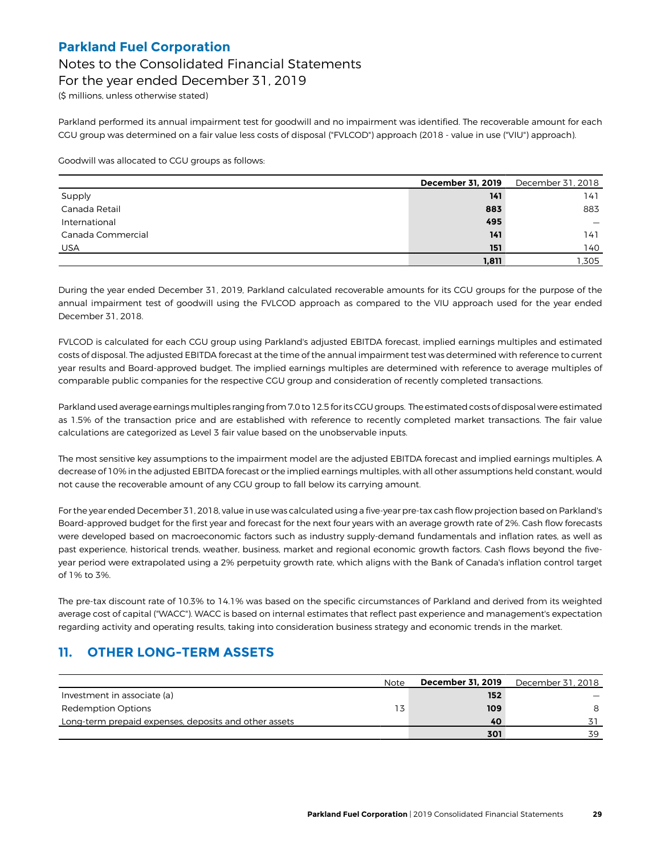# Notes to the Consolidated Financial Statements

For the year ended December 31, 2019

(\$ millions, unless otherwise stated)

Parkland performed its annual impairment test for goodwill and no impairment was identified. The recoverable amount for each CGU group was determined on a fair value less costs of disposal ("FVLCOD") approach (2018 - value in use ("VIU") approach).

Goodwill was allocated to CGU groups as follows:

|                   | December 31, 2019 | December 31, 2018 |
|-------------------|-------------------|-------------------|
| Supply            | 141               | 141               |
| Canada Retail     | 883               | 883               |
| International     | 495               |                   |
| Canada Commercial | 141               | 141               |
| <b>USA</b>        | 151               | 140               |
|                   | 1,811             | .305              |

During the year ended December 31, 2019, Parkland calculated recoverable amounts for its CGU groups for the purpose of the annual impairment test of goodwill using the FVLCOD approach as compared to the VIU approach used for the year ended December 31, 2018.

FVLCOD is calculated for each CGU group using Parkland's adjusted EBITDA forecast, implied earnings multiples and estimated costs of disposal. The adjusted EBITDA forecast at the time of the annual impairment test was determined with reference to current year results and Board-approved budget. The implied earnings multiples are determined with reference to average multiples of comparable public companies for the respective CGU group and consideration of recently completed transactions.

Parkland used average earnings multiples ranging from 7.0 to 12.5 for its CGU groups. The estimated costs of disposal were estimated as 1.5% of the transaction price and are established with reference to recently completed market transactions. The fair value calculations are categorized as Level 3 fair value based on the unobservable inputs.

The most sensitive key assumptions to the impairment model are the adjusted EBITDA forecast and implied earnings multiples. A decrease of 10% in the adjusted EBITDA forecast or the implied earnings multiples, with all other assumptions held constant, would not cause the recoverable amount of any CGU group to fall below its carrying amount.

For the year ended December 31, 2018, value in use was calculated using a five-year pre-tax cash flow projection based on Parkland's Board-approved budget for the first year and forecast for the next four years with an average growth rate of 2%. Cash flow forecasts were developed based on macroeconomic factors such as industry supply-demand fundamentals and inflation rates, as well as past experience, historical trends, weather, business, market and regional economic growth factors. Cash flows beyond the fiveyear period were extrapolated using a 2% perpetuity growth rate, which aligns with the Bank of Canada's inflation control target of 1% to 3%.

The pre-tax discount rate of 10.3% to 14.1% was based on the specific circumstances of Parkland and derived from its weighted average cost of capital ("WACC"). WACC is based on internal estimates that reflect past experience and management's expectation regarding activity and operating results, taking into consideration business strategy and economic trends in the market.

## **11. OTHER LONG-TERM ASSETS**

|                                                       | Note | December 31, 2019 | December 31, 2018 |
|-------------------------------------------------------|------|-------------------|-------------------|
| Investment in associate (a)                           |      | 152               |                   |
| Redemption Options                                    |      | 109               |                   |
| Long-term prepaid expenses, deposits and other assets |      | 40                |                   |
|                                                       |      | 301               | 39                |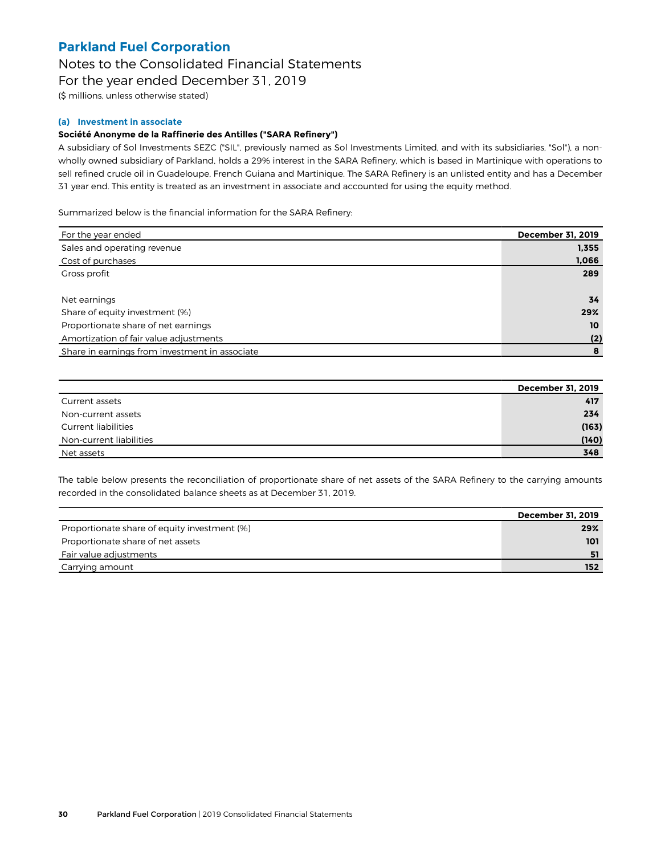### Notes to the Consolidated Financial Statements

For the year ended December 31, 2019

(\$ millions, unless otherwise stated)

### **(a) Investment in associate**

#### **Société Anonyme de la Raffinerie des Antilles ("SARA Refinery")**

A subsidiary of Sol Investments SEZC ("SIL", previously named as Sol Investments Limited, and with its subsidiaries, "Sol"), a nonwholly owned subsidiary of Parkland, holds a 29% interest in the SARA Refinery, which is based in Martinique with operations to sell refined crude oil in Guadeloupe, French Guiana and Martinique. The SARA Refinery is an unlisted entity and has a December 31 year end. This entity is treated as an investment in associate and accounted for using the equity method.

Summarized below is the financial information for the SARA Refinery:

| For the year ended                             | December 31, 2019 |
|------------------------------------------------|-------------------|
| Sales and operating revenue                    | 1,355             |
| Cost of purchases                              | 1,066             |
| Gross profit                                   | 289               |
|                                                |                   |
| Net earnings                                   | 34                |
| Share of equity investment (%)                 | 29%               |
| Proportionate share of net earnings            | 10                |
| Amortization of fair value adjustments         | (2)               |
| Share in earnings from investment in associate |                   |

|                            | <b>December 31, 2019</b> |
|----------------------------|--------------------------|
| Current assets             | 417                      |
| Non-current assets         | 234                      |
| <b>Current liabilities</b> | (163)                    |
| Non-current liabilities    | (140)                    |
| Net assets                 | 348                      |

The table below presents the reconciliation of proportionate share of net assets of the SARA Refinery to the carrying amounts recorded in the consolidated balance sheets as at December 31, 2019.

|                                              | <b>December 31, 2019</b> |
|----------------------------------------------|--------------------------|
| Proportionate share of equity investment (%) | 29%                      |
| Proportionate share of net assets            | 101                      |
| Fair value adjustments                       | 51                       |
| Carrying amount                              | 152                      |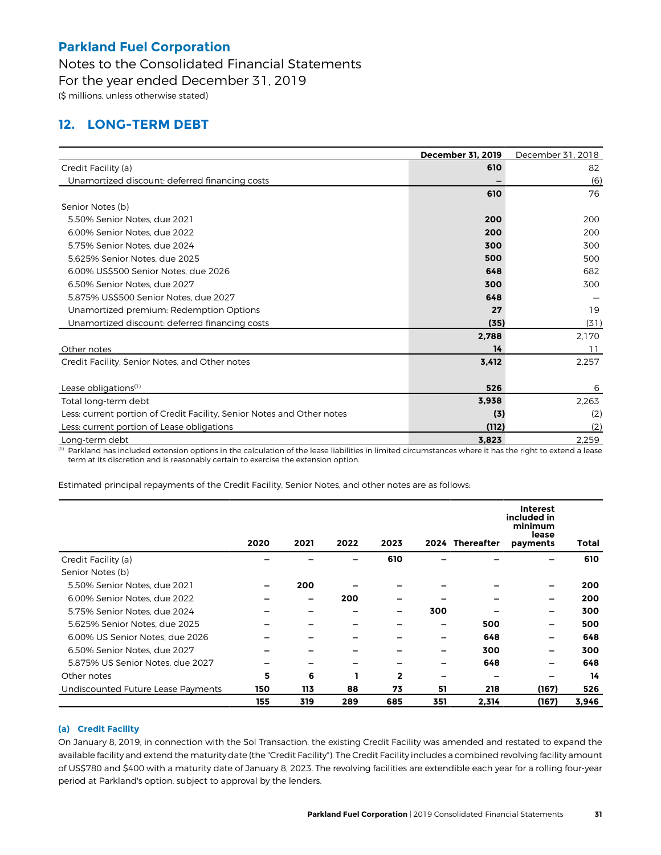Notes to the Consolidated Financial Statements For the year ended December 31, 2019 (\$ millions, unless otherwise stated)

### **12. LONG-TERM DEBT**

|                                                                        | December 31, 2019 | December 31, 2018 |
|------------------------------------------------------------------------|-------------------|-------------------|
| Credit Facility (a)                                                    | 610               | 82                |
| Unamortized discount: deferred financing costs                         |                   | (6)               |
|                                                                        | 610               | 76                |
| Senior Notes (b)                                                       |                   |                   |
| 5.50% Senior Notes, due 2021                                           | 200               | 200               |
| 6.00% Senior Notes, due 2022                                           | 200               | 200               |
| 5.75% Senior Notes, due 2024                                           | 300               | 300               |
| 5.625% Senior Notes, due 2025                                          | 500               | 500               |
| 6.00% US\$500 Senior Notes, due 2026                                   | 648               | 682               |
| 6.50% Senior Notes, due 2027                                           | 300               | 300               |
| 5.875% US\$500 Senior Notes, due 2027                                  | 648               |                   |
| Unamortized premium: Redemption Options                                | 27                | 19                |
| Unamortized discount: deferred financing costs                         | (35)              | (31)              |
|                                                                        | 2,788             | 2,170             |
| Other notes                                                            | 14                | 11                |
| Credit Facility, Senior Notes, and Other notes                         | 3,412             | 2,257             |
|                                                                        |                   |                   |
| Lease obligations <sup>(1)</sup>                                       | 526               | 6                 |
| Total long-term debt                                                   | 3,938             | 2,263             |
| Less: current portion of Credit Facility, Senior Notes and Other notes | (3)               | (2)               |
| Less: current portion of Lease obligations                             | (112)             | (2)               |
| Long-term debt                                                         | 3,823             | 2,259             |

 $\overline{10}$  Parkland has included extension options in the calculation of the lease liabilities in limited circumstances where it has the right to extend a lease term at its discretion and is reasonably certain to exercise the extension option.

Estimated principal repayments of the Credit Facility, Senior Notes, and other notes are as follows:

|                                    |                          |      |      |              |     |                 | <b>Interest</b><br>included in<br>minimum<br>lease |       |
|------------------------------------|--------------------------|------|------|--------------|-----|-----------------|----------------------------------------------------|-------|
|                                    | 2020                     | 2021 | 2022 | 2023         |     | 2024 Thereafter | payments                                           | Total |
| Credit Facility (a)                |                          |      |      | 610          |     |                 |                                                    | 610   |
| Senior Notes (b)                   |                          |      |      |              |     |                 |                                                    |       |
| 5.50% Senior Notes, due 2021       | -                        | 200  |      |              |     |                 |                                                    | 200   |
| 6.00% Senior Notes, due 2022       |                          | -    | 200  |              |     |                 |                                                    | 200   |
| 5.75% Senior Notes, due 2024       |                          |      |      |              | 300 |                 | -                                                  | 300   |
| 5.625% Senior Notes, due 2025      |                          |      |      |              |     | 500             |                                                    | 500   |
| 6.00% US Senior Notes, due 2026    |                          |      |      |              |     | 648             |                                                    | 648   |
| 6.50% Senior Notes, due 2027       |                          |      |      |              |     | 300             | -                                                  | 300   |
| 5.875% US Senior Notes, due 2027   | $\overline{\phantom{0}}$ |      |      |              |     | 648             |                                                    | 648   |
| Other notes                        | 5                        | 6    |      | $\mathbf{2}$ |     |                 |                                                    | 14    |
| Undiscounted Future Lease Payments | 150                      | 113  | 88   | 73           | 51  | 218             | (167)                                              | 526   |
|                                    | 155                      | 319  | 289  | 685          | 351 | 2,314           | (167)                                              | 3,946 |

### **(a) Credit Facility**

On January 8, 2019, in connection with the Sol Transaction, the existing Credit Facility was amended and restated to expand the available facility and extend the maturity date (the "Credit Facility"). The Credit Facility includes a combined revolving facility amount of US\$780 and \$400 with a maturity date of January 8, 2023. The revolving facilities are extendible each year for a rolling four-year period at Parkland's option, subject to approval by the lenders.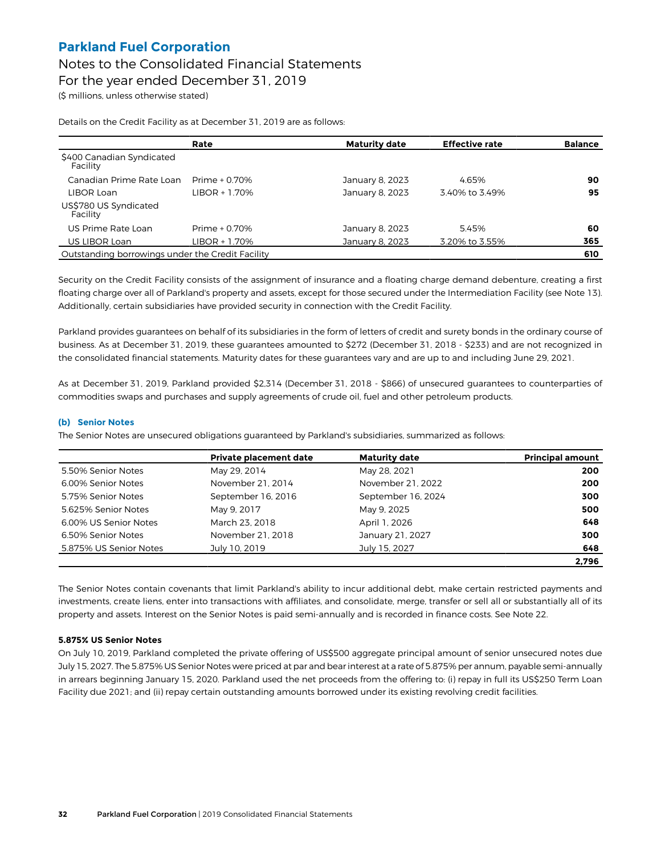### Notes to the Consolidated Financial Statements For the year ended December 31, 2019

(\$ millions, unless otherwise stated)

Details on the Credit Facility as at December 31, 2019 are as follows:

|                                                  | Rate          | <b>Maturity date</b> | <b>Effective rate</b> | <b>Balance</b> |
|--------------------------------------------------|---------------|----------------------|-----------------------|----------------|
| \$400 Canadian Syndicated<br>Facility            |               |                      |                       |                |
| Canadian Prime Rate Loan                         | Prime + 0.70% | January 8, 2023      | 4.65%                 | 90             |
| LIBOR Loan                                       | LIBOR + 1.70% | January 8, 2023      | 3.40% to 3.49%        | 95             |
| US\$780 US Syndicated<br>Facility                |               |                      |                       |                |
| US Prime Rate Loan                               | Prime + 0.70% | January 8, 2023      | 5.45%                 | 60             |
| US LIBOR Loan                                    | LIBOR + 1.70% | January 8, 2023      | 3.20% to 3.55%        | 365            |
| Outstanding borrowings under the Credit Facility |               |                      |                       | 610            |

Security on the Credit Facility consists of the assignment of insurance and a floating charge demand debenture, creating a first floating charge over all of Parkland's property and assets, except for those secured under the Intermediation Facility (see Note 13). Additionally, certain subsidiaries have provided security in connection with the Credit Facility.

Parkland provides guarantees on behalf of its subsidiaries in the form of letters of credit and surety bonds in the ordinary course of business. As at December 31, 2019, these guarantees amounted to \$272 (December 31, 2018 - \$233) and are not recognized in the consolidated financial statements. Maturity dates for these guarantees vary and are up to and including June 29, 2021.

As at December 31, 2019, Parkland provided \$2,314 (December 31, 2018 - \$866) of unsecured guarantees to counterparties of commodities swaps and purchases and supply agreements of crude oil, fuel and other petroleum products.

#### **(b) Senior Notes**

The Senior Notes are unsecured obligations guaranteed by Parkland's subsidiaries, summarized as follows:

|                        | <b>Private placement date</b> | <b>Maturity date</b> | <b>Principal amount</b> |
|------------------------|-------------------------------|----------------------|-------------------------|
| 5.50% Senior Notes     | May 29, 2014                  | May 28, 2021         | 200                     |
| 6.00% Senior Notes     | November 21, 2014             | November 21, 2022    | 200                     |
| 5.75% Senior Notes     | September 16, 2016            | September 16, 2024   | 300                     |
| 5.625% Senior Notes    | May 9, 2017                   | May 9, 2025          | 500                     |
| 6.00% US Senior Notes  | March 23, 2018                | April 1, 2026        | 648                     |
| 6.50% Senior Notes     | November 21, 2018             | January 21, 2027     | 300                     |
| 5.875% US Senior Notes | July 10, 2019                 | July 15, 2027        | 648                     |
|                        |                               |                      | 2.796                   |

The Senior Notes contain covenants that limit Parkland's ability to incur additional debt, make certain restricted payments and investments, create liens, enter into transactions with affiliates, and consolidate, merge, transfer or sell all or substantially all of its property and assets. Interest on the Senior Notes is paid semi-annually and is recorded in finance costs. See Note 22.

### **5.875% US Senior Notes**

On July 10, 2019, Parkland completed the private offering of US\$500 aggregate principal amount of senior unsecured notes due July 15, 2027. The 5.875% US Senior Notes were priced at par and bear interest at a rate of 5.875% per annum, payable semi-annually in arrears beginning January 15, 2020. Parkland used the net proceeds from the offering to: (i) repay in full its US\$250 Term Loan Facility due 2021; and (ii) repay certain outstanding amounts borrowed under its existing revolving credit facilities.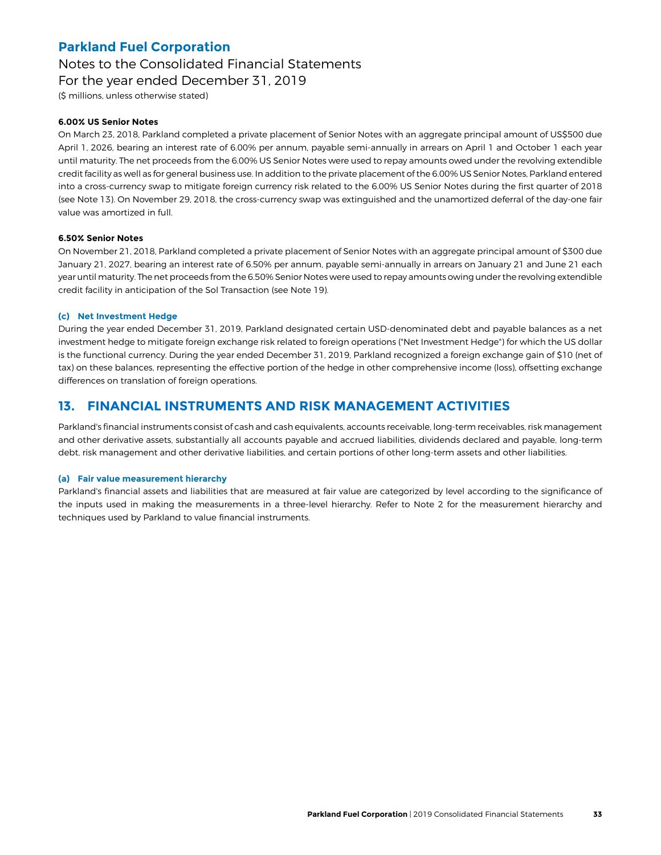### Notes to the Consolidated Financial Statements

For the year ended December 31, 2019

(\$ millions, unless otherwise stated)

### **6.00% US Senior Notes**

On March 23, 2018, Parkland completed a private placement of Senior Notes with an aggregate principal amount of US\$500 due April 1, 2026, bearing an interest rate of 6.00% per annum, payable semi-annually in arrears on April 1 and October 1 each year until maturity. The net proceeds from the 6.00% US Senior Notes were used to repay amounts owed under the revolving extendible credit facility as well as for general business use. In addition to the private placement of the 6.00% US Senior Notes, Parkland entered into a cross-currency swap to mitigate foreign currency risk related to the 6.00% US Senior Notes during the first quarter of 2018 (see Note 13). On November 29, 2018, the cross-currency swap was extinguished and the unamortized deferral of the day-one fair value was amortized in full.

### **6.50% Senior Notes**

On November 21, 2018, Parkland completed a private placement of Senior Notes with an aggregate principal amount of \$300 due January 21, 2027, bearing an interest rate of 6.50% per annum, payable semi-annually in arrears on January 21 and June 21 each year until maturity. The net proceeds from the 6.50% Senior Notes were used to repay amounts owing under the revolving extendible credit facility in anticipation of the Sol Transaction (see Note 19).

### **(c) Net Investment Hedge**

During the year ended December 31, 2019, Parkland designated certain USD-denominated debt and payable balances as a net investment hedge to mitigate foreign exchange risk related to foreign operations ("Net Investment Hedge") for which the US dollar is the functional currency. During the year ended December 31, 2019, Parkland recognized a foreign exchange gain of \$10 (net of tax) on these balances, representing the effective portion of the hedge in other comprehensive income (loss), offsetting exchange differences on translation of foreign operations.

### **13. FINANCIAL INSTRUMENTS AND RISK MANAGEMENT ACTIVITIES**

Parkland's financial instruments consist of cash and cash equivalents, accounts receivable, long-term receivables, risk management and other derivative assets, substantially all accounts payable and accrued liabilities, dividends declared and payable, long-term debt, risk management and other derivative liabilities, and certain portions of other long-term assets and other liabilities.

### **(a) Fair value measurement hierarchy**

Parkland's financial assets and liabilities that are measured at fair value are categorized by level according to the significance of the inputs used in making the measurements in a three-level hierarchy. Refer to Note 2 for the measurement hierarchy and techniques used by Parkland to value financial instruments.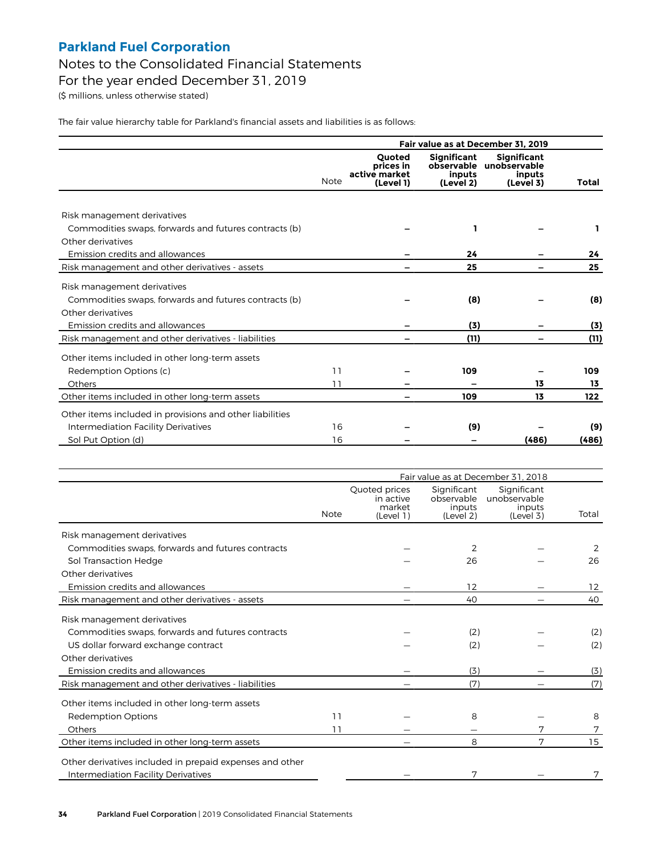# Notes to the Consolidated Financial Statements

For the year ended December 31, 2019

(\$ millions, unless otherwise stated)

The fair value hierarchy table for Parkland's financial assets and liabilities is as follows:

|                                                          | Fair value as at December 31, 2019 |                                                          |                                                         |                                                           |       |
|----------------------------------------------------------|------------------------------------|----------------------------------------------------------|---------------------------------------------------------|-----------------------------------------------------------|-------|
|                                                          | <b>Note</b>                        | <b>Ouoted</b><br>prices in<br>active market<br>(Level 1) | <b>Significant</b><br>observable<br>inputs<br>(Level 2) | <b>Significant</b><br>unobservable<br>inputs<br>(Level 3) | Total |
|                                                          |                                    |                                                          |                                                         |                                                           |       |
| Risk management derivatives                              |                                    |                                                          |                                                         |                                                           |       |
| Commodities swaps, forwards and futures contracts (b)    |                                    |                                                          |                                                         |                                                           |       |
| Other derivatives                                        |                                    |                                                          |                                                         |                                                           |       |
| Emission credits and allowances                          |                                    |                                                          | 24                                                      |                                                           | 24    |
| Risk management and other derivatives - assets           |                                    |                                                          | 25                                                      |                                                           | 25    |
| Risk management derivatives                              |                                    |                                                          |                                                         |                                                           |       |
| Commodities swaps, forwards and futures contracts (b)    |                                    |                                                          | (8)                                                     |                                                           | (8)   |
| Other derivatives                                        |                                    |                                                          |                                                         |                                                           |       |
| Emission credits and allowances                          |                                    |                                                          | (3)                                                     |                                                           | (3)   |
| Risk management and other derivatives - liabilities      |                                    |                                                          | (11)                                                    |                                                           | (11)  |
| Other items included in other long-term assets           |                                    |                                                          |                                                         |                                                           |       |
| Redemption Options (c)                                   | 11                                 |                                                          | 109                                                     |                                                           | 109   |
| Others                                                   | ו ו                                |                                                          |                                                         | 13                                                        | 13    |
| Other items included in other long-term assets           |                                    |                                                          | 109                                                     | 13                                                        | 122   |
| Other items included in provisions and other liabilities |                                    |                                                          |                                                         |                                                           |       |
| Intermediation Facility Derivatives                      | 16                                 |                                                          | (9)                                                     |                                                           | (9)   |
| Sol Put Option (d)                                       | 16                                 |                                                          |                                                         | (486)                                                     | (486) |

|                                                                                                 | Fair value as at December 31, 2018 |                                                   |                                                  |                                                    |       |
|-------------------------------------------------------------------------------------------------|------------------------------------|---------------------------------------------------|--------------------------------------------------|----------------------------------------------------|-------|
|                                                                                                 | <b>Note</b>                        | Quoted prices<br>in active<br>market<br>(Level 1) | Significant<br>observable<br>inputs<br>(Level 2) | Significant<br>unobservable<br>inputs<br>(Level 3) | Total |
| Risk management derivatives                                                                     |                                    |                                                   |                                                  |                                                    |       |
| Commodities swaps, forwards and futures contracts                                               |                                    |                                                   | 2                                                |                                                    | 2     |
| Sol Transaction Hedge                                                                           |                                    |                                                   | 26                                               |                                                    | 26    |
| Other derivatives                                                                               |                                    |                                                   |                                                  |                                                    |       |
| Emission credits and allowances                                                                 |                                    |                                                   | 12                                               |                                                    | 12    |
| Risk management and other derivatives - assets                                                  |                                    |                                                   | 40                                               |                                                    | 40    |
| Risk management derivatives                                                                     |                                    |                                                   |                                                  |                                                    |       |
| Commodities swaps, forwards and futures contracts                                               |                                    |                                                   | (2)                                              |                                                    | (2)   |
| US dollar forward exchange contract                                                             |                                    |                                                   | (2)                                              |                                                    | (2)   |
| Other derivatives                                                                               |                                    |                                                   |                                                  |                                                    |       |
| Emission credits and allowances                                                                 |                                    |                                                   | (3)                                              |                                                    | (3)   |
| Risk management and other derivatives - liabilities                                             |                                    |                                                   | (7)                                              |                                                    | (7)   |
| Other items included in other long-term assets                                                  |                                    |                                                   |                                                  |                                                    |       |
| Redemption Options                                                                              | 11                                 |                                                   | 8                                                |                                                    | 8     |
| Others                                                                                          | 11                                 |                                                   |                                                  | 7                                                  | 7     |
| Other items included in other long-term assets                                                  |                                    |                                                   | 8                                                | 7                                                  | 15    |
| Other derivatives included in prepaid expenses and other<br>Intermediation Facility Derivatives |                                    |                                                   |                                                  |                                                    | 7     |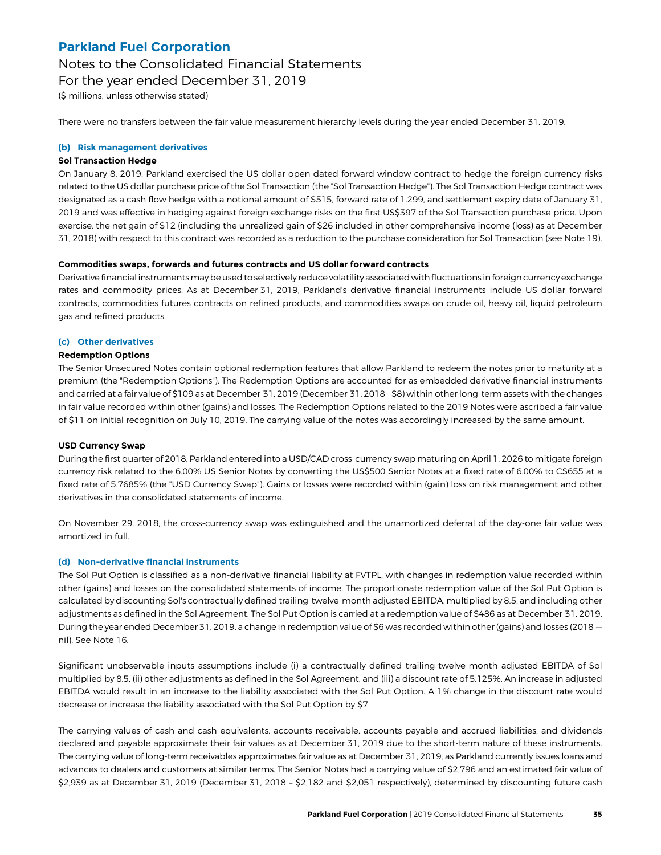### Notes to the Consolidated Financial Statements

For the year ended December 31, 2019

(\$ millions, unless otherwise stated)

There were no transfers between the fair value measurement hierarchy levels during the year ended December 31, 2019.

#### **(b) Risk management derivatives**

#### **Sol Transaction Hedge**

On January 8, 2019, Parkland exercised the US dollar open dated forward window contract to hedge the foreign currency risks related to the US dollar purchase price of the Sol Transaction (the "Sol Transaction Hedge"). The Sol Transaction Hedge contract was designated as a cash flow hedge with a notional amount of \$515, forward rate of 1.299, and settlement expiry date of January 31, 2019 and was effective in hedging against foreign exchange risks on the first US\$397 of the Sol Transaction purchase price. Upon exercise, the net gain of \$12 (including the unrealized gain of \$26 included in other comprehensive income (loss) as at December 31, 2018) with respect to this contract was recorded as a reduction to the purchase consideration for Sol Transaction (see Note 19).

#### **Commodities swaps, forwards and futures contracts and US dollar forward contracts**

Derivative financial instruments may be used to selectively reduce volatility associated with fluctuations in foreign currency exchange rates and commodity prices. As at December 31, 2019, Parkland's derivative financial instruments include US dollar forward contracts, commodities futures contracts on refined products, and commodities swaps on crude oil, heavy oil, liquid petroleum gas and refined products.

#### **(c) Other derivatives**

#### **Redemption Options**

The Senior Unsecured Notes contain optional redemption features that allow Parkland to redeem the notes prior to maturity at a premium (the "Redemption Options"). The Redemption Options are accounted for as embedded derivative financial instruments and carried at a fair value of \$109 as at December 31, 2019 (December 31, 2018 - \$8) within other long-term assets with the changes in fair value recorded within other (gains) and losses. The Redemption Options related to the 2019 Notes were ascribed a fair value of \$11 on initial recognition on July 10, 2019. The carrying value of the notes was accordingly increased by the same amount.

#### **USD Currency Swap**

During the first quarter of 2018, Parkland entered into a USD/CAD cross-currency swap maturing on April 1, 2026 to mitigate foreign currency risk related to the 6.00% US Senior Notes by converting the US\$500 Senior Notes at a fixed rate of 6.00% to C\$655 at a fixed rate of 5.7685% (the "USD Currency Swap"). Gains or losses were recorded within (gain) loss on risk management and other derivatives in the consolidated statements of income.

On November 29, 2018, the cross-currency swap was extinguished and the unamortized deferral of the day-one fair value was amortized in full.

#### **(d) Non-derivative financial instruments**

The Sol Put Option is classified as a non-derivative financial liability at FVTPL, with changes in redemption value recorded within other (gains) and losses on the consolidated statements of income. The proportionate redemption value of the Sol Put Option is calculated by discounting Sol's contractually defined trailing-twelve-month adjusted EBITDA, multiplied by 8.5, and including other adjustments as defined in the Sol Agreement. The Sol Put Option is carried at a redemption value of \$486 as at December 31, 2019. During the year ended December 31, 2019, a change in redemption value of \$6 was recorded within other (gains) and losses (2018 nil). See Note 16.

Significant unobservable inputs assumptions include (i) a contractually defined trailing-twelve-month adjusted EBITDA of Sol multiplied by 8.5, (ii) other adjustments as defined in the Sol Agreement, and (iii) a discount rate of 5.125%. An increase in adjusted EBITDA would result in an increase to the liability associated with the Sol Put Option. A 1% change in the discount rate would decrease or increase the liability associated with the Sol Put Option by \$7.

The carrying values of cash and cash equivalents, accounts receivable, accounts payable and accrued liabilities, and dividends declared and payable approximate their fair values as at December 31, 2019 due to the short-term nature of these instruments. The carrying value of long-term receivables approximates fair value as at December 31, 2019, as Parkland currently issues loans and advances to dealers and customers at similar terms. The Senior Notes had a carrying value of \$2,796 and an estimated fair value of \$2,939 as at December 31, 2019 (December 31, 2018 – \$2,182 and \$2,051 respectively), determined by discounting future cash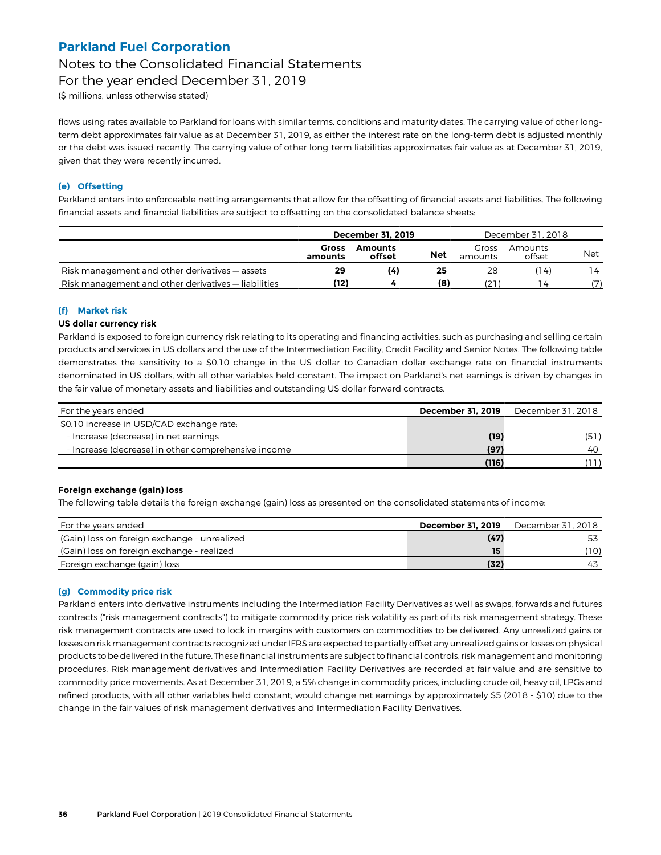### Notes to the Consolidated Financial Statements

For the year ended December 31, 2019

(\$ millions, unless otherwise stated)

flows using rates available to Parkland for loans with similar terms, conditions and maturity dates. The carrying value of other longterm debt approximates fair value as at December 31, 2019, as either the interest rate on the long-term debt is adjusted monthly or the debt was issued recently. The carrying value of other long-term liabilities approximates fair value as at December 31, 2019, given that they were recently incurred.

### **(e) Offsetting**

Parkland enters into enforceable netting arrangements that allow for the offsetting of financial assets and liabilities. The following financial assets and financial liabilities are subject to offsetting on the consolidated balance sheets:

|                                                     | December 31, 2019       |                          |     | December 31, 2018 |                   |            |
|-----------------------------------------------------|-------------------------|--------------------------|-----|-------------------|-------------------|------------|
|                                                     | <b>Gross</b><br>amounts | <b>Amounts</b><br>offset | Net | Gross<br>amounts  | Amounts<br>offset | <b>Net</b> |
| Risk management and other derivatives – assets      | 29                      | (4)                      | 25  | 28                | 14)               | 14         |
| Risk management and other derivatives – liabilities | (12)                    |                          | (8) | 21                | 14                |            |

### **(f) Market risk**

#### **US dollar currency risk**

Parkland is exposed to foreign currency risk relating to its operating and financing activities, such as purchasing and selling certain products and services in US dollars and the use of the Intermediation Facility, Credit Facility and Senior Notes. The following table demonstrates the sensitivity to a \$0.10 change in the US dollar to Canadian dollar exchange rate on financial instruments denominated in US dollars, with all other variables held constant. The impact on Parkland's net earnings is driven by changes in the fair value of monetary assets and liabilities and outstanding US dollar forward contracts.

| For the years ended                                 | December 31, 2019 | December 31, 2018 |
|-----------------------------------------------------|-------------------|-------------------|
| \$0.10 increase in USD/CAD exchange rate:           |                   |                   |
| - Increase (decrease) in net earnings               | (19)              | (51)              |
| - Increase (decrease) in other comprehensive income | (97)              | 40                |
|                                                     | (116)             |                   |

#### **Foreign exchange (gain) loss**

The following table details the foreign exchange (gain) loss as presented on the consolidated statements of income:

| For the years ended                          | December 31, 2019 | December 31, 2018 |
|----------------------------------------------|-------------------|-------------------|
| (Gain) loss on foreign exchange - unrealized | (47)              |                   |
| (Gain) loss on foreign exchange - realized   | 15                | (10               |
| Foreign exchange (gain) loss                 | (32)              | 43                |

### **(g) Commodity price risk**

Parkland enters into derivative instruments including the Intermediation Facility Derivatives as well as swaps, forwards and futures contracts ("risk management contracts") to mitigate commodity price risk volatility as part of its risk management strategy. These risk management contracts are used to lock in margins with customers on commodities to be delivered. Any unrealized gains or losses on risk management contracts recognized under IFRS are expected to partially offset any unrealized gains or losses on physical products to be delivered in the future. These financial instruments are subject to financial controls, risk management and monitoring procedures. Risk management derivatives and Intermediation Facility Derivatives are recorded at fair value and are sensitive to commodity price movements. As at December 31, 2019, a 5% change in commodity prices, including crude oil, heavy oil, LPGs and refined products, with all other variables held constant, would change net earnings by approximately \$5 (2018 - \$10) due to the change in the fair values of risk management derivatives and Intermediation Facility Derivatives.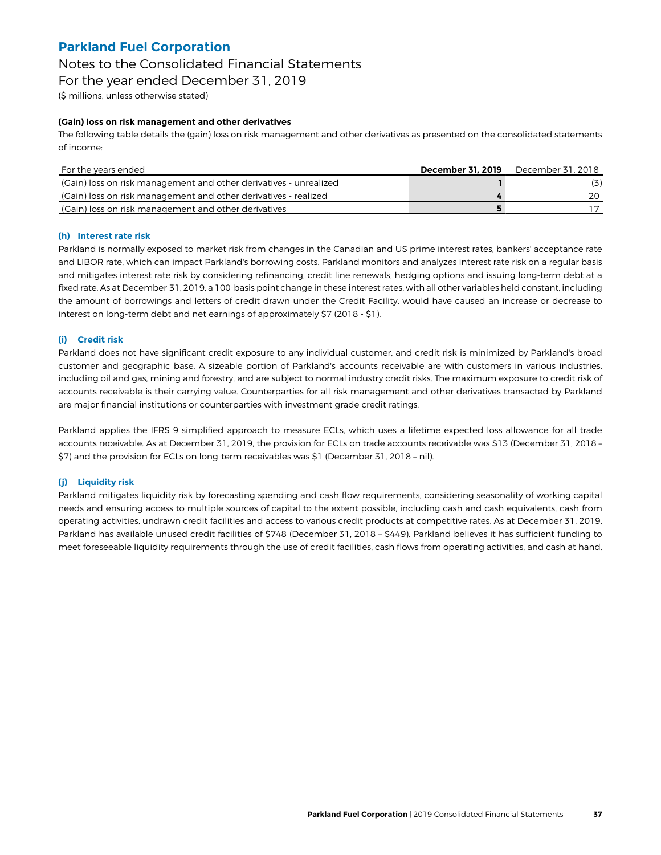### Notes to the Consolidated Financial Statements

For the year ended December 31, 2019

(\$ millions, unless otherwise stated)

### **(Gain) loss on risk management and other derivatives**

The following table details the (gain) loss on risk management and other derivatives as presented on the consolidated statements of income:

| For the years ended                                               | December 31, 2019 | December 31, 2018 |
|-------------------------------------------------------------------|-------------------|-------------------|
| (Gain) loss on risk management and other derivatives - unrealized |                   |                   |
| (Gain) loss on risk management and other derivatives - realized   |                   | 20                |
| (Gain) loss on risk management and other derivatives              |                   |                   |

#### **(h) Interest rate risk**

Parkland is normally exposed to market risk from changes in the Canadian and US prime interest rates, bankers' acceptance rate and LIBOR rate, which can impact Parkland's borrowing costs. Parkland monitors and analyzes interest rate risk on a regular basis and mitigates interest rate risk by considering refinancing, credit line renewals, hedging options and issuing long-term debt at a fixed rate. As at December 31, 2019, a 100-basis point change in these interest rates, with all other variables held constant, including the amount of borrowings and letters of credit drawn under the Credit Facility, would have caused an increase or decrease to interest on long-term debt and net earnings of approximately \$7 (2018 - \$1).

#### **(i) Credit risk**

Parkland does not have significant credit exposure to any individual customer, and credit risk is minimized by Parkland's broad customer and geographic base. A sizeable portion of Parkland's accounts receivable are with customers in various industries, including oil and gas, mining and forestry, and are subject to normal industry credit risks. The maximum exposure to credit risk of accounts receivable is their carrying value. Counterparties for all risk management and other derivatives transacted by Parkland are major financial institutions or counterparties with investment grade credit ratings.

Parkland applies the IFRS 9 simplified approach to measure ECLs, which uses a lifetime expected loss allowance for all trade accounts receivable. As at December 31, 2019, the provision for ECLs on trade accounts receivable was \$13 (December 31, 2018 – \$7) and the provision for ECLs on long-term receivables was \$1 (December 31, 2018 – nil).

#### **(j) Liquidity risk**

Parkland mitigates liquidity risk by forecasting spending and cash flow requirements, considering seasonality of working capital needs and ensuring access to multiple sources of capital to the extent possible, including cash and cash equivalents, cash from operating activities, undrawn credit facilities and access to various credit products at competitive rates. As at December 31, 2019, Parkland has available unused credit facilities of \$748 (December 31, 2018 – \$449). Parkland believes it has sufficient funding to meet foreseeable liquidity requirements through the use of credit facilities, cash flows from operating activities, and cash at hand.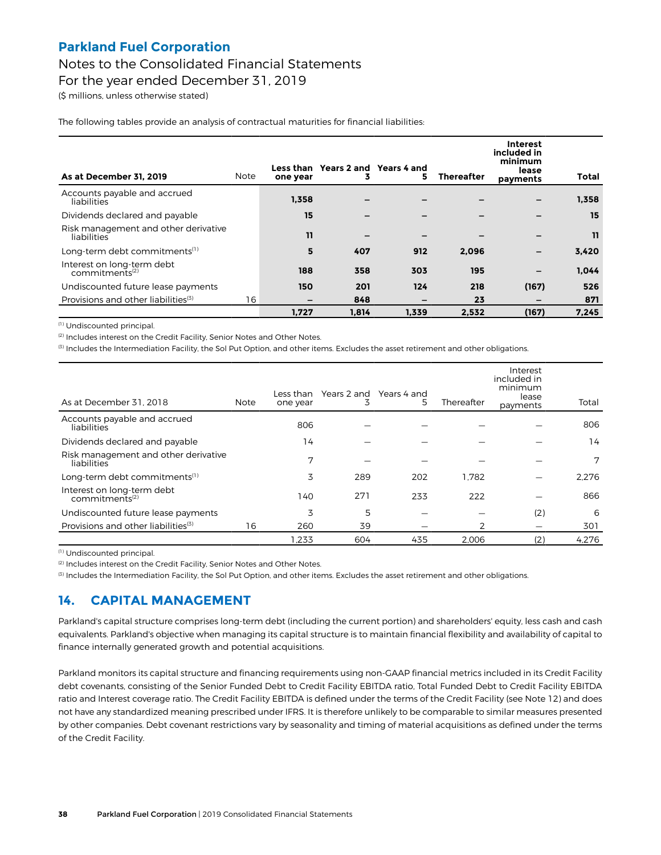# Notes to the Consolidated Financial Statements

For the year ended December 31, 2019

(\$ millions, unless otherwise stated)

The following tables provide an analysis of contractual maturities for financial liabilities:

| As at December 31, 2019                                    | Note | Less than<br>one year    | 3     | Years 2 and Years 4 and<br>5 | <b>Thereafter</b> | <b>Interest</b><br>included in<br>minimum<br>lease<br>payments | Total |
|------------------------------------------------------------|------|--------------------------|-------|------------------------------|-------------------|----------------------------------------------------------------|-------|
| Accounts payable and accrued<br>liabilities                |      | 1.358                    |       |                              |                   |                                                                | 1,358 |
| Dividends declared and payable                             |      | 15                       | -     |                              |                   |                                                                | 15    |
| Risk management and other derivative<br><b>liabilities</b> |      | 11                       | -     |                              |                   |                                                                | 11    |
| Long-term debt commitments <sup>(1)</sup>                  |      | 5                        | 407   | 912                          | 2.096             |                                                                | 3.420 |
| Interest on long-term debt<br>commitments <sup>(2)</sup>   |      | 188                      | 358   | 303                          | 195               |                                                                | 1.044 |
| Undiscounted future lease payments                         |      | 150                      | 201   | 124                          | 218               | (167)                                                          | 526   |
| Provisions and other liabilities <sup>(3)</sup>            | 16   | $\overline{\phantom{m}}$ | 848   |                              | 23                |                                                                | 871   |
|                                                            |      | 1.727                    | 1.814 | 1.339                        | 2.532             | (167)                                                          | 7,245 |

(1) Undiscounted principal.

(2) Includes interest on the Credit Facility, Senior Notes and Other Notes.

(3) Includes the Intermediation Facility, the Sol Put Option, and other items. Excludes the asset retirement and other obligations.

| As at December 31, 2018                                  | Note | Less than<br>one year | Years 2 and<br>3 | Years 4 and<br>5 | Thereafter | Interest<br>included in<br>minimum<br>lease<br>payments | Total |
|----------------------------------------------------------|------|-----------------------|------------------|------------------|------------|---------------------------------------------------------|-------|
| Accounts payable and accrued<br>liabilities              |      | 806                   |                  |                  |            |                                                         | 806   |
| Dividends declared and payable                           |      | 14                    |                  |                  |            |                                                         | 14    |
| Risk management and other derivative<br>liabilities      |      | 7                     |                  |                  |            |                                                         | 7     |
| Long-term debt commitments <sup>(1)</sup>                |      | 3                     | 289              | 202              | 1.782      |                                                         | 2.276 |
| Interest on long-term debt<br>commitments <sup>(2)</sup> |      | 140                   | 271              | 233              | 222        |                                                         | 866   |
| Undiscounted future lease payments                       |      | 3                     | 5                |                  |            | (2)                                                     | 6     |
| Provisions and other liabilities <sup>(3)</sup>          | 16   | 260                   | 39               |                  | 2          |                                                         | 301   |
|                                                          |      | 1.233                 | 604              | 435              | 2.006      | (2)                                                     | 4,276 |

(1) Undiscounted principal.

<sup>(2)</sup> Includes interest on the Credit Facility, Senior Notes and Other Notes.

<sup>(3)</sup> Includes the Intermediation Facility, the Sol Put Option, and other items. Excludes the asset retirement and other obligations.

## **14. CAPITAL MANAGEMENT**

Parkland's capital structure comprises long-term debt (including the current portion) and shareholders' equity, less cash and cash equivalents. Parkland's objective when managing its capital structure is to maintain financial flexibility and availability of capital to finance internally generated growth and potential acquisitions.

Parkland monitors its capital structure and financing requirements using non-GAAP financial metrics included in its Credit Facility debt covenants, consisting of the Senior Funded Debt to Credit Facility EBITDA ratio, Total Funded Debt to Credit Facility EBITDA ratio and Interest coverage ratio. The Credit Facility EBITDA is defined under the terms of the Credit Facility (see Note 12) and does not have any standardized meaning prescribed under IFRS. It is therefore unlikely to be comparable to similar measures presented by other companies. Debt covenant restrictions vary by seasonality and timing of material acquisitions as defined under the terms of the Credit Facility.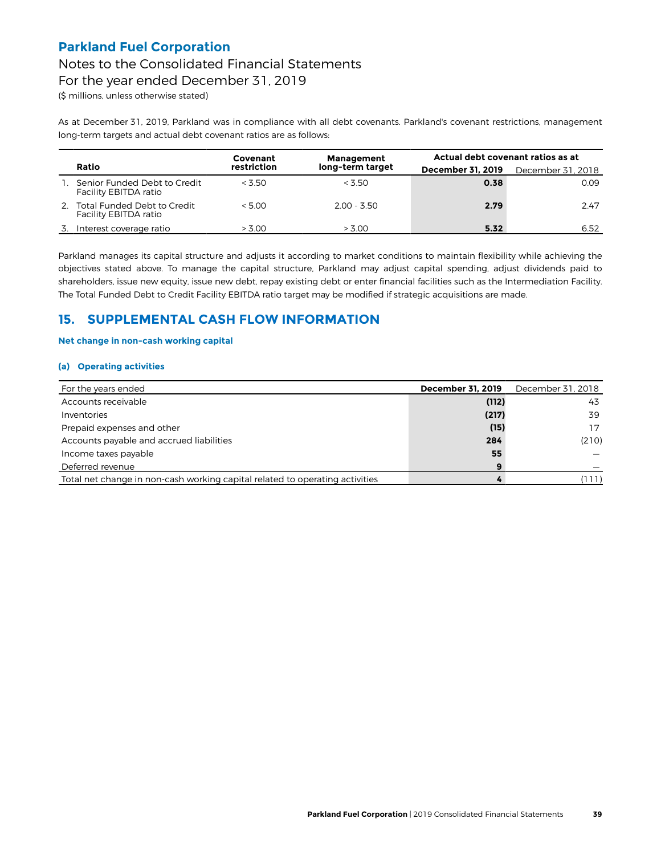# Notes to the Consolidated Financial Statements

For the year ended December 31, 2019

(\$ millions, unless otherwise stated)

As at December 31, 2019, Parkland was in compliance with all debt covenants. Parkland's covenant restrictions, management long-term targets and actual debt covenant ratios are as follows:

|    |                                                             | Covenant    | Actual debt covenant ratios as at<br><b>Management</b> |                   |                   |
|----|-------------------------------------------------------------|-------------|--------------------------------------------------------|-------------------|-------------------|
|    | Ratio                                                       | restriction | long-term target                                       | December 31, 2019 | December 31, 2018 |
|    | Senior Funded Debt to Credit<br>Facility EBITDA ratio       | $<$ 3.50    | < 3.50                                                 | 0.38              | 0.09              |
| 2. | <b>Total Funded Debt to Credit</b><br>Facility EBITDA ratio | < 5.00      | $2.00 - 3.50$                                          | 2.79              | 2.47              |
| 3. | Interest coverage ratio                                     | > 3.00      | > 3.00                                                 | 5.32              | 6.52              |

Parkland manages its capital structure and adjusts it according to market conditions to maintain flexibility while achieving the objectives stated above. To manage the capital structure, Parkland may adjust capital spending, adjust dividends paid to shareholders, issue new equity, issue new debt, repay existing debt or enter financial facilities such as the Intermediation Facility. The Total Funded Debt to Credit Facility EBITDA ratio target may be modified if strategic acquisitions are made.

# **15. SUPPLEMENTAL CASH FLOW INFORMATION**

#### **Net change in non-cash working capital**

#### **(a) Operating activities**

| For the years ended                                                          | December 31, 2019 | December 31, 2018 |
|------------------------------------------------------------------------------|-------------------|-------------------|
| Accounts receivable                                                          | (112)             | 43                |
| Inventories                                                                  | (217)             | 39                |
| Prepaid expenses and other                                                   | (15)              | 17                |
| Accounts payable and accrued liabilities                                     | 284               | (210)             |
| Income taxes payable                                                         | 55                |                   |
| Deferred revenue                                                             | 9                 |                   |
| Total net change in non-cash working capital related to operating activities |                   | ו רו'             |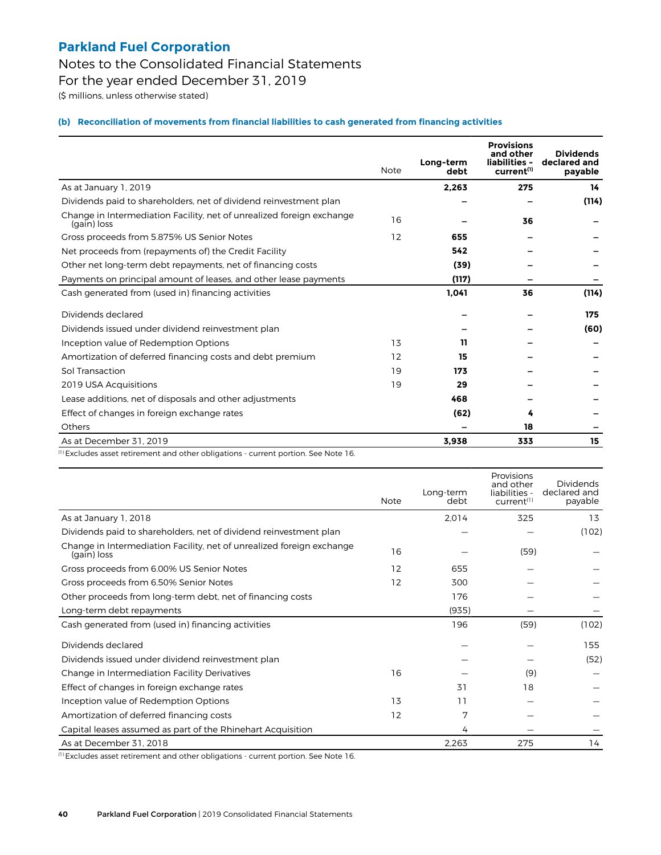# Notes to the Consolidated Financial Statements For the year ended December 31, 2019

(\$ millions, unless otherwise stated)

### **(b) Reconciliation of movements from financial liabilities to cash generated from financing activities**

| <b>Note</b> | Long-term<br>debt | <b>Provisions</b><br>and other<br>liabilities -<br>current <sup>(1)</sup> | <b>Dividends</b><br>declared and<br>payable |
|-------------|-------------------|---------------------------------------------------------------------------|---------------------------------------------|
|             | 2,263             | 275                                                                       | 14                                          |
|             |                   |                                                                           | (114)                                       |
| 16          |                   | 36                                                                        |                                             |
| 12          | 655               |                                                                           |                                             |
|             | 542               |                                                                           |                                             |
|             | (39)              |                                                                           |                                             |
|             | (117)             |                                                                           |                                             |
|             | 1,041             | 36                                                                        | (114)                                       |
|             |                   |                                                                           | 175                                         |
|             |                   |                                                                           | (60)                                        |
| 13          | 11                |                                                                           |                                             |
| 12          | 15                |                                                                           |                                             |
| 19          | 173               |                                                                           |                                             |
| 19          | 29                |                                                                           |                                             |
|             | 468               |                                                                           |                                             |
|             | (62)              | 4                                                                         |                                             |
|             |                   | 18                                                                        |                                             |
|             | 3,938             | 333                                                                       | 15                                          |
|             |                   |                                                                           |                                             |

|                                                                                      | <b>Note</b> | Long-term<br>debt | Provisions<br>and other<br>liabilities -<br>current <sup>(1)</sup> | <b>Dividends</b><br>declared and<br>payable |
|--------------------------------------------------------------------------------------|-------------|-------------------|--------------------------------------------------------------------|---------------------------------------------|
| As at January 1, 2018                                                                |             | 2.014             | 325                                                                | 13                                          |
| Dividends paid to shareholders, net of dividend reinvestment plan                    |             |                   |                                                                    | (102)                                       |
| Change in Intermediation Facility, net of unrealized foreign exchange<br>(gain) loss | 16          |                   | (59)                                                               |                                             |
| Gross proceeds from 6.00% US Senior Notes                                            | 12          | 655               |                                                                    |                                             |
| Gross proceeds from 6.50% Senior Notes                                               | 12          | 300               |                                                                    |                                             |
| Other proceeds from long-term debt, net of financing costs                           |             | 176               |                                                                    |                                             |
| Long-term debt repayments                                                            |             | (935)             |                                                                    |                                             |
| Cash generated from (used in) financing activities                                   |             | 196               | (59)                                                               | (102)                                       |
| Dividends declared                                                                   |             |                   |                                                                    | 155                                         |
| Dividends issued under dividend reinvestment plan                                    |             |                   |                                                                    | (52)                                        |
| Change in Intermediation Facility Derivatives                                        | 16          |                   | (9)                                                                |                                             |
| Effect of changes in foreign exchange rates                                          |             | 31                | 18                                                                 |                                             |
| Inception value of Redemption Options                                                | 13          | 11                |                                                                    |                                             |
| Amortization of deferred financing costs                                             | 12          | 7                 |                                                                    |                                             |
| Capital leases assumed as part of the Rhinehart Acquisition                          |             | 4                 |                                                                    |                                             |
| As at December 31, 2018                                                              |             | 2,263             | 275                                                                | 14                                          |

(1) Excludes asset retirement and other obligations - current portion. See Note 16.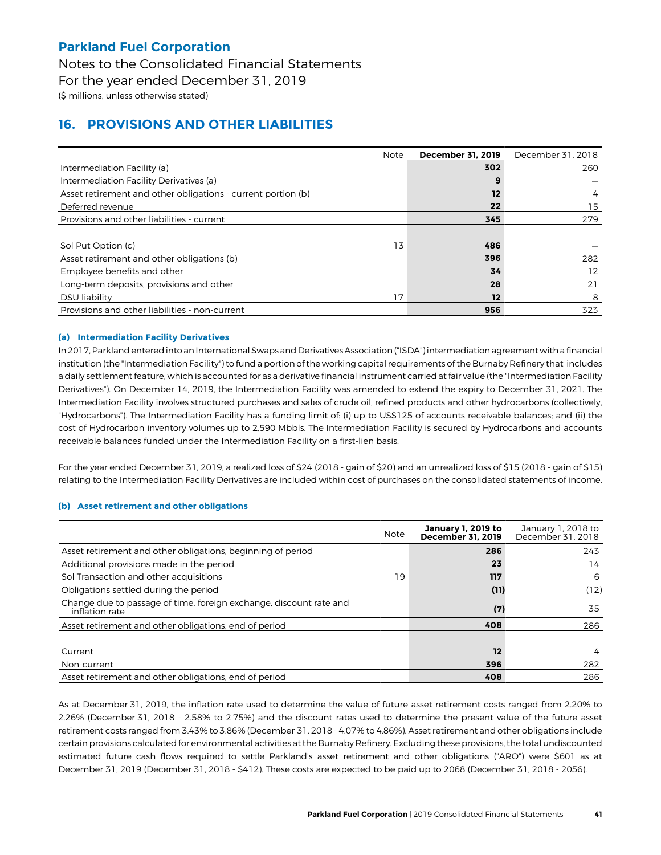Notes to the Consolidated Financial Statements For the year ended December 31, 2019 (\$ millions, unless otherwise stated)

# **16. PROVISIONS AND OTHER LIABILITIES**

|                                                              | Note | December 31, 2019 | December 31, 2018 |
|--------------------------------------------------------------|------|-------------------|-------------------|
| Intermediation Facility (a)                                  |      | 302               | 260               |
| Intermediation Facility Derivatives (a)                      |      | 9                 |                   |
| Asset retirement and other obligations - current portion (b) |      | 12                | 4                 |
| Deferred revenue                                             |      | 22                | 15                |
| Provisions and other liabilities - current                   |      | 345               | 279               |
|                                                              |      |                   |                   |
| Sol Put Option (c)                                           | 13   | 486               |                   |
| Asset retirement and other obligations (b)                   |      | 396               | 282               |
| Employee benefits and other                                  |      | 34                | 12                |
| Long-term deposits, provisions and other                     |      | 28                | 21                |
| <b>DSU</b> liability                                         | 17   | 12                | 8                 |
| Provisions and other liabilities - non-current               |      | 956               | 323               |

### **(a) Intermediation Facility Derivatives**

In 2017, Parkland entered into an International Swaps and Derivatives Association ("ISDA") intermediation agreement with a financial institution (the "Intermediation Facility") to fund a portion of the working capital requirements of the Burnaby Refinery that includes a daily settlement feature, which is accounted for as a derivative financial instrument carried at fair value (the "Intermediation Facility Derivatives"). On December 14, 2019, the Intermediation Facility was amended to extend the expiry to December 31, 2021. The Intermediation Facility involves structured purchases and sales of crude oil, refined products and other hydrocarbons (collectively, "Hydrocarbons"). The Intermediation Facility has a funding limit of: (i) up to US\$125 of accounts receivable balances; and (ii) the cost of Hydrocarbon inventory volumes up to 2,590 Mbbls. The Intermediation Facility is secured by Hydrocarbons and accounts receivable balances funded under the Intermediation Facility on a first-lien basis.

For the year ended December 31, 2019, a realized loss of \$24 (2018 - gain of \$20) and an unrealized loss of \$15 (2018 - gain of \$15) relating to the Intermediation Facility Derivatives are included within cost of purchases on the consolidated statements of income.

### **(b) Asset retirement and other obligations**

|                                                                                      | <b>Note</b> | January 1, 2019 to<br><b>December 31, 2019</b> | January 1, 2018 to<br>December 31, 2018 |
|--------------------------------------------------------------------------------------|-------------|------------------------------------------------|-----------------------------------------|
| Asset retirement and other obligations, beginning of period                          |             | 286                                            | 243                                     |
| Additional provisions made in the period                                             |             | 23                                             | 14                                      |
| Sol Transaction and other acquisitions                                               | 19          | 117                                            | 6                                       |
| Obligations settled during the period                                                |             | (11)                                           | (12)                                    |
| Change due to passage of time, foreign exchange, discount rate and<br>inflation rate |             | (7)                                            | 35                                      |
| Asset retirement and other obligations, end of period                                |             | 408                                            | 286                                     |
|                                                                                      |             |                                                |                                         |
| Current                                                                              |             | 12                                             | 4                                       |
| Non-current                                                                          |             | 396                                            | 282                                     |
| Asset retirement and other obligations, end of period                                |             | 408                                            | 286                                     |

As at December 31, 2019, the inflation rate used to determine the value of future asset retirement costs ranged from 2.20% to 2.26% (December 31, 2018 - 2.58% to 2.75%) and the discount rates used to determine the present value of the future asset retirement costs ranged from 3.43% to 3.86% (December 31, 2018 - 4.07% to 4.86%). Asset retirement and other obligations include certain provisions calculated for environmental activities at the Burnaby Refinery. Excluding these provisions, the total undiscounted estimated future cash flows required to settle Parkland's asset retirement and other obligations ("ARO") were \$601 as at December 31, 2019 (December 31, 2018 - \$412). These costs are expected to be paid up to 2068 (December 31, 2018 - 2056).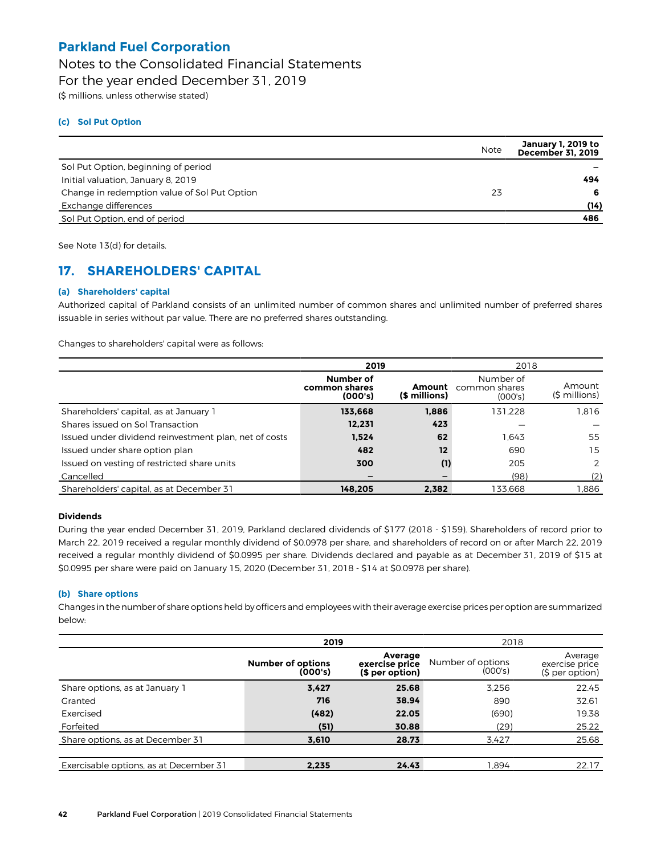Notes to the Consolidated Financial Statements For the year ended December 31, 2019 (\$ millions, unless otherwise stated)

#### **(c) Sol Put Option**

|                                              | <b>Note</b> | January 1, 2019 to<br><b>December 31, 2019</b> |
|----------------------------------------------|-------------|------------------------------------------------|
| Sol Put Option, beginning of period          |             |                                                |
| Initial valuation, January 8, 2019           |             | 494                                            |
| Change in redemption value of Sol Put Option | 23          | -6                                             |
| Exchange differences                         |             | (14)                                           |
| Sol Put Option, end of period                |             | 486                                            |

See Note 13(d) for details.

### **17. SHAREHOLDERS' CAPITAL**

### **(a) Shareholders' capital**

Authorized capital of Parkland consists of an unlimited number of common shares and unlimited number of preferred shares issuable in series without par value. There are no preferred shares outstanding.

Changes to shareholders' capital were as follows:

|                                                       | 2019                                  |                         | 2018                                  |                          |  |
|-------------------------------------------------------|---------------------------------------|-------------------------|---------------------------------------|--------------------------|--|
|                                                       | Number of<br>common shares<br>(000's) | Amount<br>(\$ millions) | Number of<br>common shares<br>(000's) | Amount<br>$(S$ millions) |  |
| Shareholders' capital, as at January 1                | 133.668                               | 1,886                   | 131.228                               | 1.816                    |  |
| Shares issued on Sol Transaction                      | 12.231                                | 423                     |                                       |                          |  |
| Issued under dividend reinvestment plan, net of costs | 1.524                                 | 62                      | 1.643                                 | 55                       |  |
| Issued under share option plan                        | 482                                   | 12                      | 690                                   | 15                       |  |
| Issued on vesting of restricted share units           | 300                                   | (1)                     | 205                                   | 2                        |  |
| Cancelled                                             |                                       |                         | (98)                                  | (2)                      |  |
| Shareholders' capital, as at December 31              | 148.205                               | 2,382                   | 133.668                               | .886                     |  |

#### **Dividends**

During the year ended December 31, 2019, Parkland declared dividends of \$177 (2018 - \$159). Shareholders of record prior to March 22, 2019 received a regular monthly dividend of \$0.0978 per share, and shareholders of record on or after March 22, 2019 received a regular monthly dividend of \$0.0995 per share. Dividends declared and payable as at December 31, 2019 of \$15 at \$0.0995 per share were paid on January 15, 2020 (December 31, 2018 - \$14 at \$0.0978 per share).

### **(b) Share options**

Changes in the number of share options held by officers and employees with their average exercise prices per option are summarized below:

|                                        | 2019                                |                                              | 2018                         |                                                 |  |
|----------------------------------------|-------------------------------------|----------------------------------------------|------------------------------|-------------------------------------------------|--|
|                                        | <b>Number of options</b><br>(000's) | Average<br>exercise price<br>(\$ per option) | Number of options<br>(000's) | Average<br>exercise price<br>$(\xi per option)$ |  |
| Share options, as at January 1         | 3,427                               | 25.68                                        | 3.256                        | 22.45                                           |  |
| Granted                                | 716                                 | 38.94                                        | 890                          | 32.61                                           |  |
| Exercised                              | (482)                               | 22.05                                        | (690)                        | 19.38                                           |  |
| Forfeited                              | (51)                                | 30.88                                        | (29)                         | 25.22                                           |  |
| Share options, as at December 31       | 3.610                               | 28.73                                        | 3.427                        | 25.68                                           |  |
|                                        |                                     |                                              |                              |                                                 |  |
| Exercisable options, as at December 31 | 2.235                               | 24.43                                        | 1.894                        | 22.17                                           |  |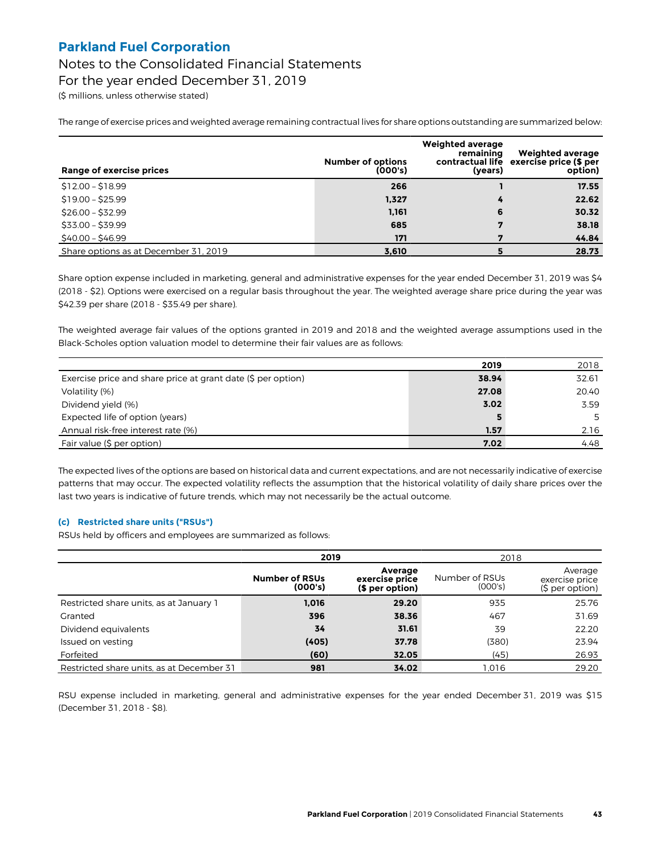# Notes to the Consolidated Financial Statements

For the year ended December 31, 2019

(\$ millions, unless otherwise stated)

The range of exercise prices and weighted average remaining contractual lives for share options outstanding are summarized below:

| Range of exercise prices              | <b>Number of options</b><br>(000's) | Weighted average<br>remaining<br>(years) | Weighted average<br>contractual life exercise price (\$ per<br>option) |
|---------------------------------------|-------------------------------------|------------------------------------------|------------------------------------------------------------------------|
| $$12.00 - $18.99$                     | 266                                 |                                          | 17.55                                                                  |
| $$19.00 - $25.99$                     | 1,327                               | 4                                        | 22.62                                                                  |
| $$26.00 - $32.99$                     | 1.161                               | 6                                        | 30.32                                                                  |
| $$33.00 - $39.99$                     | 685                                 | 7                                        | 38.18                                                                  |
| \$40.00 - \$46.99                     | 171                                 |                                          | 44.84                                                                  |
| Share options as at December 31, 2019 | 3,610                               |                                          | 28.73                                                                  |

Share option expense included in marketing, general and administrative expenses for the year ended December 31, 2019 was \$4 (2018 - \$2). Options were exercised on a regular basis throughout the year. The weighted average share price during the year was \$42.39 per share (2018 - \$35.49 per share).

The weighted average fair values of the options granted in 2019 and 2018 and the weighted average assumptions used in the Black-Scholes option valuation model to determine their fair values are as follows:

|                                                              | 2019  | 2018  |
|--------------------------------------------------------------|-------|-------|
| Exercise price and share price at grant date (\$ per option) | 38.94 | 32.61 |
| Volatility (%)                                               | 27.08 | 20.40 |
| Dividend yield (%)                                           | 3.02  | 3.59  |
| Expected life of option (years)                              | 5     | 5     |
| Annual risk-free interest rate (%)                           | 1.57  | 2.16  |
| Fair value (\$ per option)                                   | 7.02  | 4.48  |

The expected lives of the options are based on historical data and current expectations, and are not necessarily indicative of exercise patterns that may occur. The expected volatility reflects the assumption that the historical volatility of daily share prices over the last two years is indicative of future trends, which may not necessarily be the actual outcome.

### **(c) Restricted share units ("RSUs")**

RSUs held by officers and employees are summarized as follows:

|                                           | 2019                             |                                              | 2018                      |                                              |
|-------------------------------------------|----------------------------------|----------------------------------------------|---------------------------|----------------------------------------------|
|                                           | <b>Number of RSUs</b><br>(000's) | Average<br>exercise price<br>(\$ per option) | Number of RSUs<br>(000's) | Average<br>exercise price<br>(\$ per option) |
| Restricted share units, as at January 1   | 1.016                            | 29.20                                        | 935                       | 25.76                                        |
| Granted                                   | 396                              | 38.36                                        | 467                       | 31.69                                        |
| Dividend equivalents                      | 34                               | 31.61                                        | 39                        | 22.20                                        |
| Issued on vesting                         | (405)                            | 37.78                                        | (380)                     | 23.94                                        |
| Forfeited                                 | (60)                             | 32.05                                        | (45)                      | 26.93                                        |
| Restricted share units, as at December 31 | 981                              | 34.02                                        | 1.016                     | 29.20                                        |

RSU expense included in marketing, general and administrative expenses for the year ended December 31, 2019 was \$15 (December 31, 2018 - \$8).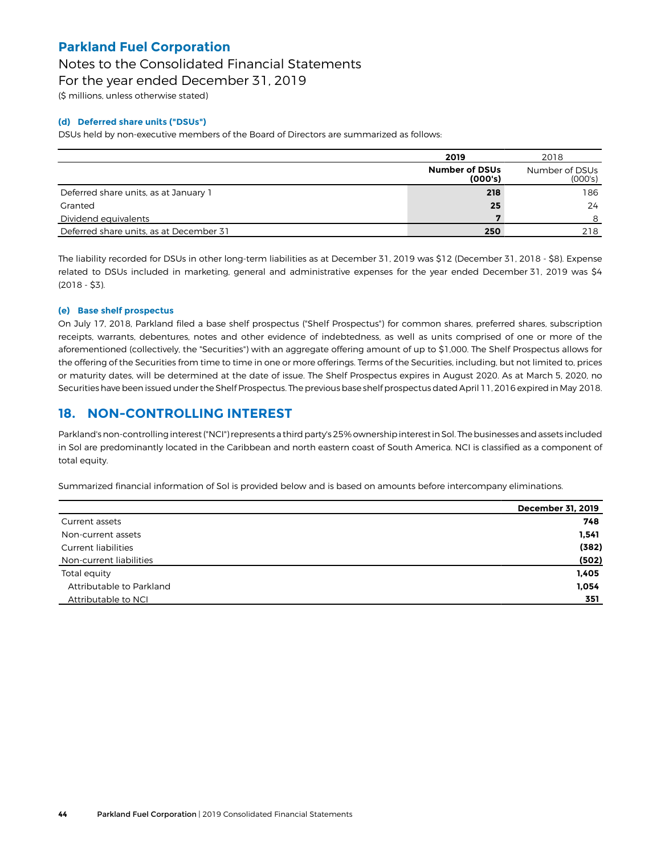### Notes to the Consolidated Financial Statements For the year ended December 31, 2019

(\$ millions, unless otherwise stated)

### **(d) Deferred share units ("DSUs")**

DSUs held by non-executive members of the Board of Directors are summarized as follows:

|                                         | 2019                             | 2018                      |
|-----------------------------------------|----------------------------------|---------------------------|
|                                         | <b>Number of DSUs</b><br>(000's) | Number of DSUs<br>(000's) |
| Deferred share units, as at January 1   | 218                              | 186                       |
| Granted                                 | 25                               | 24                        |
| Dividend equivalents                    | п,                               | Я                         |
| Deferred share units, as at December 31 | 250                              | 218                       |

The liability recorded for DSUs in other long-term liabilities as at December 31, 2019 was \$12 (December 31, 2018 - \$8). Expense related to DSUs included in marketing, general and administrative expenses for the year ended December 31, 2019 was \$4 (2018 - \$3).

#### **(e) Base shelf prospectus**

On July 17, 2018, Parkland filed a base shelf prospectus ("Shelf Prospectus") for common shares, preferred shares, subscription receipts, warrants, debentures, notes and other evidence of indebtedness, as well as units comprised of one or more of the aforementioned (collectively, the "Securities") with an aggregate offering amount of up to \$1,000. The Shelf Prospectus allows for the offering of the Securities from time to time in one or more offerings. Terms of the Securities, including, but not limited to, prices or maturity dates, will be determined at the date of issue. The Shelf Prospectus expires in August 2020. As at March 5, 2020, no Securities have been issued under the Shelf Prospectus. The previous base shelf prospectus dated April 11, 2016 expired in May 2018.

### **18. NON-CONTROLLING INTEREST**

Parkland's non-controlling interest ("NCI") represents a third party's 25% ownership interest in Sol. The businesses and assets included in Sol are predominantly located in the Caribbean and north eastern coast of South America. NCI is classified as a component of total equity.

Summarized financial information of Sol is provided below and is based on amounts before intercompany eliminations.

|                            | December 31, 2019 |
|----------------------------|-------------------|
| Current assets             | 748               |
| Non-current assets         | 1,541             |
| <b>Current liabilities</b> | (382)             |
| Non-current liabilities    | (502)             |
| Total equity               | 1,405             |
| Attributable to Parkland   | 1,054             |
| Attributable to NCI        | 351               |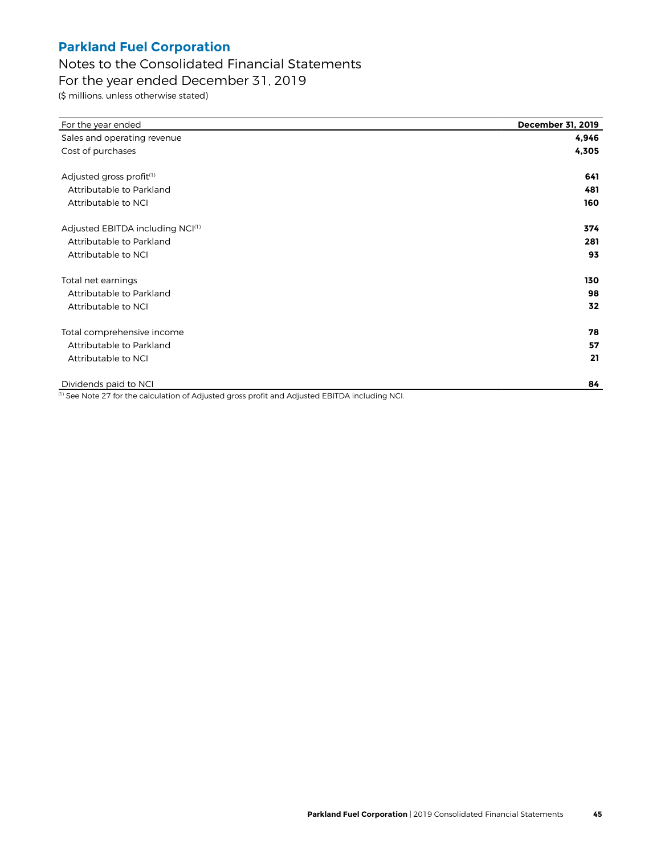# Notes to the Consolidated Financial Statements

# For the year ended December 31, 2019

(\$ millions, unless otherwise stated)

| For the year ended                                                                                         | December 31, 2019 |
|------------------------------------------------------------------------------------------------------------|-------------------|
| Sales and operating revenue                                                                                | 4,946             |
| Cost of purchases                                                                                          | 4,305             |
|                                                                                                            |                   |
| Adjusted gross profit <sup>(1)</sup>                                                                       | 641               |
| Attributable to Parkland                                                                                   | 481               |
| Attributable to NCI                                                                                        | 160               |
| Adjusted EBITDA including NCI <sup>(1)</sup>                                                               | 374               |
|                                                                                                            |                   |
| Attributable to Parkland                                                                                   | 281               |
| Attributable to NCI                                                                                        | 93                |
| Total net earnings                                                                                         | 130               |
| Attributable to Parkland                                                                                   | 98                |
| Attributable to NCI                                                                                        | 32                |
| Total comprehensive income                                                                                 | 78                |
| Attributable to Parkland                                                                                   | 57                |
|                                                                                                            |                   |
| Attributable to NCI                                                                                        | 21                |
| Dividends paid to NCI                                                                                      | 84                |
| <sup>(1)</sup> See Note 27 for the calculation of Adjusted gross profit and Adjusted EBITDA including NCI. |                   |

**Parkland Fuel Corporation** | 2019 Consolidated Financial Statements **45**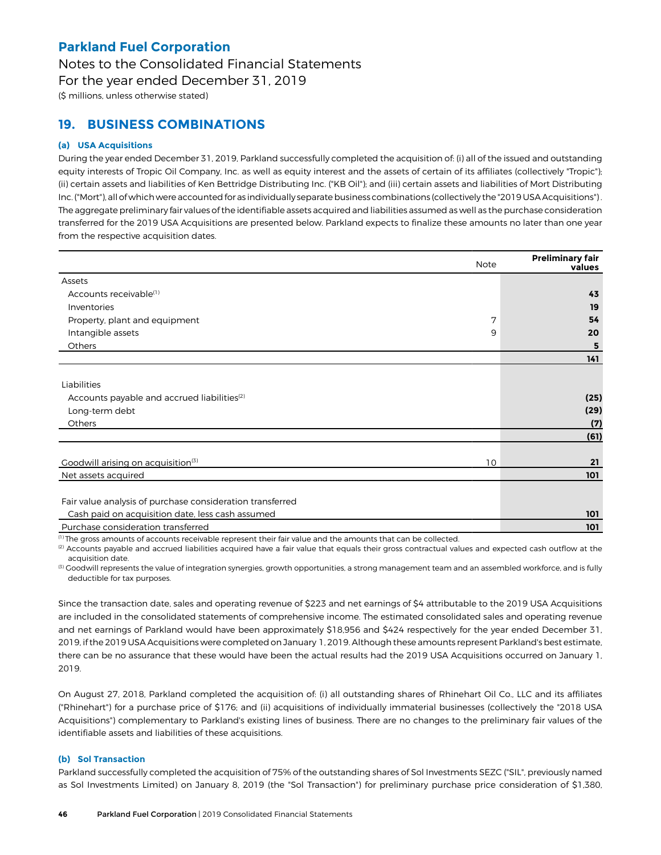Notes to the Consolidated Financial Statements For the year ended December 31, 2019 (\$ millions, unless otherwise stated)

### **19. BUSINESS COMBINATIONS**

### **(a) USA Acquisitions**

During the year ended December 31, 2019, Parkland successfully completed the acquisition of: (i) all of the issued and outstanding equity interests of Tropic Oil Company, Inc. as well as equity interest and the assets of certain of its affiliates (collectively "Tropic"); (ii) certain assets and liabilities of Ken Bettridge Distributing Inc. ("KB Oil"); and (iii) certain assets and liabilities of Mort Distributing Inc. ("Mort"), all of which were accounted for as individually separate business combinations (collectively the "2019 USA Acquisitions") . The aggregate preliminary fair values of the identifiable assets acquired and liabilities assumed as well as the purchase consideration transferred for the 2019 USA Acquisitions are presented below. Parkland expects to finalize these amounts no later than one year from the respective acquisition dates.

|                                                                                                               | <b>Note</b> | <b>Preliminary fair</b><br>values |
|---------------------------------------------------------------------------------------------------------------|-------------|-----------------------------------|
| Assets                                                                                                        |             |                                   |
| Accounts receivable <sup>(1)</sup>                                                                            |             | 43                                |
| Inventories                                                                                                   |             | 19                                |
| Property, plant and equipment                                                                                 | 7           | 54                                |
| Intangible assets                                                                                             | 9           | 20                                |
| Others                                                                                                        |             | 5                                 |
|                                                                                                               |             | 141                               |
| Liabilities<br>Accounts payable and accrued liabilities <sup>(2)</sup><br>Long-term debt<br>Others            |             | (25)<br>(29)<br>(7)<br>(61)       |
| Goodwill arising on acquisition <sup>(3)</sup>                                                                | 10          | 21                                |
| Net assets acquired                                                                                           |             | 101                               |
| Fair value analysis of purchase consideration transferred<br>Cash paid on acquisition date, less cash assumed |             | 101                               |
| Purchase consideration transferred                                                                            |             | 101                               |

(1) The gross amounts of accounts receivable represent their fair value and the amounts that can be collected.

(2) Accounts payable and accrued liabilities acquired have a fair value that equals their gross contractual values and expected cash outflow at the acquisition date.

<sup>(3)</sup> Goodwill represents the value of integration synergies, growth opportunities, a strong management team and an assembled workforce, and is fully deductible for tax purposes.

Since the transaction date, sales and operating revenue of \$223 and net earnings of \$4 attributable to the 2019 USA Acquisitions are included in the consolidated statements of comprehensive income. The estimated consolidated sales and operating revenue and net earnings of Parkland would have been approximately \$18,956 and \$424 respectively for the year ended December 31, 2019, if the 2019 USA Acquisitions were completed on January 1, 2019. Although these amounts represent Parkland's best estimate, there can be no assurance that these would have been the actual results had the 2019 USA Acquisitions occurred on January 1, 2019.

On August 27, 2018, Parkland completed the acquisition of: (i) all outstanding shares of Rhinehart Oil Co., LLC and its affiliates ("Rhinehart") for a purchase price of \$176; and (ii) acquisitions of individually immaterial businesses (collectively the "2018 USA Acquisitions") complementary to Parkland's existing lines of business. There are no changes to the preliminary fair values of the identifiable assets and liabilities of these acquisitions.

### **(b) Sol Transaction**

Parkland successfully completed the acquisition of 75% of the outstanding shares of Sol Investments SEZC ("SIL", previously named as Sol Investments Limited) on January 8, 2019 (the "Sol Transaction") for preliminary purchase price consideration of \$1,380,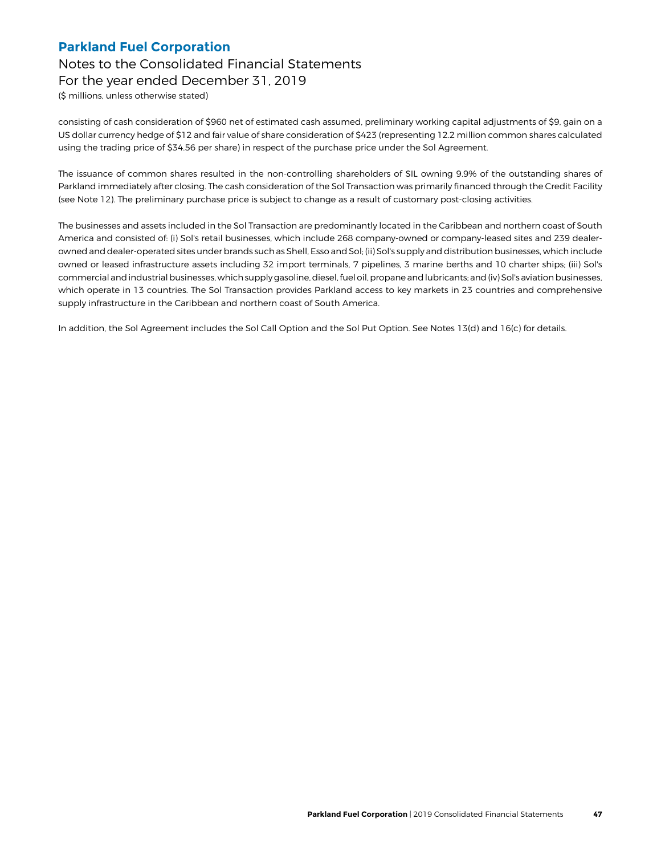## Notes to the Consolidated Financial Statements

For the year ended December 31, 2019

(\$ millions, unless otherwise stated)

consisting of cash consideration of \$960 net of estimated cash assumed, preliminary working capital adjustments of \$9, gain on a US dollar currency hedge of \$12 and fair value of share consideration of \$423 (representing 12.2 million common shares calculated using the trading price of \$34.56 per share) in respect of the purchase price under the Sol Agreement.

The issuance of common shares resulted in the non-controlling shareholders of SIL owning 9.9% of the outstanding shares of Parkland immediately after closing. The cash consideration of the Sol Transaction was primarily financed through the Credit Facility (see Note 12). The preliminary purchase price is subject to change as a result of customary post-closing activities.

The businesses and assets included in the Sol Transaction are predominantly located in the Caribbean and northern coast of South America and consisted of: (i) Sol's retail businesses, which include 268 company-owned or company-leased sites and 239 dealerowned and dealer-operated sites under brands such as Shell, Esso and Sol; (ii) Sol's supply and distribution businesses, which include owned or leased infrastructure assets including 32 import terminals, 7 pipelines, 3 marine berths and 10 charter ships; (iii) Sol's commercial and industrial businesses, which supply gasoline, diesel, fuel oil, propane and lubricants; and (iv) Sol's aviation businesses, which operate in 13 countries. The Sol Transaction provides Parkland access to key markets in 23 countries and comprehensive supply infrastructure in the Caribbean and northern coast of South America.

In addition, the Sol Agreement includes the Sol Call Option and the Sol Put Option. See Notes 13(d) and 16(c) for details.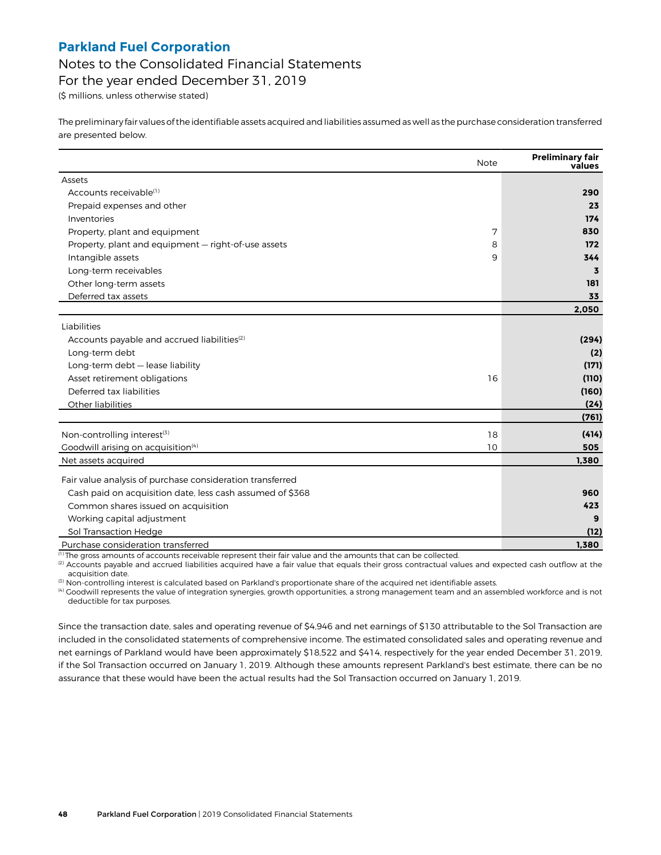### Notes to the Consolidated Financial Statements

For the year ended December 31, 2019

(\$ millions, unless otherwise stated)

The preliminary fair values of the identifiable assets acquired and liabilities assumed as well as the purchase consideration transferred are presented below.

|                                                           | <b>Note</b> | <b>Preliminary fair</b><br>values |
|-----------------------------------------------------------|-------------|-----------------------------------|
| Assets                                                    |             |                                   |
| Accounts receivable <sup>(1)</sup>                        |             | 290                               |
| Prepaid expenses and other                                |             | 23                                |
| Inventories                                               |             | 174                               |
| Property, plant and equipment                             | 7           | 830                               |
| Property, plant and equipment - right-of-use assets       | 8           | 172                               |
| Intangible assets                                         | 9           | 344                               |
| Long-term receivables                                     |             | 3                                 |
| Other long-term assets                                    |             | 181                               |
| Deferred tax assets                                       |             | 33                                |
|                                                           |             | 2,050                             |
| Liabilities                                               |             |                                   |
| Accounts payable and accrued liabilities <sup>(2)</sup>   |             | (294)                             |
| Long-term debt                                            |             | (2)                               |
| Long-term debt - lease liability                          |             | (171)                             |
| Asset retirement obligations                              | 16          | (110)                             |
| Deferred tax liabilities                                  |             | (160)                             |
| Other liabilities                                         |             | (24)                              |
|                                                           |             | (761)                             |
| Non-controlling interest <sup>(3)</sup>                   | 18          | (414)                             |
| Goodwill arising on acquisition <sup>(4)</sup>            | 10          | 505                               |
| Net assets acquired                                       |             | 1,380                             |
| Fair value analysis of purchase consideration transferred |             |                                   |
| Cash paid on acquisition date, less cash assumed of \$368 |             | 960                               |
| Common shares issued on acquisition                       |             | 423                               |
| Working capital adjustment                                |             | 9                                 |
| Sol Transaction Hedge                                     |             | (12)                              |
| Purchase consideration transferred                        |             | 1,380                             |

(1) The gross amounts of accounts receivable represent their fair value and the amounts that can be collected.

(2) Accounts payable and accrued liabilities acquired have a fair value that equals their gross contractual values and expected cash outflow at the acquisition date.

(3) Non-controlling interest is calculated based on Parkland's proportionate share of the acquired net identifiable assets.

<sup>(4)</sup> Goodwill represents the value of integration synergies, growth opportunities, a strong management team and an assembled workforce and is not deductible for tax purposes.

Since the transaction date, sales and operating revenue of \$4,946 and net earnings of \$130 attributable to the Sol Transaction are included in the consolidated statements of comprehensive income. The estimated consolidated sales and operating revenue and net earnings of Parkland would have been approximately \$18,522 and \$414, respectively for the year ended December 31, 2019, if the Sol Transaction occurred on January 1, 2019. Although these amounts represent Parkland's best estimate, there can be no assurance that these would have been the actual results had the Sol Transaction occurred on January 1, 2019.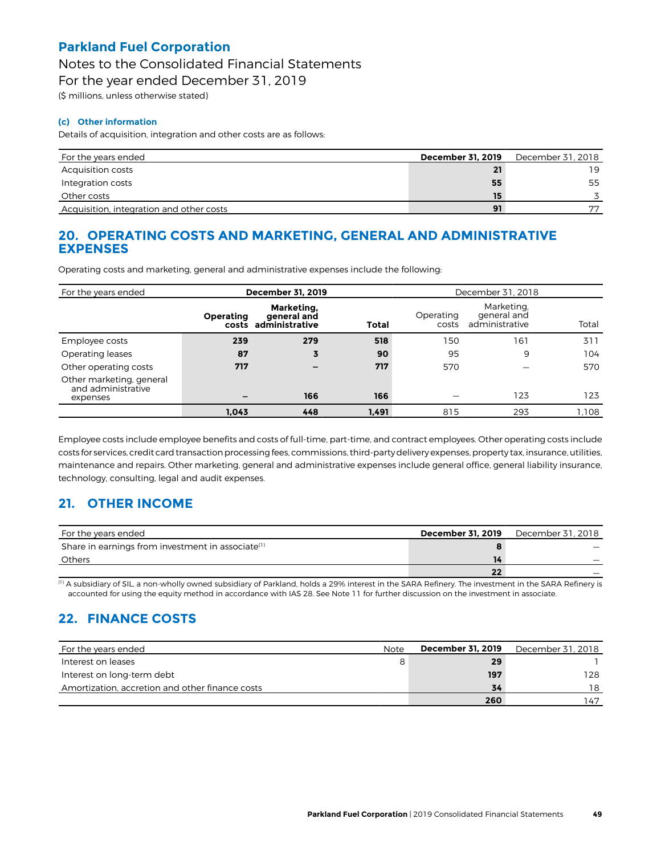# Notes to the Consolidated Financial Statements For the year ended December 31, 2019

(\$ millions, unless otherwise stated)

#### **(c) Other information**

Details of acquisition, integration and other costs are as follows:

| For the years ended                      | December 31, 2019 | December 31, 2018 |
|------------------------------------------|-------------------|-------------------|
| Acquisition costs                        | 21                | 19                |
| Integration costs                        | 55                | 55                |
| Other costs                              | 15                |                   |
| Acquisition, integration and other costs | 91                | 77                |

### **20. OPERATING COSTS AND MARKETING, GENERAL AND ADMINISTRATIVE EXPENSES**

Operating costs and marketing, general and administrative expenses include the following:

| For the years ended                                        |           | <b>December 31, 2019</b><br>December 31, 2018     |              |                    |                                             |       |
|------------------------------------------------------------|-----------|---------------------------------------------------|--------------|--------------------|---------------------------------------------|-------|
|                                                            | Operating | Marketing,<br>general and<br>costs administrative | <b>Total</b> | Operating<br>costs | Marketing,<br>general and<br>administrative | Total |
| Employee costs                                             | 239       | 279                                               | 518          | 150                | 161                                         | 311   |
| Operating leases                                           | 87        | 3                                                 | 90           | 95                 | 9                                           | 104   |
| Other operating costs                                      | 717       |                                                   | 717          | 570                |                                             | 570   |
| Other marketing, general<br>and administrative<br>expenses |           | 166                                               | 166          |                    | 123                                         | 123   |
|                                                            | 1.043     | 448                                               | 1.491        | 815                | 293                                         | 0.108 |

Employee costs include employee benefits and costs of full-time, part-time, and contract employees. Other operating costs include costs for services, credit card transaction processing fees, commissions, third-party delivery expenses, property tax, insurance, utilities, maintenance and repairs. Other marketing, general and administrative expenses include general office, general liability insurance, technology, consulting, legal and audit expenses.

## **21. OTHER INCOME**

| For the years ended                                           | December 31, 2019 | December 31, 2018 |
|---------------------------------------------------------------|-------------------|-------------------|
| Share in earnings from investment in associate <sup>(1)</sup> |                   |                   |
| Others                                                        | 14                |                   |
|                                                               | 22                |                   |

(1) A subsidiary of SIL, a non-wholly owned subsidiary of Parkland, holds a 29% interest in the SARA Refinery. The investment in the SARA Refinery is accounted for using the equity method in accordance with IAS 28. See Note 11 for further discussion on the investment in associate.

## **22. FINANCE COSTS**

| For the years ended                             | Note | December 31, 2019 | December 31, 2018 |
|-------------------------------------------------|------|-------------------|-------------------|
| Interest on leases                              |      | 29                |                   |
| Interest on long-term debt                      |      | 197               | 128               |
| Amortization, accretion and other finance costs |      | 34                | 18                |
|                                                 |      | 260               | 147               |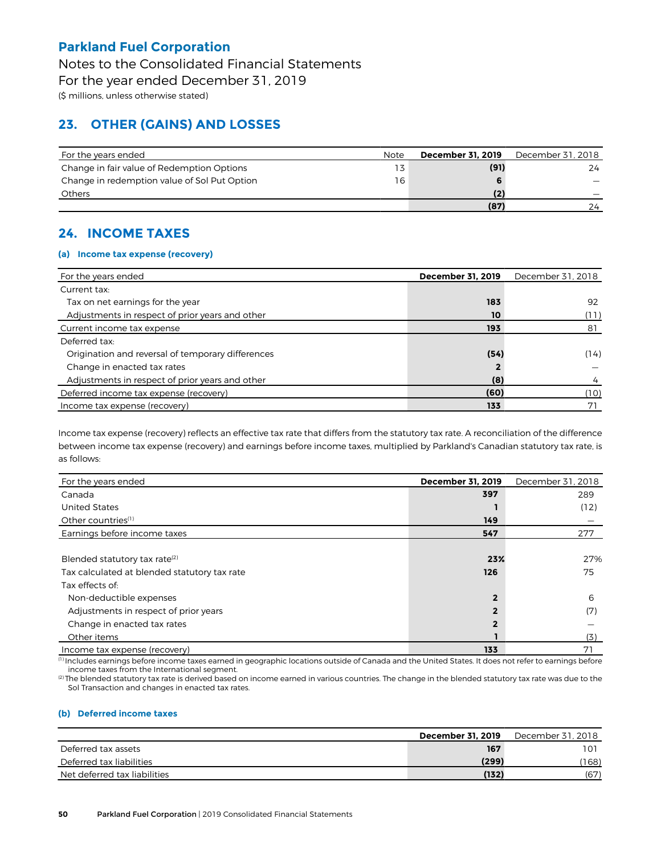Notes to the Consolidated Financial Statements For the year ended December 31, 2019 (\$ millions, unless otherwise stated)

# **23. OTHER (GAINS) AND LOSSES**

| For the years ended                          | <b>Note</b> | December 31, 2019 | December 31, 2018 |
|----------------------------------------------|-------------|-------------------|-------------------|
| Change in fair value of Redemption Options   |             | (91)              | 24                |
| Change in redemption value of Sol Put Option | 6           |                   |                   |
| <b>Others</b>                                |             | (2)               |                   |
|                                              |             | (87)              | 24                |

# **24. INCOME TAXES**

### **(a) Income tax expense (recovery)**

| For the years ended                               | December 31, 2019 | December 31, 2018 |
|---------------------------------------------------|-------------------|-------------------|
| Current tax:                                      |                   |                   |
| Tax on net earnings for the year                  | 183               | 92                |
| Adjustments in respect of prior years and other   | 10                | (11)              |
| Current income tax expense                        | 193               | 81                |
| Deferred tax:                                     |                   |                   |
| Origination and reversal of temporary differences | (54)              | (14)              |
| Change in enacted tax rates                       |                   |                   |
| Adjustments in respect of prior years and other   | (8)               |                   |
| Deferred income tax expense (recovery)            | (60)              | (10)              |
| Income tax expense (recovery)                     | 133               |                   |

Income tax expense (recovery) reflects an effective tax rate that differs from the statutory tax rate. A reconciliation of the difference between income tax expense (recovery) and earnings before income taxes, multiplied by Parkland's Canadian statutory tax rate, is as follows:

| For the years ended                          | December 31, 2019 | December 31, 2018 |
|----------------------------------------------|-------------------|-------------------|
| Canada                                       | 397               | 289               |
| <b>United States</b>                         |                   | (12)              |
| Other countries <sup>(1)</sup>               | 149               |                   |
| Earnings before income taxes                 | 547               | 277               |
|                                              |                   |                   |
| Blended statutory tax rate <sup>(2)</sup>    | 23%               | 27%               |
| Tax calculated at blended statutory tax rate | 126               | 75                |
| Tax effects of:                              |                   |                   |
| Non-deductible expenses                      | $\mathbf{2}$      | 6                 |
| Adjustments in respect of prior years        | $\mathbf{2}$      | (7)               |
| Change in enacted tax rates                  | $\mathbf{2}$      |                   |
| Other items                                  |                   | (3)               |
| Income tax expense (recovery)                | 133               | 71                |

(1) Includes earnings before income taxes earned in geographic locations outside of Canada and the United States. It does not refer to earnings before income taxes from the International segment.

(2) The blended statutory tax rate is derived based on income earned in various countries. The change in the blended statutory tax rate was due to the Sol Transaction and changes in enacted tax rates.

### **(b) Deferred income taxes**

|                              | December 31, 2019 | December 31, 2018 |
|------------------------------|-------------------|-------------------|
| Deferred tax assets          | 167               | 101               |
| Deferred tax liabilities     | (299)             | (168)             |
| Net deferred tax liabilities | (132)             | (67)              |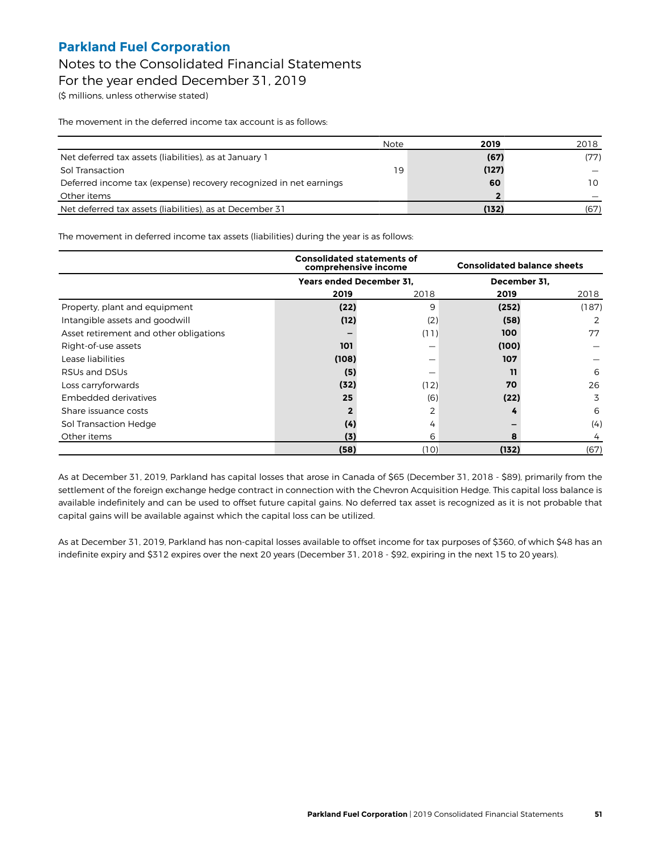# Notes to the Consolidated Financial Statements

For the year ended December 31, 2019

(\$ millions, unless otherwise stated)

The movement in the deferred income tax account is as follows:

|                                                                   | <b>Note</b> | 2019  | 2018 |
|-------------------------------------------------------------------|-------------|-------|------|
| Net deferred tax assets (liabilities), as at January 1            |             | (67)  | (77) |
| Sol Transaction                                                   | 19          | (127) |      |
| Deferred income tax (expense) recovery recognized in net earnings |             | 60    | 10.  |
| Other items                                                       |             | 2     |      |
| Net deferred tax assets (liabilities), as at December 31          |             | (132) | (67) |

The movement in deferred income tax assets (liabilities) during the year is as follows:

|                                        | <b>Consolidated statements of</b><br>comprehensive income |      |              | <b>Consolidated balance sheets</b> |  |  |  |
|----------------------------------------|-----------------------------------------------------------|------|--------------|------------------------------------|--|--|--|
|                                        | <b>Years ended December 31.</b>                           |      | December 31, |                                    |  |  |  |
|                                        | 2019                                                      | 2018 | 2019         | 2018                               |  |  |  |
| Property, plant and equipment          | (22)                                                      | 9    | (252)        | (187)                              |  |  |  |
| Intangible assets and goodwill         | (12)                                                      | (2)  | (58)         |                                    |  |  |  |
| Asset retirement and other obligations |                                                           | (11) | 100          | 77                                 |  |  |  |
| Right-of-use assets                    | 101                                                       |      | (100)        |                                    |  |  |  |
| Lease liabilities                      | (108)                                                     |      | 107          |                                    |  |  |  |
| RSUs and DSUs                          | (5)                                                       |      | 11           | 6                                  |  |  |  |
| Loss carryforwards                     | (32)                                                      | (12) | 70           | 26                                 |  |  |  |
| Embedded derivatives                   | 25                                                        | (6)  | (22)         | 3                                  |  |  |  |
| Share issuance costs                   | 2                                                         | 2    |              | 6                                  |  |  |  |
| Sol Transaction Hedge                  | (4)                                                       | 4    |              | (4)                                |  |  |  |
| Other items                            | (3)                                                       | 6    | 8            | 4                                  |  |  |  |
|                                        | (58)                                                      | (10) | (132)        | (67)                               |  |  |  |

As at December 31, 2019, Parkland has capital losses that arose in Canada of \$65 (December 31, 2018 - \$89), primarily from the settlement of the foreign exchange hedge contract in connection with the Chevron Acquisition Hedge. This capital loss balance is available indefinitely and can be used to offset future capital gains. No deferred tax asset is recognized as it is not probable that capital gains will be available against which the capital loss can be utilized.

As at December 31, 2019, Parkland has non-capital losses available to offset income for tax purposes of \$360, of which \$48 has an indefinite expiry and \$312 expires over the next 20 years (December 31, 2018 - \$92, expiring in the next 15 to 20 years).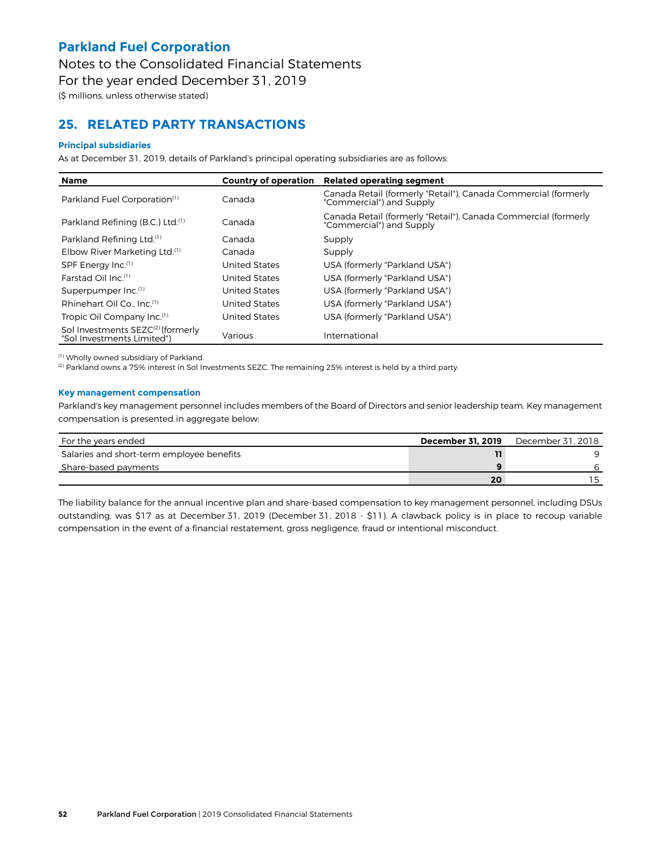Notes to the Consolidated Financial Statements For the year ended December 31, 2019 (\$ millions, unless otherwise stated)

# **25. RELATED PARTY TRANSACTIONS**

### **Principal subsidiaries**

As at December 31, 2019, details of Parkland's principal operating subsidiaries are as follows:

| <b>Name</b>                                                                 | <b>Country of operation</b> | <b>Related operating segment</b>                                                           |
|-----------------------------------------------------------------------------|-----------------------------|--------------------------------------------------------------------------------------------|
| Parkland Fuel Corporation <sup>(1)</sup>                                    | Canada                      | Canada Retail (formerly "Retail"), Canada Commercial (formerly<br>"Commercial") and Supply |
| Parkland Refining (B.C.) Ltd. <sup>(1)</sup>                                | Canada                      | Canada Retail (formerly "Retail"), Canada Commercial (formerly<br>"Commercial") and Supply |
| Parkland Refining Ltd. <sup>(1)</sup>                                       | Canada                      | Supply                                                                                     |
| Elbow River Marketing Ltd. <sup>(1)</sup>                                   | Canada                      | Supply                                                                                     |
| SPF Energy Inc. <sup>(1)</sup>                                              | United States               | USA (formerly "Parkland USA")                                                              |
| Farstad Oil Inc. <sup>(1)</sup>                                             | United States               | USA (formerly "Parkland USA")                                                              |
| Superpumper Inc. <sup>(1)</sup>                                             | <b>United States</b>        | USA (formerly "Parkland USA")                                                              |
| Rhinehart Oil Co., Inc. <sup>(1)</sup>                                      | <b>United States</b>        | USA (formerly "Parkland USA")                                                              |
| Tropic Oil Company Inc. <sup>(1)</sup>                                      | United States               | USA (formerly "Parkland USA")                                                              |
| Sol Investments SEZC <sup>(2)</sup> (formerly<br>"Sol Investments Limited") | Various                     | International                                                                              |

(1) Wholly owned subsidiary of Parkland.

(2) Parkland owns a 75% interest in Sol Investments SEZC. The remaining 25% interest is held by a third party.

#### **Key management compensation**

Parkland's key management personnel includes members of the Board of Directors and senior leadership team. Key management compensation is presented in aggregate below:

| For the years ended                       | December 31, 2019 | December 31, 2018 |
|-------------------------------------------|-------------------|-------------------|
| Salaries and short-term employee benefits |                   |                   |
| Share-based payments                      |                   |                   |
|                                           | 20                |                   |

The liability balance for the annual incentive plan and share-based compensation to key management personnel, including DSUs outstanding, was \$17 as at December 31, 2019 (December 31, 2018 - \$11). A clawback policy is in place to recoup variable compensation in the event of a financial restatement, gross negligence, fraud or intentional misconduct.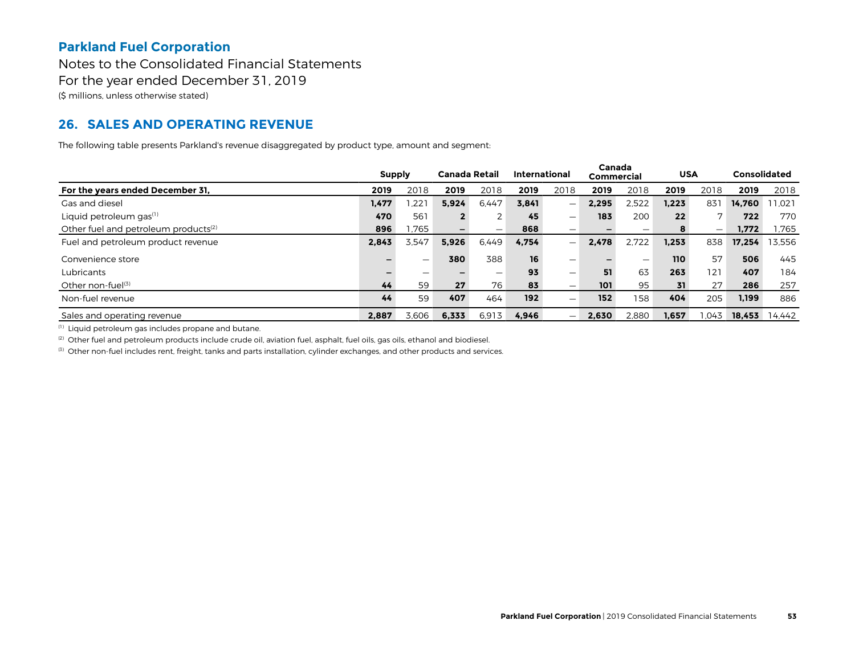Notes to the Consolidated Financial Statements For the year ended December 31, 2019

(\$ millions, unless otherwise stated)

# **26. SALES AND OPERATING REVENUE**

The following table presents Parkland's revenue disaggregated by product type, amount and segment:

|                                                  | <b>Supply</b> |       | Canada Retail |                 | <b>International</b> |                          | Canada<br>Commercial |                          | <b>USA</b>        |                          |        | <b>Consolidated</b> |
|--------------------------------------------------|---------------|-------|---------------|-----------------|----------------------|--------------------------|----------------------|--------------------------|-------------------|--------------------------|--------|---------------------|
| For the years ended December 31,                 | 2019          | 2018  | 2019          | 2018            | 2019                 | 2018                     | 2019                 | 2018                     | 2019              | 2018                     | 2019   | 2018                |
| Gas and diesel                                   | 1,477         | .221  | 5,924         | 6.447           | 3.841                | $\overline{\phantom{0}}$ | 2.295                | 2,522                    | 1.223             | 831                      | 14.760 | 1.021               |
| Liquid petroleum gas $(1)$                       | 470           | 561   |               | 2               | 45                   | $\overline{\phantom{0}}$ | 183                  | 200                      | $22 \overline{ }$ |                          | 722    | 770                 |
| Other fuel and petroleum products <sup>(2)</sup> | 896           | .765  |               |                 | 868                  |                          |                      | $\overline{\phantom{0}}$ | 8                 | $\overline{\phantom{m}}$ | 1.772  | 1.765               |
| Fuel and petroleum product revenue               | 2,843         | 3,547 | 5,926         | 6.449           | 4,754                | $\overline{\phantom{0}}$ | 2,478                | 2.722                    | 1,253             | 838                      | 17,254 | 3.556               |
| Convenience store                                |               | —     | 380           | 388             | 16                   |                          |                      | _                        | 110               | 57                       | 506    | 445                 |
| Lubricants                                       |               |       |               | $\qquad \qquad$ | 93                   |                          | 51                   | 63                       | 263               | 121                      | 407    | 184                 |
| Other non-fuel $(3)$                             | 44            | 59    | 27            | 76              | 83                   |                          | 101                  | 95                       | 31                | 27                       | 286    | 257                 |
| Non-fuel revenue                                 | 44            | 59    | 407           | 464             | 192                  |                          | 152                  | 158                      | 404               | 205                      | 1.199  | 886                 |
| Sales and operating revenue                      | 2.887         | 3.606 | 6.333         | 6.913           | 4.946                |                          | 2,630                | 2.880                    | 1.657             | .043                     | 18.453 | 14.442              |

(1) Liquid petroleum gas includes propane and butane.

<sup>(2)</sup> Other fuel and petroleum products include crude oil, aviation fuel, asphalt, fuel oils, gas oils, ethanol and biodiesel.

<sup>(3)</sup> Other non-fuel includes rent, freight, tanks and parts installation, cylinder exchanges, and other products and services.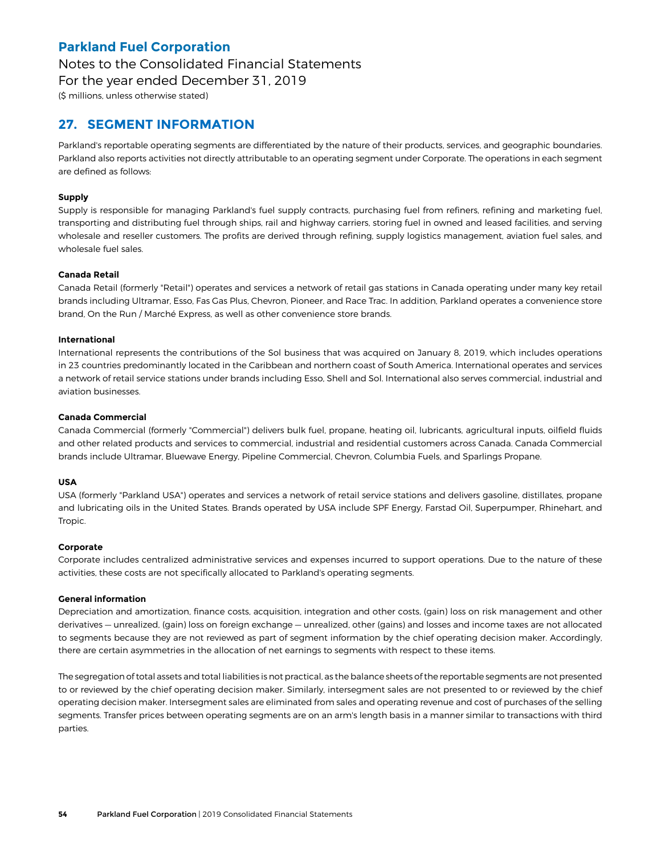Notes to the Consolidated Financial Statements For the year ended December 31, 2019 (\$ millions, unless otherwise stated)

### **27. SEGMENT INFORMATION**

Parkland's reportable operating segments are differentiated by the nature of their products, services, and geographic boundaries. Parkland also reports activities not directly attributable to an operating segment under Corporate. The operations in each segment are defined as follows:

### **Supply**

Supply is responsible for managing Parkland's fuel supply contracts, purchasing fuel from refiners, refining and marketing fuel, transporting and distributing fuel through ships, rail and highway carriers, storing fuel in owned and leased facilities, and serving wholesale and reseller customers. The profits are derived through refining, supply logistics management, aviation fuel sales, and wholesale fuel sales.

### **Canada Retail**

Canada Retail (formerly "Retail") operates and services a network of retail gas stations in Canada operating under many key retail brands including Ultramar, Esso, Fas Gas Plus, Chevron, Pioneer, and Race Trac. In addition, Parkland operates a convenience store brand, On the Run / Marché Express, as well as other convenience store brands.

### **International**

International represents the contributions of the Sol business that was acquired on January 8, 2019, which includes operations in 23 countries predominantly located in the Caribbean and northern coast of South America. International operates and services a network of retail service stations under brands including Esso, Shell and Sol. International also serves commercial, industrial and aviation businesses.

### **Canada Commercial**

Canada Commercial (formerly "Commercial") delivers bulk fuel, propane, heating oil, lubricants, agricultural inputs, oilfield fluids and other related products and services to commercial, industrial and residential customers across Canada. Canada Commercial brands include Ultramar, Bluewave Energy, Pipeline Commercial, Chevron, Columbia Fuels, and Sparlings Propane.

### **USA**

USA (formerly "Parkland USA") operates and services a network of retail service stations and delivers gasoline, distillates, propane and lubricating oils in the United States. Brands operated by USA include SPF Energy, Farstad Oil, Superpumper, Rhinehart, and Tropic.

### **Corporate**

Corporate includes centralized administrative services and expenses incurred to support operations. Due to the nature of these activities, these costs are not specifically allocated to Parkland's operating segments.

### **General information**

Depreciation and amortization, finance costs, acquisition, integration and other costs, (gain) loss on risk management and other derivatives — unrealized, (gain) loss on foreign exchange — unrealized, other (gains) and losses and income taxes are not allocated to segments because they are not reviewed as part of segment information by the chief operating decision maker. Accordingly, there are certain asymmetries in the allocation of net earnings to segments with respect to these items.

The segregation of total assets and total liabilities is not practical, as the balance sheets of the reportable segments are not presented to or reviewed by the chief operating decision maker. Similarly, intersegment sales are not presented to or reviewed by the chief operating decision maker. Intersegment sales are eliminated from sales and operating revenue and cost of purchases of the selling segments. Transfer prices between operating segments are on an arm's length basis in a manner similar to transactions with third parties.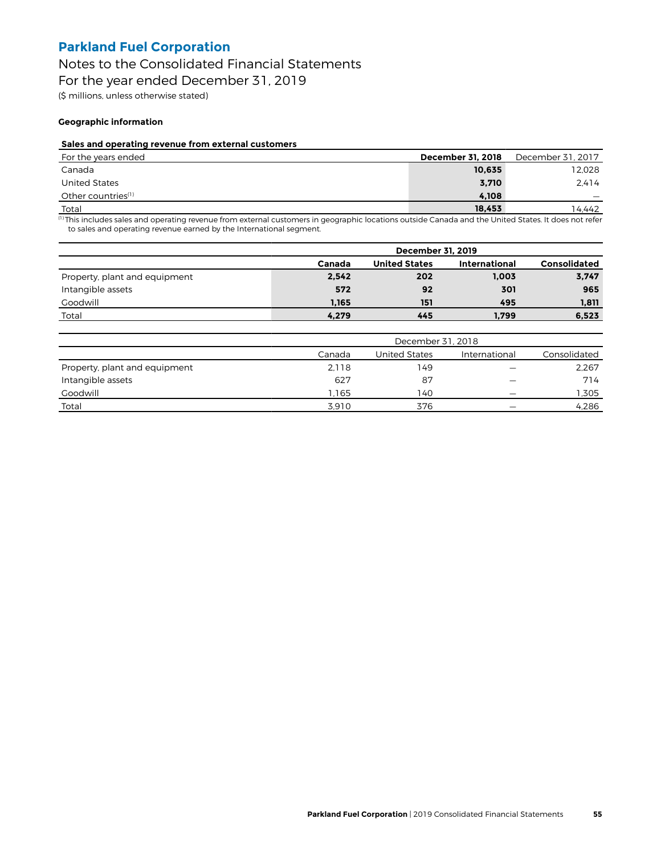Notes to the Consolidated Financial Statements For the year ended December 31, 2019 (\$ millions, unless otherwise stated)

#### **Geographic information**

#### **Sales and operating revenue from external customers**

| For the years ended            | December 31, 2018 | December 31, 2017 |
|--------------------------------|-------------------|-------------------|
| Canada                         | 10.635            | 12.028            |
| United States                  | 3.710             | 2.414             |
| Other countries <sup>(1)</sup> | 4.108             |                   |
| Total                          | 18.453            | 4.442             |

(1) This includes sales and operating revenue from external customers in geographic locations outside Canada and the United States. It does not refer to sales and operating revenue earned by the International segment.

|                               | December 31, 2019    |              |       |       |  |  |  |
|-------------------------------|----------------------|--------------|-------|-------|--|--|--|
|                               | <b>International</b> | Consolidated |       |       |  |  |  |
| Property, plant and equipment | 2,542                | 202          | 1,003 | 3,747 |  |  |  |
| Intangible assets             | 572                  | 92           | 301   | 965   |  |  |  |
| Goodwill                      | 1.165                | 151          | 495   | 1,811 |  |  |  |
| Total                         | 4,279                | 445          | 1.799 | 6,523 |  |  |  |

|                               | December 31, 2018 |               |               |              |  |  |  |  |
|-------------------------------|-------------------|---------------|---------------|--------------|--|--|--|--|
|                               | Canada            | United States | International | Consolidated |  |  |  |  |
| Property, plant and equipment | 2.118             | 149           |               | 2,267        |  |  |  |  |
| Intangible assets             | 627               | 87            | —             | 714          |  |  |  |  |
| Goodwill                      | I.165             | 140           |               | .305         |  |  |  |  |
| Total                         | 3.910             | 376           |               | 4.286        |  |  |  |  |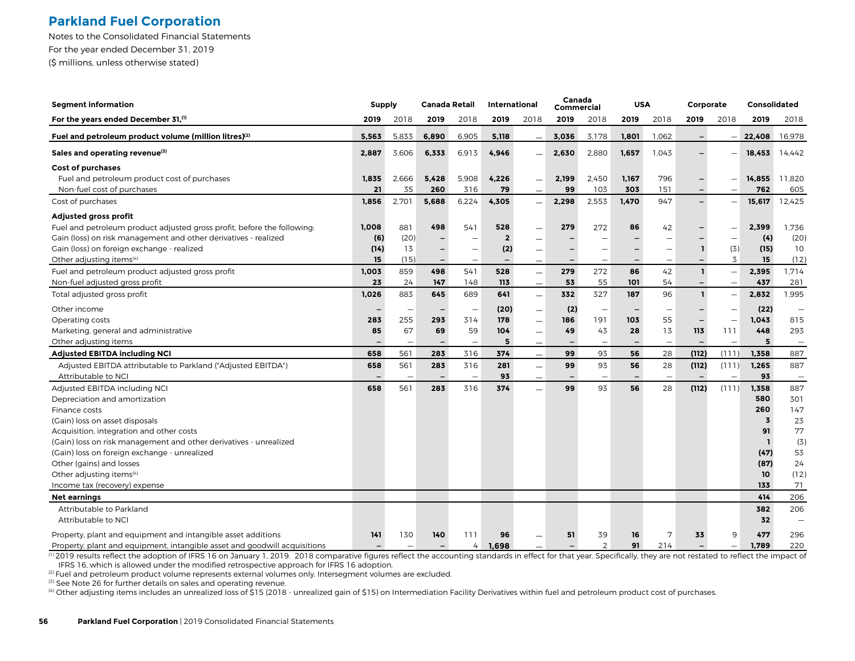Notes to the Consolidated Financial Statements For the year ended December 31, 2019 (\$ millions, unless otherwise stated)

| <b>Segment information</b>                                                | <b>Supply</b>            |                          | <b>Canada Retail</b>     |                          | International  |                          | Canada<br><b>Commercial</b> |                          | <b>USA</b>        |                          | Corporate                |                          | <b>Consolidated</b>     |                          |
|---------------------------------------------------------------------------|--------------------------|--------------------------|--------------------------|--------------------------|----------------|--------------------------|-----------------------------|--------------------------|-------------------|--------------------------|--------------------------|--------------------------|-------------------------|--------------------------|
| For the years ended December 31,(1)                                       | 2019                     | 2018                     | 2019                     | 2018                     | 2019           | 2018                     | 2019                        | 2018                     | 2019              | 2018                     | 2019                     | 2018                     | 2019                    | 2018                     |
| Fuel and petroleum product volume (million litres) <sup>(2)</sup>         | 5.563                    | 5.833                    | 6.890                    | 6.905                    | 5.118          | $\equiv$                 | 3.036                       | 3.178                    | 1.801             | 1.062                    | $\overline{\phantom{m}}$ | $\overline{\phantom{0}}$ | 22,408                  | 16.978                   |
| Sales and operating revenue <sup>(3)</sup>                                | 2,887                    | 3,606                    | 6,333                    | 6,913                    | 4,946          | $\equiv$                 | 2,630                       | 2,880                    | 1,657             | 1,043                    | -                        | $\overline{\phantom{0}}$ | 18,453                  | 14,442                   |
| <b>Cost of purchases</b>                                                  |                          |                          |                          |                          |                |                          |                             |                          |                   |                          |                          |                          |                         |                          |
| Fuel and petroleum product cost of purchases                              | 1,835                    | 2,666                    | 5,428                    | 5,908                    | 4,226          | $\overline{\phantom{0}}$ | 2,199                       | 2,450                    | 1,167             | 796                      | $\overline{\phantom{m}}$ | $\overline{\phantom{0}}$ | 14,855                  | 11,820                   |
| Non-fuel cost of purchases                                                | 21                       | 35                       | 260                      | 316                      | 79             |                          | 99                          | 103                      | 303               | 151                      | $\overline{\phantom{a}}$ |                          | 762                     | 605                      |
| Cost of purchases                                                         | 1,856                    | 2,701                    | 5,688                    | 6,224                    | 4,305          | $=$                      | 2,298                       | 2,553                    | 1,470             | 947                      | $\frac{1}{2}$            | $\overline{\phantom{0}}$ | 15,617                  | 12,425                   |
| <b>Adjusted gross profit</b>                                              |                          |                          |                          |                          |                |                          |                             |                          |                   |                          |                          |                          |                         |                          |
| Fuel and petroleum product adjusted gross profit, before the following:   | 1,008                    | 881                      | 498                      | 541                      | 528            | $\qquad \qquad -$        | 279                         | 272                      | 86                | 42                       |                          | $\overline{\phantom{0}}$ | 2,399                   | 1,736                    |
| Gain (loss) on risk management and other derivatives - realized           | (6)                      | (20)                     |                          |                          | $\overline{2}$ | $\overline{\phantom{0}}$ |                             |                          |                   |                          |                          | $\overline{\phantom{0}}$ | (4)                     | (20)                     |
| Gain (loss) on foreign exchange - realized                                | (14)                     | 13                       |                          |                          | (2)            | $\qquad \qquad -$        |                             |                          |                   |                          | $\mathbf{I}$             | (3)                      | (15)                    | 10                       |
| Other adjusting items <sup>(4)</sup>                                      | 15                       | (15)                     |                          |                          |                | $\overline{\phantom{0}}$ |                             |                          |                   |                          |                          | 3                        | 15                      | (12)                     |
| Fuel and petroleum product adjusted gross profit                          | 1,003                    | 859                      | 498                      | 541                      | 528            | $\overline{\phantom{0}}$ | 279                         | 272                      | 86                | 42                       | $\mathbf{I}$             | $\overline{\phantom{0}}$ | 2,395                   | 1.714                    |
| Non-fuel adjusted gross profit                                            | 23                       | 24                       | 147                      | 148                      | 113            | $\overline{\phantom{0}}$ | 53                          | 55                       | 101               | 54                       | $\qquad \qquad -$        | $\overline{\phantom{0}}$ | 437                     | 281                      |
| Total adjusted gross profit                                               | 1,026                    | 883                      | 645                      | 689                      | 641            | $\overline{\phantom{0}}$ | 332                         | 327                      | 187               | 96                       | $\mathbf{I}$             | $\overline{\phantom{0}}$ | 2,832                   | 1,995                    |
| Other income                                                              | $\overline{\phantom{0}}$ |                          |                          | $\overline{\phantom{0}}$ | (20)           | $\equiv$                 | (2)                         | $\overline{\phantom{m}}$ | $\qquad \qquad -$ |                          |                          | $\overline{\phantom{0}}$ | (22)                    | $\overline{\phantom{a}}$ |
| Operating costs                                                           | 283                      | 255                      | 293                      | 314                      | 178            | $\overline{\phantom{0}}$ | 186                         | 191                      | 103               | 55                       | $\overline{\phantom{a}}$ | $\overline{\phantom{0}}$ | 1,043                   | 815                      |
| Marketing, general and administrative                                     | 85                       | 67                       | 69                       | 59                       | 104            | $\overline{\phantom{0}}$ | 49                          | 43                       | 28                | 13                       | 113                      | 111                      | 448                     | 293                      |
| Other adjusting items                                                     |                          |                          |                          |                          | 5              | $\overline{\phantom{0}}$ |                             |                          | -                 |                          |                          |                          | 5                       |                          |
| <b>Adjusted EBITDA including NCI</b>                                      | 658                      | 561                      | 283                      | 316                      | 374            |                          | 99                          | 93                       | 56                | 28                       | (112)                    | (111)                    | 1.358                   | 887                      |
| Adjusted EBITDA attributable to Parkland ("Adjusted EBITDA")              | 658                      | 561                      | 283                      | 316                      | 281            | $\equiv$                 | 99                          | 93                       | 56                | 28                       | (112)                    | (111)                    | 1,265                   | 887                      |
| Attributable to NCI                                                       | $\qquad \qquad -$        | $\overline{\phantom{a}}$ | $\overline{\phantom{0}}$ | $\overline{\phantom{0}}$ | 93             | $\overline{\phantom{0}}$ | $\overline{\phantom{0}}$    | $\overline{\phantom{0}}$ | $-$               | $\overline{\phantom{a}}$ | $\overline{\phantom{m}}$ | ÷                        | 93                      | $\overline{\phantom{m}}$ |
| Adjusted EBITDA including NCI                                             | 658                      | 561                      | 283                      | 316                      | 374            | $\overline{\phantom{0}}$ | 99                          | 93                       | 56                | 28                       | (112)                    | (111)                    | 1,358                   | 887                      |
| Depreciation and amortization                                             |                          |                          |                          |                          |                |                          |                             |                          |                   |                          |                          |                          | 580                     | 301                      |
| Finance costs                                                             |                          |                          |                          |                          |                |                          |                             |                          |                   |                          |                          |                          | 260                     | 147                      |
| (Gain) loss on asset disposals                                            |                          |                          |                          |                          |                |                          |                             |                          |                   |                          |                          |                          | $\overline{\mathbf{3}}$ | 23                       |
| Acquisition, integration and other costs                                  |                          |                          |                          |                          |                |                          |                             |                          |                   |                          |                          |                          | 91                      | 77                       |
| (Gain) loss on risk management and other derivatives - unrealized         |                          |                          |                          |                          |                |                          |                             |                          |                   |                          |                          |                          | L                       | (3)                      |
| (Gain) loss on foreign exchange - unrealized                              |                          |                          |                          |                          |                |                          |                             |                          |                   |                          |                          |                          | (47)                    | 53                       |
| Other (gains) and losses                                                  |                          |                          |                          |                          |                |                          |                             |                          |                   |                          |                          |                          | (87)                    | 24                       |
| Other adjusting items <sup>(4)</sup>                                      |                          |                          |                          |                          |                |                          |                             |                          |                   |                          |                          |                          | 10                      | (12)                     |
| Income tax (recovery) expense                                             |                          |                          |                          |                          |                |                          |                             |                          |                   |                          |                          |                          | 133                     | 71                       |
| <b>Net earnings</b>                                                       |                          |                          |                          |                          |                |                          |                             |                          |                   |                          |                          |                          | 414                     | 206                      |
| Attributable to Parkland                                                  |                          |                          |                          |                          |                |                          |                             |                          |                   |                          |                          |                          | 382                     | 206                      |
| Attributable to NCI                                                       |                          |                          |                          |                          |                |                          |                             |                          |                   |                          |                          |                          | 32                      | $\overline{\phantom{a}}$ |
| Property, plant and equipment and intangible asset additions              | 141                      | 130                      | 140                      | 111                      | 96             | $\overline{\phantom{0}}$ | 51                          | 39                       | 16                | 7                        | 33                       | 9                        | 477                     | 296                      |
| Property, plant and equipment, intangible asset and goodwill acquisitions |                          |                          |                          | 4                        | 1.698          |                          |                             | $\overline{2}$           | 91                | 214                      |                          | $\overline{\phantom{0}}$ | 1.789                   | 220                      |

(1) 2019 results reflect the adoption of IFRS 16 on January 1, 2019. 2018 comparative figures reflect the accounting standards in effect for that year. Specifically, they are not restated to reflect the impact of IFRS 16, which is allowed under the modified retrospective approach for IFRS 16 adoption.

<sup>(2)</sup> Fuel and petroleum product volume represents external volumes only. Intersegment volumes are excluded.

<sup>(3)</sup> See Note 26 for further details on sales and operating revenue.

<sup>(4)</sup> Other adjusting items includes an unrealized loss of \$15 (2018 - unrealized gain of \$15) on Intermediation Facility Derivatives within fuel and petroleum product cost of purchases.